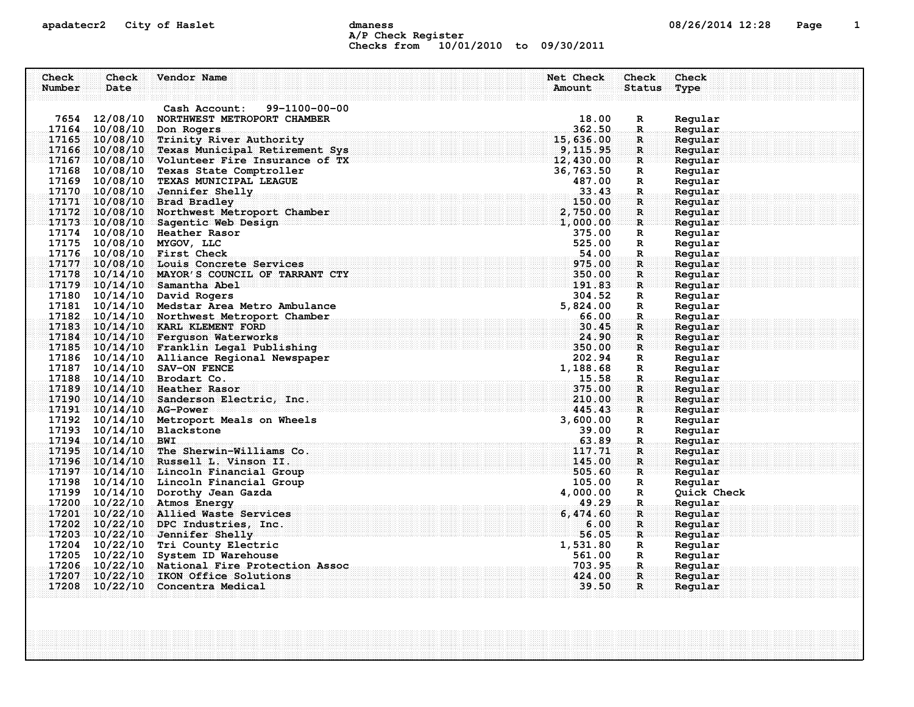#### apadatecr2 City of Haslet dmaness dmaness and the 08/26/2014 12:28 Page 1 A/P Check Register Checks from 10/01/2010 to 09/30/2011

| Check<br>Number | Check<br>Date           | Vendor Name                                   | Net Check<br>Amount                         | Check<br>Status Type | Check              |
|-----------------|-------------------------|-----------------------------------------------|---------------------------------------------|----------------------|--------------------|
|                 |                         | 99-1100-00-00<br>Cash Account:                |                                             |                      |                    |
|                 | 7654 12/08/10           | NORTHWEST METROPORT CHAMBER                   | 18.00                                       | $\mathbf{R}$         | Regular            |
|                 | 17164 10/08/10          | Don Rogers                                    | 362.50                                      | $\mathbb{R}$         | Regular            |
|                 |                         | 17165 10/08/10 Trinity River Authority        | 15,636.00                                   | R                    | Regular            |
|                 |                         | 17166 10/08/10 Texas Municipal Retirement Sys | 9, 115.95                                   | $\mathbf{R}$         | Regular            |
|                 |                         | 17167 10/08/10 Volunteer Fire Insurance of TX | 12,430.00                                   | ः R                  | Regular            |
|                 |                         | 17168 10/08/10 Texas State Comptroller        | 36,763.50                                   | $\mathbb{R}$         | Regular            |
|                 |                         | 17169 10/08/10 TEXAS MUNICIPAL LEAGUE         | 487.00                                      | $\mathbf R$          | Regular            |
|                 |                         | 17170 10/08/10 Jennifer Shelly                | 33.43                                       | $\mathbf R$          | Regular            |
|                 |                         | 17171 10/08/10 Brad Bradley                   | 150.00                                      | R                    | Regular            |
|                 |                         | 17172 10/08/10 Northwest Metroport Chamber    | 2,750.00                                    | $\mathbf{R}$         | Reqular            |
|                 |                         | 17173 10/08/10 Sagentic Web Design            | 1,000.00                                    | R                    | Regular            |
|                 |                         | 17174 10/08/10 Heather Rasor                  | 375.00                                      | $\mathbf R$          | Regular            |
|                 |                         | 17175 10/08/10 MYGOV, LLC                     | 525.00                                      | R                    | Regular            |
|                 |                         | 17176 10/08/10 First Check                    | 54.00                                       | $\mathbf R$          | Regular            |
|                 |                         | 17177 10/08/10 Louis Concrete Services        | 975.00                                      | $\mathbf{R}$         | Regular            |
|                 |                         | 17178 10/14/10 MAYOR'S COUNCIL OF TARRANT CTY | 350.00                                      | $\mathbf R$          | Regular            |
|                 |                         | 17179 10/14/10 Samantha Abel                  | 191.83                                      | $\mathbf{R}$         | Regular            |
|                 |                         | 17180 10/14/10 David Rogers                   | 304.52                                      | R                    | Regular            |
|                 |                         | 17181 10/14/10 Medstar Area Metro Ambulance   | 5,824.00                                    | R                    | Regular            |
|                 |                         | 17182 10/14/10 Northwest Metroport Chamber    | 66.00                                       | $\mathbf{R}$ .       | Regular            |
|                 |                         | 17183 10/14/10 KARL KLEMENT FORD              | 30.45                                       | $\mathbf R$          | Regular            |
|                 |                         | 17184 10/14/10 Ferguson Waterworks            | 24.90                                       | $\mathbf{R}$         | Reqular            |
|                 |                         | 17185 10/14/10 Franklin Legal Publishing      | . Because the contract of $\mathbf{350.00}$ | $\mathbf{R}$         | Regular            |
|                 |                         | 17186 10/14/10 Alliance Regional Newspaper    | 202.94                                      | $\mathbb{R}$         | Regular            |
|                 |                         | 17187 10/14/10 SAV-ON FENCE                   | 1,188.68                                    | $\mathbb{R}$         | Regular            |
|                 |                         | 17188 10/14/10 Brodart Co.                    | $-15.58$                                    | $\mathbf{R}$ .       | Regular            |
|                 |                         | 17189 10/14/10 Heather Rasor                  | 375.00                                      | R.                   | Regular            |
|                 |                         | 17190 10/14/10 Sanderson Electric, Inc.       | 210.00<br>445.43                            | $\mathbf{R}$         | Regular            |
|                 | 17191 10/14/10 AG-Power | 17192 10/14/10 Metroport Meals on Wheels      | 3,600.00                                    | $\mathbf R$<br>R     | Regular<br>Regular |
|                 |                         | 17193 10/14/10 Blackstone                     | 39.00                                       | $\mathbb{R}$         | Regular            |
|                 | 17194 10/14/10 BWI      |                                               | 63.89                                       | R.                   | Regular            |
|                 |                         | 17195 10/14/10 The Sherwin-Williams Co.       | 117.71                                      | $\mathbf R$          | Regular            |
|                 |                         | 17196 10/14/10 Russell L. Vinson II.          | 145.00                                      | $\mathbf{R}$         | Regular            |
|                 |                         | 17197 10/14/10 Lincoln Financial Group        | 505.60                                      | $\mathbf{R}$         | Regular            |
|                 |                         | 17198 10/14/10 Lincoln Financial Group        | 105.00                                      | $\mathbf{R}$         | Regular            |
|                 |                         | 17199 10/14/10 Dorothy Jean Gazda             | 4,000.00                                    | $\mathbf R$          | Quick Check        |
|                 |                         | 17200 10/22/10 Atmos Energy                   | 49.29                                       | R.                   | Regular            |
|                 |                         | 17201 10/22/10 Allied Waste Services          | 6,474.60                                    | $\mathbf R$          | Regular            |
|                 |                         | 17202 10/22/10 DPC Industries, Inc.           | 6.00                                        | $\mathbf R$          | Regular            |
|                 |                         | 17203 10/22/10 Jennifer Shelly                | 56.05                                       | $\mathbf{R}$         | Regular            |
|                 |                         | 17204 10/22/10 Tri County Electric            | 1,531.80                                    | $\mathbb{R}$         | Regular            |
|                 |                         | 17205 10/22/10 System ID Warehouse            | 561.00                                      | $\mathbb{R}$         | Regular            |
|                 |                         | 17206 10/22/10 National Fire Protection Assoc | 703.95                                      | $\mathbf R$ .        | Regular            |
| 17207           |                         | 10/22/10 IKON Office Solutions                | 424.00                                      | $\mathbf{R}$         | Regular            |
|                 |                         | $17208$ $10/22/10$ Concentra Medical          | 39.50                                       | $\mathbf{R}$         | Regular            |
|                 |                         |                                               |                                             |                      |                    |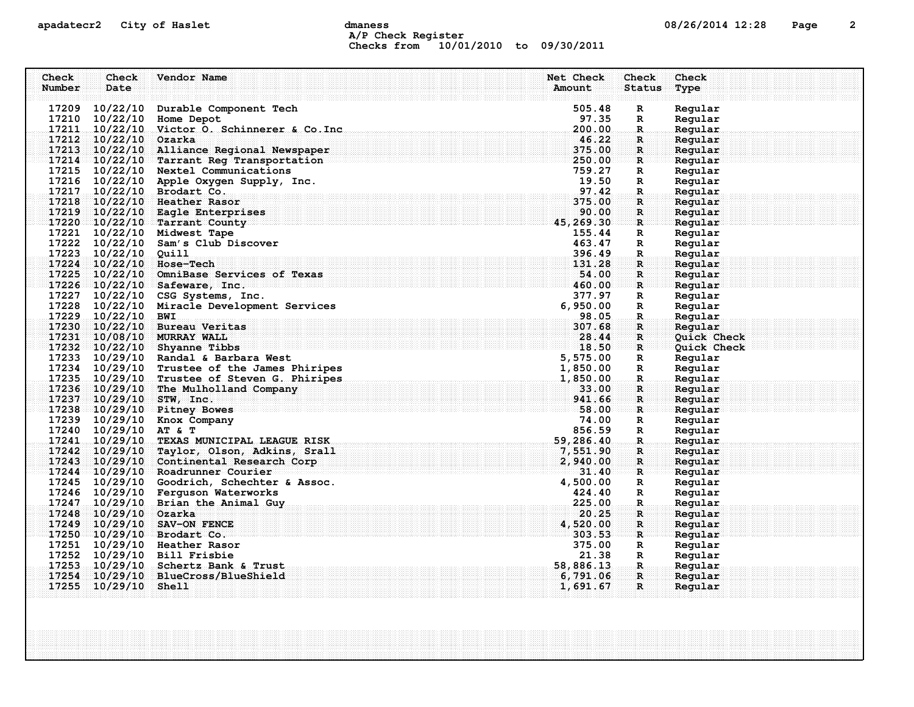# apadatecr2 City of Haslet control dmaness control dmaness control and the US/26/2014 12:28 Page 2 A/P Check Register Checks from 10/01/2010 to 09/30/2011

| Check  | Check                    | Vendor Name                                                                                  | Net Check       | Check         | Check              |
|--------|--------------------------|----------------------------------------------------------------------------------------------|-----------------|---------------|--------------------|
| Number | Date                     |                                                                                              | Amount          | <b>Status</b> | Type               |
|        |                          |                                                                                              |                 |               |                    |
|        | 17209 10/22/10           | Durable Component Tech                                                                       | 505.48          | $\mathbf R$   | Regular            |
|        | 17210 10/22/10           | Home Depot                                                                                   | 97.35           | R             | Regular            |
|        |                          | 17211 10/22/10 Victor O. Schinnerer & Co. Inc                                                | 200.00          | $\mathbf R$   | Regular            |
|        | 17212 10/22/10 Ozarka    |                                                                                              | 46.22           | R             | Regular            |
|        |                          | 17213 10/22/10 Alliance Regional Newspaper                                                   | 375.00          | $\mathbf{R}$  | Regular            |
|        |                          | 17214 10/22/10 Tarrant Reg Transportation                                                    | 250.00          | R             | Reqular            |
|        |                          | 17215 10/22/10 Nextel Communications                                                         | 759.27          | $\mathbf R$   | Regular            |
|        |                          | 17216 10/22/10 Apple Oxygen Supply, Inc.                                                     | 19.50           | R             | Regular            |
|        |                          | 17217 10/22/10 Brodart Co.                                                                   | 97.42<br>375.00 | $\mathbf R$   | Regular            |
|        |                          | 17218 10/22/10 Heather Rasor                                                                 | 90.00           | R             | Regular            |
|        |                          | $17219$ $10/22/10$ Eagle Enterprises<br>17220 10/22/10 Tarrant County                        | 45,269.30       | R             | Regular<br>Regular |
|        |                          | 17221 10/22/10 Midwest Tape                                                                  | 155.44          | R             |                    |
|        |                          | 17222 10/22/10 Sam's Club Discover                                                           | 463.47          | R<br>R        | Regular<br>Regular |
|        | 17223 10/22/10 Quill     |                                                                                              | 396.49          | R             | Regular            |
|        | 17224 10/22/10 Hose-Tech |                                                                                              | 131.28          | R             | Regular            |
|        |                          | 17225 10/22/10 OmniBase Services of Texas                                                    | 54.00           | $\mathbf{R}$  | Regular            |
|        |                          | $17226 - 10/22/10$ Safeware, Inc.                                                            | 460.00          | $\mathbf{R}$  | Regular            |
|        |                          | 17227 10/22/10 CSG Systems, Inc.                                                             | 377.97          | R             | Regular            |
|        |                          | 17228 10/22/10 Miracle Development Services                                                  | 6,950.00        | R             | Regular            |
|        | 17229 10/22/10 BWI       |                                                                                              | 98.05           | R.            | Regular            |
|        |                          | 17230 10/22/10 Bureau Veritas                                                                | 307.68          | R             | Regular            |
|        |                          | 17231 10/08/10 MURRAY WALL                                                                   | 28.44           | $\mathbf{R}$  | Quick Check        |
|        |                          | $17232$ $10/22/10$ Shyanne Tibbs                                                             | 18.50           | R             | Quick Check        |
|        |                          | 17233 10/29/10 Randal & Barbara West                                                         | 5,575.00        | R             | Regular            |
|        |                          | 17234 10/29/10 Trustee of the James Phiripes                                                 | 1,850.00        | R             | Regular            |
|        |                          | 17234 10/29/10 Trustee of the James Phiripes<br>17235 10/29/10 Trustee of Steven G. Phiripes | 1,850.00        | R.            | Regular            |
|        | 17236 10/29/10           | The Mulholland Company                                                                       | 33.00           | R.            | Regular            |
|        | 17237 10/29/10 STW, Inc. |                                                                                              | 941.66          | R             | Regular            |
|        |                          | 17238 10/29/10 Pitney Bowes                                                                  | 58.00           | R             | Regular            |
|        |                          | 17239 10/29/10 Knox Company                                                                  | 74.00           | R             | Regular            |
|        | 17240 10/29/10 AT & T    |                                                                                              | 856.59          | R             | Regular            |
|        |                          | 17241 10/29/10 TEXAS MUNICIPAL LEAGUE RISK                                                   | 59,286.40       | $\mathbf{R}$  | Regular            |
|        | 17242 10/29/10           | Taylor, Olson, Adkins, Srall                                                                 | 7,551.90        | $\mathbf R$   | Regular            |
|        |                          | 17243 10/29/10 Continental Research Corp                                                     | 2,940.00        | $\mathbf{R}$  | Reqular            |
|        |                          | 17244 10/29/10 Roadrunner Courier                                                            | 31.40           | $\mathbf{R}$  | Reqular            |
|        |                          | 17245 10/29/10 Goodrich, Schechter & Assoc.                                                  | 4,500.00        | R             | Regular            |
|        |                          | 17246 10/29/10 Ferguson Waterworks                                                           | 424.40          | R             | Regular            |
|        |                          | 17247 10/29/10 Brian the Animal Guy                                                          | 225.00          | $\mathbf{R}$  | Regular            |
|        | 17248 10/29/10 Ozarka    |                                                                                              | 20.25           | R             | Reqular            |
|        |                          | 17249 10/29/10 SAV-ON FENCE                                                                  | 4,520.00        | R             | Regular            |
|        |                          | 17250 10/29/10 Brodart Co.                                                                   | 303.53          | $\mathbf R$   | Regular            |
|        |                          | 17251 10/29/10 Heather Rasor                                                                 | 375.00          | R             | Regular            |
|        |                          | 17252 10/29/10 Bill Frisbie                                                                  | 21.38           | R             | Regular            |
|        |                          | 17253 10/29/10 Schertz Bank & Trust                                                          | 58,886.13       | $\mathbf R$   | Regular            |
|        |                          | 17254 10/29/10 BlueCross/BlueShield                                                          | 6,791.06        | $\mathbf{R}$  | Regular            |
|        | 17255 10/29/10 Shell     |                                                                                              | 1,691.67        | $\mathbf{R}$  | Regular            |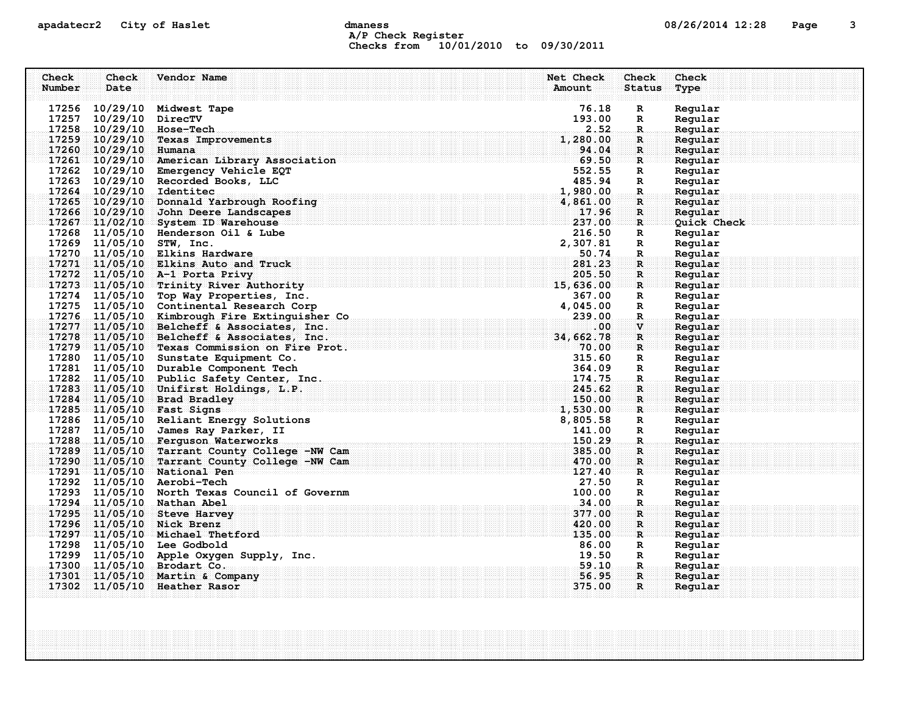# apadatecr2 City of Haslet contracts dmaness contracts that the contracts of the contracts of the contracts of the contracts of the contracts of the contracts of the contracts of the contracts of the contracts of the contra A/P Check Register Checks from 10/01/2010 to 09/30/2011

| Check<br>Number | Check<br>Date  | Vendor Name                                                                                 | Net Check<br>Amount | Check<br><b>Status</b> | Check<br>Type      |
|-----------------|----------------|---------------------------------------------------------------------------------------------|---------------------|------------------------|--------------------|
|                 |                |                                                                                             |                     |                        |                    |
|                 | 17256 10/29/10 | Midwest Tape                                                                                | 76.18               | R                      | Regular            |
|                 | 17257 10/29/10 | DirecTV                                                                                     | 193.00              | R                      | Regular            |
|                 | 17258 10/29/10 | Hose-Tech                                                                                   | 2.52                | $\mathbb{R}$           | Regular            |
|                 | 17259 10/29/10 | <b>Texas Improvements</b>                                                                   | 1,280.00            | $\mathbf R$            | Reqular            |
|                 | 17260 10/29/10 | Humana                                                                                      | 94.04               | $\mathbf{R}$           | Regular            |
|                 |                | 17261 10/29/10 American Library Association                                                 | 69.50               | $\mathbf{R}$           | Regular            |
|                 |                | 17262 10/29/10 Emergency Vehicle EQT                                                        | 552.55              | R                      | Regular            |
|                 |                | 17263 10/29/10 Recorded Books, LLC                                                          | 485.94              | $\mathbb{R}$           | Regular            |
|                 |                | 17264 10/29/10 Identitec                                                                    | 1,980.00            | R.                     | Regular            |
|                 |                | 17265 10/29/10 Donnald Yarbrough Roofing                                                    | 4,861.00            | R                      | Regular            |
|                 | 17266 10/29/10 | John Deere Landscapes                                                                       | 17.96               | $\mathbf R$            | Regular            |
|                 |                | 17267 11/02/10 System ID Warehouse                                                          | 237.00              | $\mathbf{R}$           | Quick Check        |
|                 |                | 17268 11/05/10 Henderson Oil & Lube                                                         | 216.50              | R                      | Regular            |
|                 |                | 17269 11/05/10 STW, Inc.                                                                    | 2,307.81            | R                      | Regular            |
|                 |                | 17270 11/05/10 Elkins Hardware                                                              | 50.74               | $\mathbf{R}$           | Regular            |
|                 |                | $17271$ 11/05/10 Elkins Auto and Truck                                                      | 281.23              | $\mathbf{R}$           | Regular            |
|                 |                | 17272 11/05/10 A-1 Porta Privy                                                              | 205.50              | R                      | Reqular            |
|                 |                | 17273 11/05/10 Trinity River Authority                                                      | 15,636.00           | $\mathbf{R}$           | Regular            |
|                 |                | 17274 11/05/10 Top Way Properties, Inc.                                                     | 367.00              | R                      | Regular            |
|                 |                | 17275 11/05/10 Continental Research Corp                                                    | 4,045.00            | R                      | Regular            |
|                 |                | 17276 11/05/10 Kimbrough Fire Extinguisher Co<br>17277 11/05/10 Belcheff & Associates, Inc. | 239.00              | $\mathbf R$            | Regular            |
|                 |                |                                                                                             | .00<br>34,662.78    | $\mathbf{V}$           | Regular<br>Reqular |
|                 |                | 17278 11/05/10 Belcheff & Associates, Inc.<br>17279 11/05/10 Texas Commission on Fire Prot. | 70.00               | $\mathbf R$<br>R       | Regular            |
|                 |                | 17280 11/05/10 Sunstate Equipment Co.                                                       | 315.60              | R                      | Regular            |
|                 |                | 17281 11/05/10 Durable Component Tech                                                       | 364.09              | R                      | Regular            |
|                 |                | 17282 11/05/10 Public Safety Center, Inc.                                                   | 174.75              | R.                     | Regular            |
|                 |                | 17283 11/05/10 Unifirst Holdings, L.P.                                                      | 245.62              | $\mathbf{R}$           | Regular            |
|                 |                | 17284 11/05/10 Brad Bradley                                                                 | 150.00              | $\mathbf{R}$           | Regular            |
|                 |                | 17285 11/05/10 Fast Signs                                                                   | 1,530.00            | R                      | Regular            |
|                 |                | 17286 11/05/10 Reliant Energy Solutions                                                     | 8,805.58            | R                      | Regular            |
|                 |                | 17287 11/05/10 James Ray Parker, II                                                         | 141.00              | R                      | Regular            |
|                 |                | 17288 11/05/10 Ferguson Waterworks                                                          | 150.29              | $\mathbf R$            | Regular            |
|                 |                | 17289 11/05/10 Tarrant County College -NW Cam                                               | 385.00              | $\mathbf{R}$           | Regular            |
|                 |                | 17290 11/05/10 Tarrant County College -NW Cam                                               | 470.00              | $\mathbf{R}$           | Reqular            |
|                 |                | 17291 11/05/10 National Pen                                                                 | 127.40              | R                      | Regular            |
|                 |                | 17292 11/05/10 Aerobi-Tech                                                                  | 27.50               | R                      | Regular            |
|                 |                | 17293 11/05/10 North Texas Council of Governm                                               | 100.00              | R                      | Regular            |
|                 |                | 17294 11/05/10 Nathan Abel                                                                  | 34.00               | R.                     | Regular            |
|                 |                | 17295 11/05/10 Steve Harvey                                                                 | 377.00              | $\mathbf R$            | Regular            |
|                 |                | 17296 11/05/10 Nick Brenz                                                                   | 420.00              | R                      | Regular            |
|                 |                | 17297 11/05/10 Michael Thetford                                                             | 135.00              | R                      | Regular            |
|                 |                | 17298 11/05/10 Lee Godbold                                                                  | 86.00               | R                      | Regular            |
|                 |                | 17299 11/05/10 Apple Oxygen Supply, Inc.                                                    | 19.50               | R                      | Regular            |
|                 |                | 17300 11/05/10 Brodart Co.                                                                  | 59.10               | .R.                    | Regular            |
|                 |                | 17301 11/05/10 Martin & Company                                                             | 56.95               | $\mathbf{R}$           | Regular            |
|                 |                | 17302 11/05/10 Heather Rasor                                                                | 375.00              | $\mathbf{R}$           | Regular            |
|                 |                |                                                                                             |                     |                        |                    |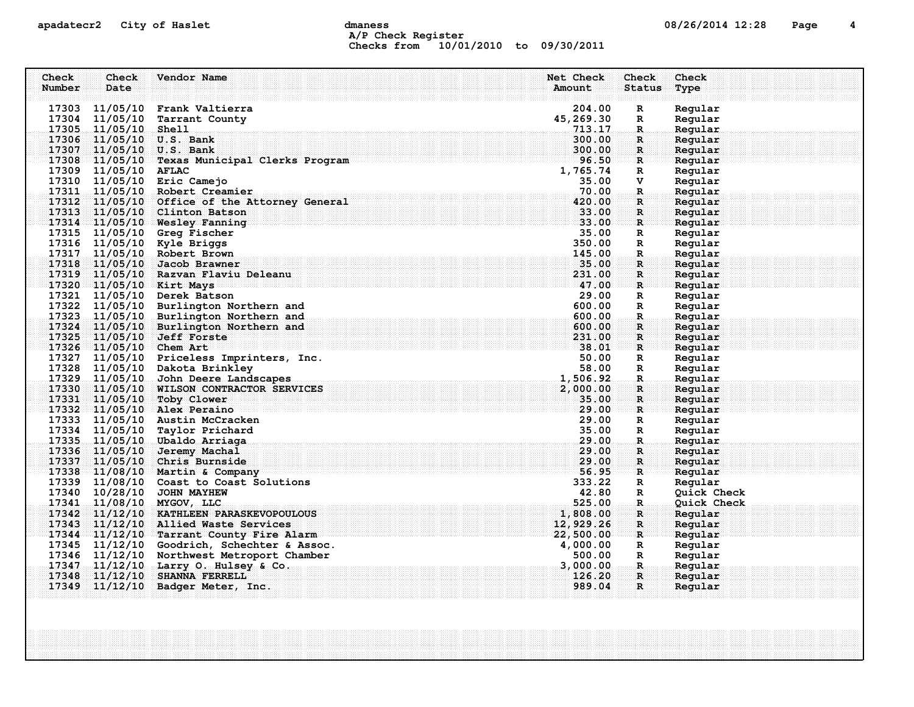# apadatecr2 City of Haslet dmaness dmaness and the control of the 12:28 Page 4 A/P Check Register Checks from 10/01/2010 to 09/30/2011

| Check  | Check                   | Vendor Name                                                                               | Net Check          | Check              | Check              |
|--------|-------------------------|-------------------------------------------------------------------------------------------|--------------------|--------------------|--------------------|
| Number | Date                    |                                                                                           | Amount             | <b>Status</b>      | Type               |
|        |                         |                                                                                           |                    |                    |                    |
|        |                         | 17303 11/05/10 Frank Valtierra                                                            | 204.00             | $\mathbf R$        | Regular            |
|        | 17304 11/05/10          | Tarrant County                                                                            | 45,269.30          | R                  | Regular            |
|        | 17305 11/05/10          | Shell                                                                                     | 713.17             | $\mathbb{R}$       | Regular            |
|        |                         | 17306 11/05/10 U.S. Bank                                                                  | 300.00             | R.                 | Reqular            |
|        |                         | 17307 11/05/10 U.S. Bank                                                                  | 300.00             | $\mathbf{R}$       | Regular            |
|        |                         | 17308 11/05/10 Texas Municipal Clerks Program                                             | 96.50              | R                  | Regular            |
|        | 17309 11/05/10          | <b>AFLAC</b>                                                                              | 1,765.74           | $\mathbf R$        | Regular            |
|        | 17310 11/05/10          | Eric Camejo                                                                               | 35.00              | v                  | Regular            |
|        |                         | 17311 11/05/10 Robert Creamier                                                            | 70.00              | R.                 | Regular            |
|        |                         | 17312 11/05/10 Office of the Attorney General                                             | 420.00             | $\mathbf R$        | Regular            |
|        |                         | 17313 11/05/10 Clinton Batson                                                             | 33.00              | R                  | Reqular            |
|        |                         | 17314 11/05/10 Wesley Fanning                                                             | 33.00              | $\mathbf R$        | Regular            |
|        | 17315 11/05/10          | Greg Fischer                                                                              | 35.00              | $\mathbb{R}$       | Regular            |
|        |                         | 17316 11/05/10 Kyle Briggs                                                                | 350.00             | R                  | Regular            |
|        |                         | 17317 11/05/10 Robert Brown                                                               | 145.00             | R.                 | Regular            |
|        |                         | 17318 11/05/10 Jacob Brawner                                                              | 35.00              | R                  | Regular            |
|        |                         | 17319 11/05/10 Razvan Flaviu Deleanu                                                      | 231.00             | $\mathbf R$        | Regular            |
|        |                         | 17320 11/05/10 Kirt Mays                                                                  | 47.00              | $\mathbf{R}$       | Regular            |
|        | 17321 11/05/10          | Derek Batson                                                                              | 29.00              | R                  | Regular            |
|        |                         | 17322 11/05/10 Burlington Northern and                                                    | 600.00             | R                  | Regular            |
|        |                         | 17323 11/05/10 Burlington Northern and                                                    | 600.00             | R.                 | Regular            |
|        |                         | 17324 11/05/10 Burlington Northern and                                                    | 600.00             | $\mathbf R$        | Regular            |
|        |                         | 17325 11/05/10 Jeff Forste                                                                | 231.00             | $\mathbf{R}$       | Reqular            |
|        | 17326 11/05/10 Chem Art |                                                                                           | 38.01              | R                  | Reqular            |
|        |                         | 17327 11/05/10 Priceless Imprinters, Inc.                                                 | 50.00              | R                  | Regular            |
|        |                         | 17328 11/05/10 Dakota Brinkley                                                            | 58.00              | $\mathbb{R}$       | Regular            |
|        |                         | 17329 11/05/10 John Deere Landscapes                                                      | 1,506.92           | $\mathbf R$        | Regular            |
|        |                         | 17330 11/05/10 WILSON CONTRACTOR SERVICES                                                 | 2,000.00           | $\mathbf R$        | Regular            |
|        |                         | 17331 11/05/10 Toby Clower                                                                | 35.00              | $\mathbf{R}$       | Regular            |
|        |                         | 17332 11/05/10 Alex Peraino                                                               | 29.00              | R                  | Regular            |
|        |                         | 17333 11/05/10 Austin McCracken                                                           | 29.00              | R                  | Regular            |
|        | 17334 11/05/10          | Taylor Prichard                                                                           | 35.00              | $\mathbb{R}$       | Regular            |
|        |                         | 17335 11/05/10 Ubaldo Arriaga                                                             | 29.00              | $\mathbf R$ .      | Regular            |
|        | 17336 11/05/10          | <b>Jeremy Machal</b>                                                                      | 29.00              | R                  | Regular            |
|        |                         | 17337 11/05/10 Chris Burnside                                                             | 29.00              | $\mathbf{R}$       | Regular            |
|        |                         | 17338 11/08/10 Martin & Company<br>17339 11/08/10 Coast to Coast Solutions                | 56.95<br>333.22    | R                  | Reqular            |
|        |                         |                                                                                           |                    | R                  | Regular            |
|        |                         | 17340 10/28/10 JOHN MAYHEW<br>17341 11/08/10 MYGOV, LLC                                   | 42.80<br>525.00    | R                  | Quick Check        |
|        |                         | 17342 11/12/10 KATHLEEN PARASKEVOPOULOUS                                                  | 1,808.00           | R.<br>$\mathbf{R}$ | <b>Quick Check</b> |
|        |                         |                                                                                           |                    |                    | Reqular            |
|        |                         | 17343 11/12/10 Allied Waste Services<br>17344 11/12/10 Tarrant County Fire Alarm          | 12,929.26          | $\mathbf{R}$       | Regular            |
|        |                         |                                                                                           | 22,500.00          | R                  | Regular            |
|        |                         | 17345 11/12/10 Goodrich, Schechter & Assoc.<br>17346 11/12/10 Northwest Metroport Chamber | 4,000.00<br>500.00 | R                  | Regular            |
|        |                         |                                                                                           |                    | R                  | Regular            |
| 17348  | 17347 11/12/10          | Larry O. Hulsey & Co.                                                                     | 3,000.00<br>126.20 | R.                 | Regular            |
|        |                         | $11/12/10$ SHANNA FERRELL                                                                 | 989.04             | $\mathbf{R}$<br>R  | Regular            |
|        | 17349 11/12/10          | Badger Meter, Inc.                                                                        |                    |                    | Regular            |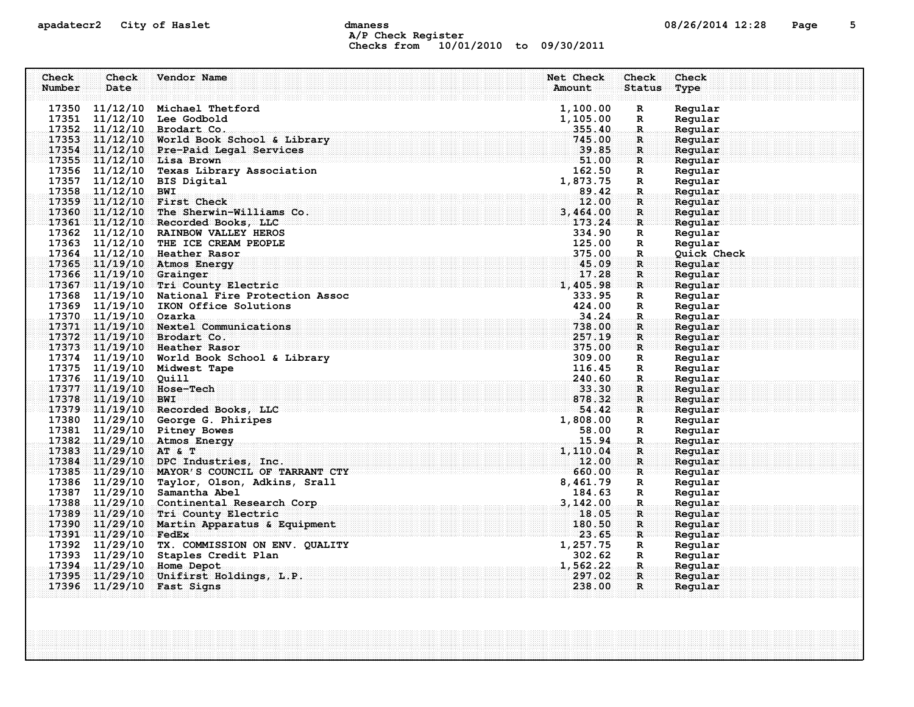# apadatecr2 City of Haslet dmaness dmaness and the control of the 12:28 Page 5 A/P Check Register Checks from 10/01/2010 to 09/30/2011

| Check  | Check                   | Vendor Name                                                   | Net Check          | Check             | Check              |
|--------|-------------------------|---------------------------------------------------------------|--------------------|-------------------|--------------------|
| Number | Date                    |                                                               | Amount             | <b>Status</b>     | Type               |
|        |                         |                                                               |                    |                   |                    |
|        |                         | 17350 11/12/10 Michael Thetford<br>17351 11/12/10 Lee Godbold | 1,100.00           | R                 | Regular<br>Regular |
|        |                         | 17352 11/12/10 Brodart Co.                                    | 1,105.00<br>355.40 | R<br>$\mathbb{R}$ | Regular            |
|        |                         | 17353 11/12/10 World Book School & Library                    | 745.00             | R.                | Regular            |
|        |                         | 17354 11/12/10 Pre-Paid Legal Services                        | 39.85              | $\mathbf{R}$      | Regular            |
|        |                         | 17355 11/12/10 Lisa Brown                                     | 51.00              | R                 | Regular            |
|        |                         | 17356 11/12/10 Texas Library Association                      | 162.50             | R                 | Regular            |
|        |                         | 17357 11/12/10 BIS Digital                                    | 1,873.75           | R                 | Regular            |
|        | 17358 11/12/10 BWI      |                                                               | 89.42              | $\mathbf{R}$      | Regular            |
|        |                         | 17359 11/12/10 First Check                                    | 12.00              | R                 | Regular            |
|        |                         | 17360 11/12/10 The Sherwin-Williams Co.                       | 3,464.00           | $\mathbf R$       | Regular            |
|        |                         | 17361 11/12/10 Recorded Books, LLC                            | 173.24             | $\mathbf{R}$      | Regular            |
|        |                         | 17362 11/12/10 RAINBOW VALLEY HEROS                           | 334.90             | R                 | Regular            |
|        |                         | 17363 11/12/10 THE ICE CREAM PEOPLE                           | 125.00             | $\mathbf R$       | Regular            |
|        |                         | 17364 11/12/10 Heather Rasor                                  | 375.00             | R.                | Quick Check        |
|        |                         | 17365 11/19/10 Atmos Energy                                   | 45.09              | R                 | Regular            |
|        | 17366 11/19/10 Grainger |                                                               | 17.28              | $\mathbf{R}$      | Regular            |
|        |                         | 17367 11/19/10 Tri County Electric                            | 1,405.98           | $\mathbf{R}$      | Regular            |
|        |                         | 17368 11/19/10 National Fire Protection Assoc                 | 333.95             | R                 | Regular            |
|        |                         | 17369 11/19/10 IKON Office Solutions                          | 424.00             | R                 | Regular            |
|        | 17370 11/19/10 Ozarka   |                                                               | 34.24              | $\mathbf{R}$      | Regular            |
|        |                         | 17371 11/19/10 Nextel Communications                          | 738.00             | R                 | Regular            |
|        |                         | 17372 11/19/10 Brodart Co.                                    | 257.19             | $\mathbf{R}$      | Regular            |
|        |                         | 17373 11/19/10 Heather Rasor                                  | 375.00             | $\mathbf{R}$      | Regular            |
|        |                         | 17374 11/19/10 World Book School & Library                    | 309.00             | R                 | Regular            |
|        |                         | 17375 11/19/10 Midwest Tape                                   | 116.45             | R                 | Regular            |
|        | 17376 11/19/10 Quill    |                                                               | 240.60             | $\mathbf{R}$      | Regular            |
|        |                         | 17377 11/19/10 Hose-Tech                                      | 33.30              | R                 | Regular            |
|        | 17378 11/19/10 BWI      |                                                               | 878.32             | $\mathbf{R}$      | Regular            |
|        |                         | 17379 11/19/10 Recorded Books, LLC                            | 54.42              | R                 | Reqular            |
|        |                         | 17380 11/29/10 George G. Phiripes                             | 1,808.00           | $\mathbf R$       | Regular            |
|        |                         | 17381 11/29/10 Pitney Bowes<br>17382 11/29/10 Atmos Energy    | 58.00<br>15.94     | $\mathbb{R}$      | Regular<br>Regular |
|        | 17383 11/29/10 AT & T   |                                                               | 1,110.04           | $\mathbf R$<br>R  | Regular            |
|        |                         | 17384 11/29/10 DPC Industries, Inc.                           | 12.00              | R                 | Regular            |
|        |                         | 17385 11/29/10 MAYOR'S COUNCIL OF TARRANT CTY                 | 660.00             | R                 | Regular            |
|        |                         | 17386 11/29/10 Taylor, Olson, Adkins, Srall                   | 8,461.79           | R                 | Regular            |
|        |                         | 17387 11/29/10 Samantha Abel                                  | 184.63             | $\mathbf R$       | Regular            |
|        |                         | 17388 11/29/10 Continental Research Corp                      | 3,142.00           | R.                | Regular            |
|        |                         | 17389 11/29/10 Tri County Electric                            | 18.05              | $\mathbf R$       | Regular            |
|        |                         | 17390 11/29/10 Martin Apparatus & Equipment                   | 180.50             | $\mathbf R$       | Regular            |
|        | 17391 11/29/10 FedEx    |                                                               | 23.65              | $\mathbf{R}$      | Reqular            |
|        |                         | 17392 11/29/10 TX. COMMISSION ON ENV. QUALITY                 | 1,257.75           | R                 | Regular            |
|        |                         | 17393 11/29/10 Staples Credit Plan                            | 302.62             | R                 | Regular            |
|        |                         | 17394 11/29/10 Home Depot                                     | 1,562.22           | -R.,              | Regular            |
|        |                         | 17395 11/29/10 Unifirst Holdings, L.P.                        | 297.02             | $\mathbf{R}$      | Regular            |
|        |                         | 17396 11/29/10 Fast Signs                                     | 238.00             | $\mathbf{R}$      | Regular            |
|        |                         |                                                               |                    |                   |                    |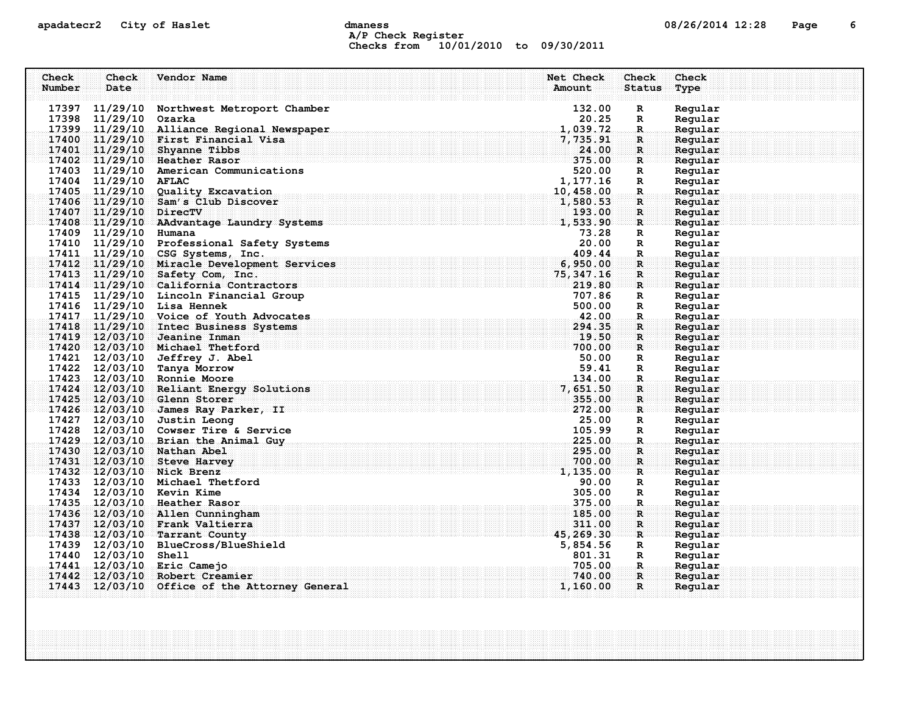# apadatecr2 City of Haslet dmaness dmaness and the control of the 12:28 Page 6 A/P Check Register Checks from 10/01/2010 to 09/30/2011

| Check  | <b>Check</b>           | Vendor Name                                                                                                        | Net Check<br>Check       | Check   |
|--------|------------------------|--------------------------------------------------------------------------------------------------------------------|--------------------------|---------|
| Number | Date                   |                                                                                                                    | Amount<br><b>Status</b>  | Type    |
|        |                        |                                                                                                                    |                          |         |
|        | 17397 11/29/10         | Northwest Metroport Chamber                                                                                        | 132.00<br>R              | Regular |
|        | 17398 11/29/10         | Ozarka                                                                                                             | 20.25<br>R               | Regular |
|        |                        | 17399 11/29/10 Alliance Regional Newspaper                                                                         | 1,039.72<br>$\mathbf R$  | Regular |
|        |                        | 17400 11/29/10 First Financial Visa                                                                                | 7,735.91<br>$\mathbf R$  | Regular |
|        |                        | 17401 11/29/10 Shyanne Tibbs                                                                                       | 24.00<br>$\mathbf{R}$    | Regular |
|        |                        | 17402 11/29/10 Heather Rasor                                                                                       | 375.00<br>R              | Regular |
|        | 17403 11/29/10         | American Communications                                                                                            | 520.00<br>R              | Regular |
|        | 17404 11/29/10 AFLAC   |                                                                                                                    | 1, 177.16<br>R           | Regular |
|        |                        | 17405 11/29/10 Quality Excavation                                                                                  | 10,458.00<br>R.          | Regular |
|        |                        | 17406 11/29/10 Sam's Club Discover                                                                                 | 1,580.53<br>$\mathbf R$  | Regular |
|        | 17407 11/29/10 DirecTV |                                                                                                                    | 193.00<br>$\mathbf R$    | Regular |
|        |                        | 17408 11/29/10 AAdvantage Laundry Systems                                                                          | 1,533.90<br>R            | Regular |
|        | 17409 11/29/10         | Humana                                                                                                             | 73.28<br>R               | Regular |
|        |                        | 17410 11/29/10 Professional Safety Systems                                                                         | 20.00<br>R               | Regular |
|        | 17411 11/29/10         | CSG Systems, Inc.                                                                                                  | 409.44<br>$\mathbf R$    | Regular |
|        |                        | 17412 11/29/10 Miracle Development Services                                                                        | 6,950.00<br>$\mathbf{R}$ | Regular |
|        | 17413 11/29/10         | Safety Com, Inc.                                                                                                   | 75, 347.16<br>R          | Regular |
|        |                        | 17414 11/29/10 California Contractors                                                                              | 219.80<br>R              | Regular |
|        |                        | 17415 11/29/10 Lincoln Financial Group                                                                             | 707.86<br>R              | Regular |
|        |                        | 17416 11/29/10 Lisa Hennek                                                                                         | 500.00<br>R              | Regular |
|        |                        | 17417 11/29/10 Voice of Youth Advocates                                                                            | 42.00<br>R.              | Regular |
|        |                        | 17418 11/29/10 Intec Business Systems                                                                              | 294.35<br>$\mathbf R$    | Regular |
|        |                        | 17419 12/03/10 Jeanine Inman                                                                                       | 19.50<br>R               | Regular |
|        |                        | 17420 12/03/10 Michael Thetford                                                                                    | 700.00<br>R              | Regular |
|        |                        | 17421 12/03/10 Jeffrey J. Abel                                                                                     | 50.00<br>R               | Regular |
|        | 17422 12/03/10         | Tanya Morrow                                                                                                       | 59.41<br>$\mathbb{R}$    | Regular |
|        |                        | 17423 12/03/10 Ronnie Moore                                                                                        | 134.00<br>$\mathbf{R}$   | Regular |
|        |                        | 17424 12/03/10 Reliant Energy Solutions                                                                            | 7,651.50<br>R            | Regular |
|        |                        | 17425 12/03/10 Glenn Storer<br>$\overline{17426}$ $\overline{12}/\overline{03}/\overline{10}$ James Ray Parker, II | 355.00<br>$\mathbf{R}$   | Regular |
|        |                        |                                                                                                                    | 272.00<br>$\mathbf R$    | Regular |
|        |                        | 17427 12/03/10 Justin Leong                                                                                        | 25.00<br>R               | Regular |
|        |                        | 17428 12/03/10 Cowser Tire & Service                                                                               | 105.99<br>R              | Regular |
|        |                        | 17429 12/03/10 Brian the Animal Guy                                                                                | 225.00<br>R.             | Regular |
|        |                        | 17430 12/03/10 Nathan Abel                                                                                         | 295.00<br>R              | Regular |
|        |                        | 17431 12/03/10 Steve Harvey                                                                                        | 700.00<br>R              | Regular |
|        |                        | 17432 12/03/10 Nick Brenz                                                                                          | 1,135.00<br>R            | Regular |
|        |                        | 17433 12/03/10 Michael Thetford                                                                                    | 90.00<br>R               | Regular |
|        |                        | 17434 12/03/10 Kevin Kime                                                                                          | 305.00<br>R              | Regular |
|        | 17435 12/03/10         | Heather Rasor                                                                                                      | 375.00<br>R.             | Regular |
|        |                        | 17436 12/03/10 Allen Cunningham                                                                                    | 185.00<br>$\mathbf{R}$   | Regular |
|        |                        | 17437 12/03/10 Frank Valtierra                                                                                     | 311.00<br>$\mathbf R$    | Regular |
|        |                        | 17438 12/03/10 Tarrant County                                                                                      | 45,269.30<br>R           | Regular |
|        |                        | 17439 12/03/10 BlueCross/BlueShield                                                                                | 5,854.56<br>R            | Regular |
|        | 17440 12/03/10         | <b>Shell</b>                                                                                                       | 801.31<br>R              | Regular |
| 17441  | 12/03/10               | Eric Camejo                                                                                                        | 705.00<br>R.             | Regular |
| 17442  |                        | 12/03/10 Robert Creamier                                                                                           | 740.00<br>$\mathbf{R}$   | Reqular |
|        | 17443 12/03/10         | Office of the Attorney General                                                                                     | 1,160.00<br>R            | Regular |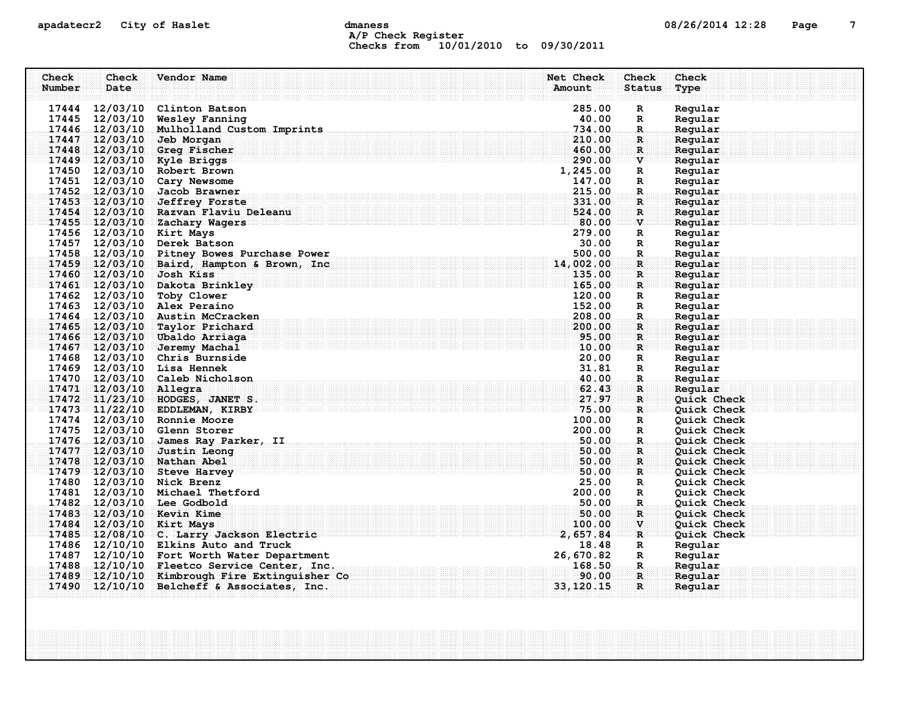# apadatecr2 City of Haslet contracts dmaness contracts that the contracts of the contracts of the contracts of the contracts of the contracts of the contracts of the contracts of the contracts of the contracts of the contra A/P Check Register Checks from 10/01/2010 to 09/30/2011

| Check  | Check                  | Vendor Name                                   | Net Check  | Check         | Check              |
|--------|------------------------|-----------------------------------------------|------------|---------------|--------------------|
| Number | Date                   |                                               | Amount     | <b>Status</b> | Type               |
|        |                        |                                               |            |               |                    |
|        |                        | 17444 12/03/10 Clinton Batson                 | 285.00     | R             | Regular            |
|        | 17445 12/03/10         | Wesley Fanning                                | 40.00      | R             | Regular            |
|        |                        | 17446 12/03/10 Mulholland Custom Imprints     | 734.00     | R.            | Regular            |
|        | 17447 12/03/10         | Jeb Morgan                                    | 210.00     | R             | Regular            |
|        |                        | 17448 12/03/10 Greg Fischer                   | 460.00     | $\mathbb{R}$  | Regular            |
|        |                        | 17449 12/03/10 Kyle Briggs                    | 290.00     | V             | Regular            |
|        |                        | 17450 12/03/10 Robert Brown                   | 1,245.00   | R             | Regular            |
|        |                        | 17451 12/03/10 Cary Newsome                   | 147.00     | $\mathbb{R}$  | Regular            |
|        |                        | 17452 12/03/10 Jacob Brawner                  | 215.00     | $\mathbf R$   | Regular            |
|        |                        | 17453 12/03/10 Jeffrey Forste                 | 331.00     | R             | Regular            |
|        |                        | 17454 12/03/10 Razvan Flaviu Deleanu          | 524.00     | $\mathbf R$   | Regular            |
|        |                        | 17455 12/03/10 Zachary Wagers                 | 80.00      | $\mathbf{v}$  | Regular            |
|        |                        | 17456 12/03/10 Kirt Mays                      | 279.00     | R             | Regular            |
|        |                        | 17457 12/03/10 Derek Batson                   | 30.00      | $\mathbb{R}$  | Regular            |
|        |                        | 17458 12/03/10 Pitney Bowes Purchase Power    | 500.00     | R             | Regular            |
|        |                        | 17459 12/03/10 Baird, Hampton & Brown, Inc.   | 14,002.00  | $\mathbf{R}$  | Regular            |
|        |                        | 17460 12/03/10 Josh Kiss                      | 135.00     | R             | Regular            |
|        |                        | 17461 12/03/10 Dakota Brinkley                | 165.00     | $\mathbf{R}$  | Regular            |
|        | 17462 12/03/10         | Toby Clower                                   | 120.00     | R             | Regular            |
|        |                        | 17463 12/03/10 Alex Peraino                   | 152.00     | $\mathbf R$   | Regular            |
|        |                        | 17464 12/03/10 Austin McCracken               | 208.00     | R.            | Regular            |
|        |                        | 17465 12/03/10 Taylor Prichard                | 200.00     | R             | Regular            |
|        |                        | 17466 12/03/10 Ubaldo Arriaga                 | 95.00      | $\mathbf{R}$  | Regular            |
|        |                        | 17467 12/03/10 Jeremy Machal                  | 10.00      | R             | Regular            |
|        |                        | 17468 12/03/10 Chris Burnside                 | 20.00      | R             | Regular            |
|        |                        | 17469 12/03/10 Lisa Hennek                    | 31.81      | $\mathbb{R}$  | Regular            |
|        |                        | 17470 12/03/10 Caleb Nicholson                | 40.00      | $\mathbf{R}$  | Regular            |
|        | 17471 12/03/10 Allegra |                                               | 62.43      | R.            | Reqular            |
|        |                        | 17472 11/23/10 HODGES, JANET S.               | 27.97      | $\mathbf{R}$  | Quick Check        |
|        |                        | 17473 11/22/10 EDDLEMAN, KIRBY                | 75.00      | $\mathbf R$   | Quick Check        |
|        |                        | 17474 12/03/10 Ronnie Moore                   | 100.00     | R             | Quick Check        |
|        |                        | 17475 12/03/10 Glenn Storer                   | 200.00     | R             | Quick Check        |
|        |                        | 17476 12/03/10 James Ray Parker, II           | 50.00      | R.            | <b>Ouick Check</b> |
|        |                        | 17477 12/03/10 Justin Leong                   | 50.00      | R             | Quick Check        |
|        |                        | 17478 12/03/10 Nathan Abel                    | 50.00      | $\mathbf{R}$  | <b>Quick Check</b> |
|        |                        | 17479 12/03/10 Steve Harvey                   | 50.00      | R             | Quick Check        |
|        |                        | 17480 12/03/10 Nick Brenz                     | 25.00      | R             | Quick Check        |
|        |                        | 17481 12/03/10 Michael Thetford               | 200.00     | R             | Quick Check        |
|        |                        | 17482 12/03/10 Lee Godbold                    | .50.00     | $\mathbf{R}$  | Quick Check        |
|        |                        | 17483 12/03/10 Kevin Kime                     | 50.00      | $\mathbf R$   | <b>Ouick Check</b> |
|        |                        | 17484 12/03/10 Kirt Mays                      | 100.00     | V             | Quick Check        |
|        |                        | 17485 12/08/10 C. Larry Jackson Electric      | 2,657.84   | $\mathbf{R}$  | Quick Check        |
|        |                        | 17486 12/10/10 Elkins Auto and Truck          | 18.48      | R             | Regular            |
|        |                        | 17487 12/10/10 Fort Worth Water Department    | 26,670.82  | R             | Regular            |
|        |                        | 17488 12/10/10 Fleetco Service Center, Inc.   | 168.50     | R.            | Regular            |
|        |                        | 17489 12/10/10 Kimbrough Fire Extinguisher Co | 90.00      | $\mathbf{R}$  | Regular            |
|        |                        | 17490 12/10/10 Belcheff & Associates, Inc.    | 33, 120.15 | $\mathbf{R}$  | Regular            |
|        |                        |                                               |            |               |                    |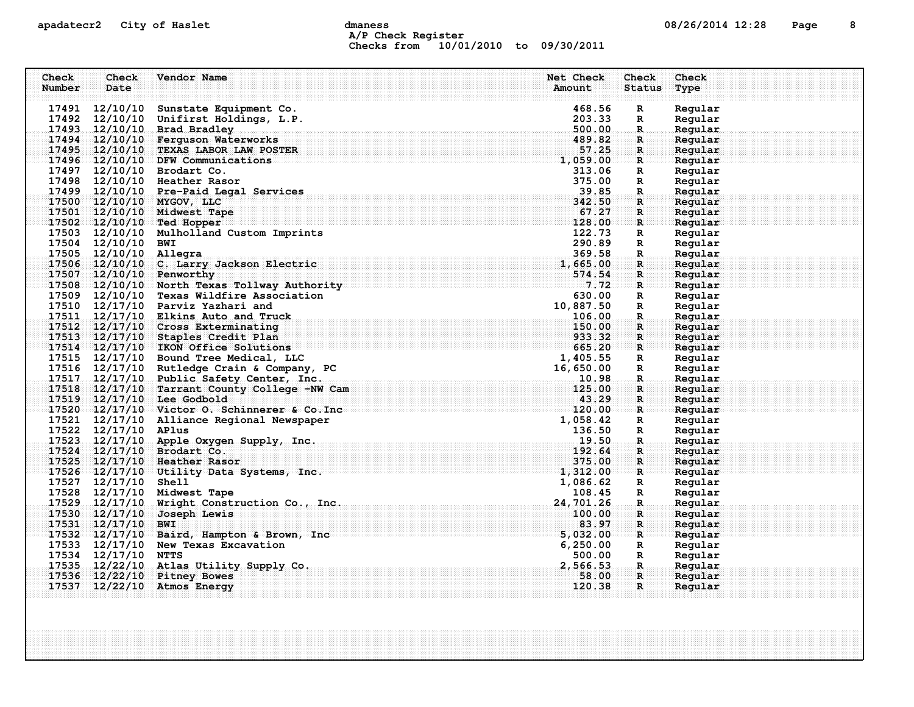# apadatecr2 City of Haslet dmaness dmaness and the control of the 12:28 Page 8 A/P Check Register Checks from 10/01/2010 to 09/30/2011

| Check  | Check                  | Vendor Name                                                      | Net Check                                            | Check              | Check              |  |
|--------|------------------------|------------------------------------------------------------------|------------------------------------------------------|--------------------|--------------------|--|
| Number | Date                   |                                                                  | Amount                                               | <b>Status</b>      | Type               |  |
|        | 17491 12/10/10         |                                                                  | 468.56                                               |                    | Regular            |  |
|        |                        | Sunstate Equipment Co.<br>17492 12/10/10 Unifirst Holdings, L.P. | 203.33                                               | R<br>R             | Regular            |  |
|        |                        | 17493 12/10/10 Brad Bradley                                      | 500.00                                               | $\mathbf R$        | Regular            |  |
|        |                        | 17494 12/10/10 Ferguson Waterworks                               | 489.82                                               | R                  | Reqular            |  |
|        |                        | 17495 12/10/10 TEXAS LABOR LAW POSTER                            | 57.25                                                | $\mathbf{R}$       | Regular            |  |
|        |                        | $17496$ $12/10/10$ DFW Communications                            | 1,059.00                                             | $\mathbf R$        | Regular            |  |
|        |                        | 17497 12/10/10 Brodart Co.                                       | 313.06                                               | R                  | Regular            |  |
|        |                        | 17498 12/10/10 Heather Rasor                                     | 375.00                                               | R                  | Regular            |  |
|        |                        | 17499 12/10/10 Pre-Paid Legal Services                           | 39.85                                                | $\mathbf R$        | Regular            |  |
|        |                        | 17500 12/10/10 MYGOV, LLC                                        | 342.50                                               | R                  | Regular            |  |
|        |                        | 17501 12/10/10 Midwest Tape                                      | 67.27                                                | $\mathbf R$        | Regular            |  |
|        |                        | 17502 12/10/10 Ted Hopper                                        | 128.00                                               | R                  | Regular            |  |
|        |                        | 17503 12/10/10 Mulholland Custom Imprints                        | 122.73                                               | R                  | Regular            |  |
|        | 17504 12/10/10 BWI     |                                                                  | 290.89                                               | R                  | Regular            |  |
|        | 17505 12/10/10 Allegra |                                                                  | 369.58                                               | $\mathbf R$        | Regular            |  |
|        |                        | 17506 12/10/10 C. Larry Jackson Electric                         | 1,665.00                                             | $\mathbf{R}$       | Regular            |  |
|        |                        | 17507 12/10/10 Penworthy                                         | 574.54                                               | $\mathbf R$        | Regular            |  |
|        |                        | 17508 12/10/10 North Texas Tollway Authority                     | 7.72                                                 | $\mathbf{R}$       | Regular            |  |
|        |                        | 17509 12/10/10 Texas Wildfire Association                        | 630.00                                               | R                  | Regular            |  |
|        |                        | 17510 12/17/10 Parviz Yazhari and                                | 10,887.50                                            | R                  | Regular            |  |
|        |                        | 17511 12/17/10 Elkins Auto and Truck                             | 106.00                                               | $\mathbf{R}$       | Regular            |  |
|        |                        | 17512 12/17/10 Cross Exterminating                               | 150.00                                               | R                  | Regular            |  |
|        |                        | 17513 12/17/10 Staples Credit Plan                               | $\begin{array}{c} \texttt{10} \end{array}$<br>933.32 | $\mathbf{R}$       | Regular            |  |
|        |                        | $17514$ $12/17/10$ IKON Office Solutions                         | 665.20                                               | R                  | Regular            |  |
|        |                        | 17515 12/17/10 Bound Tree Medical, LLC                           | $\frac{1}{16}$<br>1,405.55                           | R                  | Regular            |  |
|        |                        | 17516 12/17/10 Rutledge Crain & Company, PC                      | 16,650.00                                            | R                  | Regular            |  |
|        |                        | 17517 12/17/10 Public Safety Center, Inc.                        | 10.98                                                | $\mathbf R$        | Regular            |  |
|        |                        | 17518 12/17/10 Tarrant County College -NW Cam                    | 125.00                                               | R                  | Regular            |  |
|        |                        | 17519 12/17/10 Lee Godbold                                       | 43.29                                                | $\mathbf{R}$       | Regular            |  |
|        |                        | $17520$ $12/17/10$ $Victor$ 0. Schinnerer & Co. Inc $120.00$     |                                                      | R                  | Regular            |  |
|        |                        | 17521 12/17/10 Alliance Regional Newspaper                       | 1,058.42                                             | R                  | Regular            |  |
|        | 17522 12/17/10 APlus   |                                                                  | 136.50                                               | R                  | Regular            |  |
|        |                        | 17523 12/17/10 Apple Oxygen Supply, Inc.                         | 19.50                                                | $\mathbf R$        | Regular            |  |
|        |                        | 17524 12/17/10 Brodart Co.                                       | 192.64                                               | R                  | Regular            |  |
|        |                        | 17525 12/17/10 Heather Rasor                                     | 375.00                                               | $\mathbf{R}$       | Reqular            |  |
|        |                        | 17526 12/17/10 Utility Data Systems, Inc.                        | 1,312.00                                             | R                  | Regular            |  |
|        | 17527 12/17/10 Shell   | 17528 12/17/10 Midwest Tape                                      | 1,086.62                                             | R                  | Regular            |  |
|        |                        | 17529 12/17/10 Wright Construction Co., Inc.                     | 108.45<br>24,701.26                                  | R<br>$\mathbf R$ . | Regular<br>Regular |  |
|        | 17530 12/17/10         | Joseph Lewis                                                     | 100.00                                               | $\mathbf R$        | Regular            |  |
|        | 17531 12/17/10         | <b>BWI</b>                                                       | 83.97                                                | $\mathbf R$        | Regular            |  |
|        |                        | 17532 12/17/10 Baird, Hampton & Brown, Inc.                      | 5,032.00                                             | $\mathbf R$        | Regular            |  |
|        |                        | 17533 12/17/10 New Texas Excavation                              | 6, 250.00                                            | R                  | Regular            |  |
|        | 17534 12/17/10 NTTS    |                                                                  | 500.00                                               | $\mathbf R$        | Regular            |  |
|        |                        | 17535 12/22/10 Atlas Utility Supply Co.                          | 2,566.53                                             | $\mathbf{R}$       | Regular            |  |
|        |                        | 17536 12/22/10 Pitney Bowes                                      | 58.00                                                | $\mathbf{R}$       | Regular            |  |
|        |                        | 17537 12/22/10 Atmos Energy                                      | 120.38                                               | $\mathbf{R}$       | Regular            |  |
|        |                        |                                                                  |                                                      |                    |                    |  |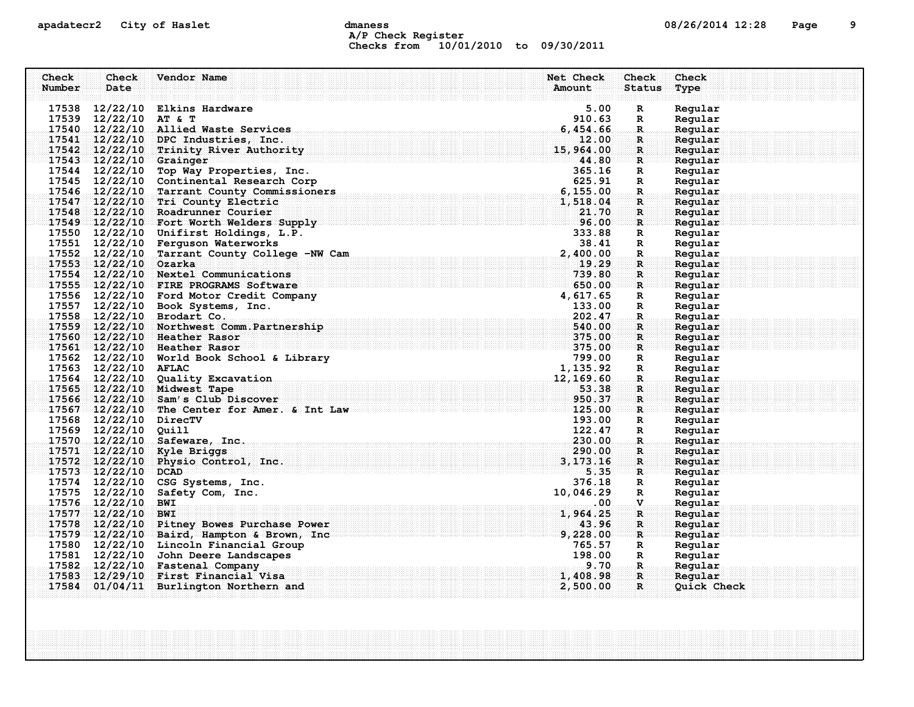# apadatecr2 City of Haslet and dmaness dmaness and the US/26/2014 12:28 Page 9 A/P Check Register Checks from 10/01/2010 to 09/30/2011

| Check  | Check                       | Vendor Name                                                  | Net Check        | Check                        | Check                  |
|--------|-----------------------------|--------------------------------------------------------------|------------------|------------------------------|------------------------|
| Number | Date                        |                                                              | Amount           | <b>Status</b>                | Type                   |
|        |                             | 17538 12/22/10 Elkins Hardware                               | 5.00             | $\mathbf R$                  | Regular                |
|        | 17539 12/22/10              | AT & T                                                       | 910.63           | $\mathbb{R}$                 | Regular                |
|        |                             | 17540 12/22/10 Allied Waste Services                         | 6,454.66         | $\mathbf R$ .                | Regular                |
|        | 17541 12/22/10              | DPC Industries, Inc.                                         | 12.00            | R                            | Regular                |
|        | 17542 12/22/10              | Trinity River Authority                                      | 15,964.00        | $\mathbf{R}$                 | Regular                |
|        | $17543 - 12/22/10$ Grainger | $\overline{\bf 44.80}$                                       |                  | $\mathbf{R}$                 | Regular                |
|        | 17544 12/22/10              | Top Way Properties, Inc.                                     | 365.16           | $\mathbf R$                  | Regular                |
|        |                             | 17545 12/22/10 Continental Research Corp                     | 625.91           | $\mathbf R$                  | Regular                |
|        | 17546 12/22/10              | Continental Research Corp<br>Tarrant County Commissioners    | 6, 155.00        | $\mathbf{R}$ .               | Regular                |
|        |                             | 17547 12/22/10 Tri County Electric                           | 1,518.04         | $\mathbf R$                  | Regular                |
|        |                             | 17548 12/22/10 Roadrunner Courier                            | 21.70            | $\mathbf R$                  | Regular                |
|        |                             | 17549 12/22/10 Fort Worth Welders Supply                     | 96.00            | $\mathbf{R}$                 | Regular                |
|        |                             | 17550 12/22/10 Unifirst Holdings, L.P.                       | 333.88           | $\mathbf{R}$                 | Regular                |
|        |                             | 17551 12/22/10 Ferguson Waterworks                           | 38.41            | R                            | Regular                |
|        | 17552 12/22/10              | Tarrant County College -NW Cam                               | 2,400.00         | $\mathbf R$ .                | Regular                |
|        | 17553 12/22/10              | Ozarka                                                       | 19.29            | R                            | Regular                |
|        |                             | 17554 12/22/10 Nextel Communications                         | 739.80           | $\mathbf R$                  | Regular                |
|        |                             | 17555 12/22/10 FIRE PROGRAMS Software                        | 650.00           | $\mathbf{R}$                 | Regular                |
|        |                             | 17556 12/22/10 Ford Motor Credit Company                     | 4,617.65         | R                            | Regular                |
|        |                             | 17557 12/22/10 Book Systems, Inc.                            | 133.00           | $\mathbb{R}$                 | Regular                |
|        |                             | 17558 12/22/10 Brodart Co.                                   | 202.47           | $\mathbf{R}$                 | Regular                |
|        |                             | 17559 12/22/10 Northwest Comm. Partnership                   | 540.00<br>375.00 | $\mathbf{R}$                 | Regular                |
|        |                             | 17560 12/22/10 Heather Rasor<br>17561 12/22/10 Heather Rasor | 375.00           | $\mathbf{R}$<br>$\mathbf{R}$ | Regular<br>Regular     |
|        |                             | 17562 12/22/10 World Book School & Library                   | 799.00           | R                            | Regular                |
|        | 17563 12/22/10              | <b>AFLAC</b>                                                 | 1, 135.92        | $\mathbf R$                  | Regular                |
|        |                             | 17564 12/22/10 Quality Excavation                            | 12, 169.60       | $\mathbf{R}$ .               | Regular                |
|        |                             | 17565 12/22/10 Midwest Tape                                  | 53.38            | $\mathbf{R}$                 | Regular                |
|        |                             | 17566 12/22/10 Sam's Club Discover                           | 950.37           | $\mathbf{R}$                 | Regular                |
|        |                             | $17567 - 12/22/10$ The Center for Amer. & Int Law            | 125.00           | $\mathbf{R}$                 | Regular                |
|        | 17568 12/22/10 DirecTV      |                                                              | 193.00           | $\mathbb{R}$                 | Regular                |
|        | 17569 12/22/10 Quill        |                                                              | 122.47           | R                            | Regular                |
|        |                             | 17570 12/22/10 Safeware, Inc.                                | 230.00           | R.                           | Regular                |
|        |                             | 17571 12/22/10 Kyle Briggs                                   | 290.00           | $\mathbf{R}$                 | Reqular                |
|        | 17572 12/22/10              | Physio Control, Inc.                                         | 3, 173. 16       | $\mathbf{R}$ .               | Regular                |
|        | $17573$ $12/22/10$          | <b>DCAD</b>                                                  | 5.35             | $\mathbf{R}$                 | Regular                |
|        | 17574 12/22/10              | CSG Systems, Inc.                                            | 376.18           | $\mathbf{R}$                 | Regular                |
|        | 17575 12/22/10              | Safety Com, Inc.                                             | 10,046.29        | R                            | Regular                |
|        | 17576 12/22/10              | <b>BWI</b>                                                   | .00.             | $\mathbf{V}$                 | Regular                |
|        | 17577 12/22/10              | <b>BWI</b>                                                   | 1,964.25         | $\mathbf R$                  | Regular                |
|        |                             | 17578 12/22/10 Pitney Bowes Purchase Power                   | 43.96            | $\mathbf{R}$                 | Regular                |
|        |                             | 17579 12/22/10 Baird, Hampton & Brown, Inc                   | 9,228.00         | $\mathbf{R}$                 | Regular                |
|        |                             | 17580 12/22/10 Lincoln Financial Group                       | 765.57           | $\mathbf R$                  | Regular                |
|        | 17581 12/22/10              | John Deere Landscapes                                        | 198.00           | $\mathbf R$                  | Regular                |
|        |                             | 17582 12/22/10 Fastenal Company                              | 9.70             | $\mathbf{R}_{\text{in}}$     | Regular                |
| 17583  |                             | 12/29/10 First Financial Visa                                | 1,408.98         | $\mathbf{R}$<br>$\mathbf{R}$ | Regular<br>Quick Check |
|        |                             | 17584 01/04/11 Burlington Northern and                       | 2,500.00         |                              |                        |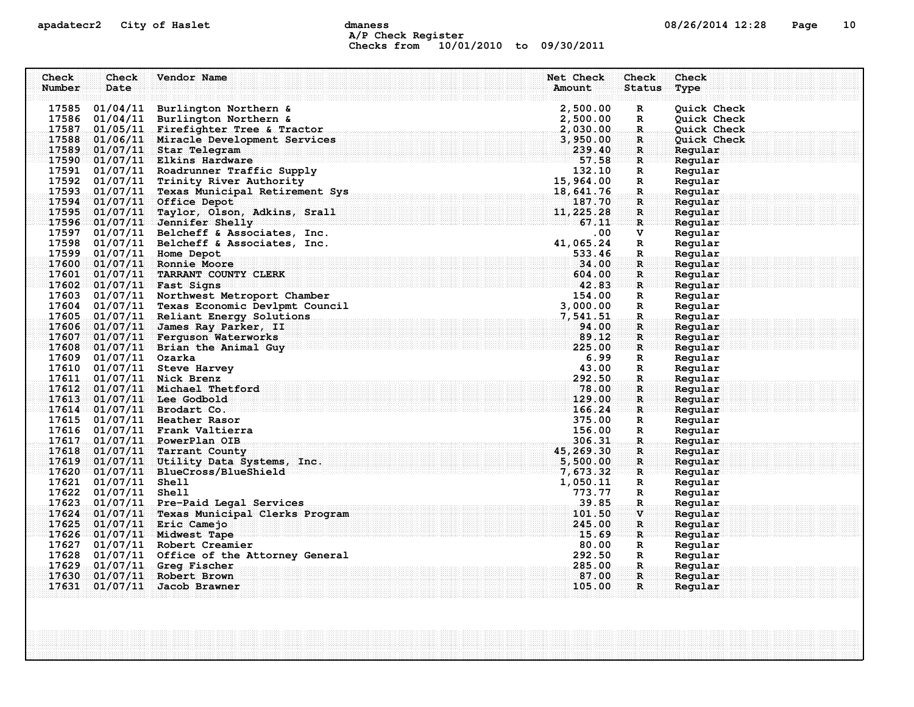### apadatecr2 City of Haslet compares dmaness compared to the 10 manes of the 10 manufacture of the 10 manufacture A/P Check Register Checks from 10/01/2010 to 09/30/2011

| Check<br>Number       | Check<br>Date | Vendor Name                                                                        | Net Check<br>Amount  | Check<br><b>Status</b> | Check              |
|-----------------------|---------------|------------------------------------------------------------------------------------|----------------------|------------------------|--------------------|
|                       |               |                                                                                    |                      |                        | Type               |
|                       |               | 17585 01/04/11 Burlington Northern &                                               | 2,500.00             | R                      | Quick Check        |
|                       |               | 17586 01/04/11 Burlington Northern &                                               | 2,500.00             | $\mathbf R$            | Quick Check        |
|                       |               | 17587 01/05/11 Firefighter Tree & Tractor                                          | 2,030.00             | $\mathbb{R}$           | Quick Check        |
|                       |               | 17588 01/06/11 Miracle Development Services                                        | 3,950.00             | R                      | Quick Check        |
|                       |               | 17589 01/07/11 Star Telegram                                                       | 239.40               | $\mathbf{R}$           | Reqular            |
|                       |               | 17590 01/07/11 Elkins Hardware                                                     | 57.58                | R                      | Regular            |
|                       |               | 17591 01/07/11 Roadrunner Traffic Supply                                           | 132.10               | $\mathbf R$            | Regular            |
|                       |               | 17592 01/07/11 Trinity River Authority                                             | 15,964.00            | $\mathbb{R}$           | Regular            |
|                       |               | 17593 01/07/11 Texas Municipal Retirement Sys                                      | 18,641.76            | $\mathbf R$            | Regular            |
|                       |               | 17594 01/07/11 Office Depot                                                        | 187.70               | R                      | Regular            |
|                       |               | 17595 01/07/11 Taylor, Olson, Adkins, Srall                                        | 11,225.28            | $\mathbf R$            | Reqular            |
|                       |               | 17596 01/07/11 Jennifer Shelly                                                     | 67.11                | $\mathbf{R}$           | Regular            |
|                       |               | 17597 01/07/11 Belcheff & Associates, Inc.                                         | .00.                 | V                      | Regular            |
|                       |               | 17598 01/07/11 Belcheff & Associates, Inc.                                         | 41,065.24            | R                      | Regular            |
|                       |               | 17599 01/07/11 Home Depot                                                          | 533.46<br>34.00      | R.                     | Regular            |
| 17601                 |               | 17600 01/07/11 Ronnie Moore<br>01/07/11 TARRANT COUNTY CLERK                       | 604.00               | R<br>$\mathbf R$       | Regular<br>Regular |
|                       |               | $17602$ 01/07/11 Fast Signs                                                        | 42.83                | $\mathbf{R}$           | Regular            |
|                       |               | 17603 01/07/11 Northwest Metroport Chamber                                         | 154.00               | R                      | Regular            |
|                       |               | 17604 01/07/11 Texas Economic Devlpmt Council                                      | 3,000.00             | R                      | Regular            |
|                       |               | 17605 01/07/11 Reliant Energy Solutions                                            | 7,541.51             | $\mathbf R$            | Regular            |
|                       |               | 17606 01/07/11 James Ray Parker, II                                                | 94.00                | R                      | Regular            |
| 17607                 |               | 01/07/11 Ferguson Waterworks                                                       | 89.12                | $\mathbf{R}$           | Reqular            |
|                       |               | $17608$ 01/07/11 Brian the Animal Guy                                              | 225.00               | R                      | Regular            |
| 17609 01/07/11 Ozarka |               |                                                                                    | 6.99                 | R                      | Regular            |
|                       |               | 17610 01/07/11 Steve Harvey                                                        | 43.00                | R                      | Regular            |
|                       |               | 17611 01/07/11 Nick Brenz                                                          | 292.50               | R.                     | Regular            |
| 17612                 |               | 01/07/11 Michael Thetford                                                          | 78.00                | R                      | Regular            |
|                       |               | 17613 01/07/11 Lee Godbold                                                         | 129.00               | $\mathbf{R}$           | Regular            |
|                       |               | $17614$ $01/07/11$ Brodart Co.                                                     | 166.24               | R                      | Regular            |
|                       |               | 17615 01/07/11 Heather Rasor                                                       | 375.00               | R                      | Regular            |
|                       |               | 17616 01/07/11 Frank Valtierra                                                     | 156.00               | R                      | Regular            |
|                       |               | 17617 01/07/11 PowerPlan OIB                                                       | 306.31               | R.                     | Regular            |
| 17618                 |               | $01/07/11$ Tarrant County                                                          | 45, 269.30           | R                      | Reqular            |
|                       |               | 17619 01/07/11 Utility Data Systems, Inc.<br>$17620$ 01/07/11 BlueCross/BlueShield | 5,500.00<br>7,673.32 | $\mathbf{R}$<br>R      | Regular<br>Reqular |
| 17621 01/07/11 Shell  |               |                                                                                    | 1,050.11             | R                      | Regular            |
| 17622 01/07/11 Shell  |               |                                                                                    | 773.77               | R                      | Regular            |
|                       |               | 17623 01/07/11 Pre-Paid Legal Services                                             | 39.85                | R.                     | Regular            |
|                       |               | 17624 01/07/11 Texas Municipal Clerks Program                                      | 101.50               | $\mathbf{v}$           | Regular            |
| 17625                 |               | $01/07/11$ Eric Camejo                                                             | 245.00               | $\mathbf R$            | Regular            |
|                       |               | 17626 01/07/11 Midwest Tape                                                        | 15.69                | R                      | Regular            |
|                       |               | 17627 01/07/11 Robert Creamier                                                     | 80.00                | R                      | Regular            |
|                       |               | 17628 01/07/11 Office of the Attorney General                                      | 292.50               | $\mathbb{R}$           | Regular            |
|                       |               | 17629 01/07/11 Greq Fischer                                                        | 285.00               | R.                     | Regular            |
| 17630                 |               | $01/07/11$ Robert Brown                                                            | 87.00                | $\mathbf{R}$           | Regular            |
| 17631                 |               | $01/07/11$ Jacob Brawner                                                           | 105.00               | $\mathbf{R}$           | Regular            |
|                       |               |                                                                                    |                      |                        |                    |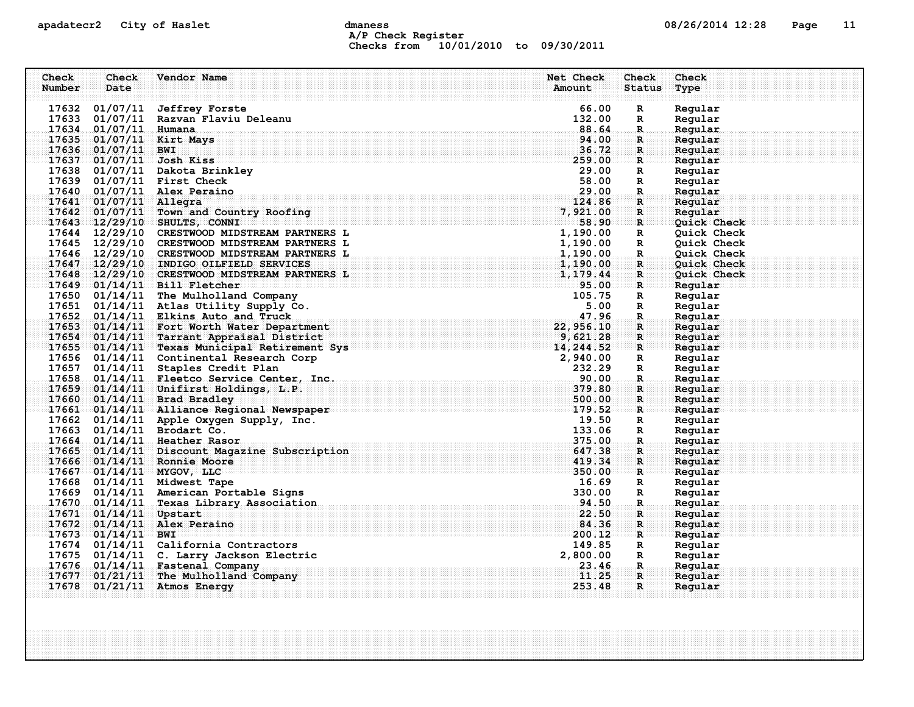### apadatecr2 City of Haslet control dmaness control dmaness control and the US/26/2014 12:28 Page 11 A/P Check Register Checks from 10/01/2010 to 09/30/2011

| Check  | Check                  | Vendor Name                                                                                                                                                                                                                                   | Net Check            | Check             | Check                      |  |
|--------|------------------------|-----------------------------------------------------------------------------------------------------------------------------------------------------------------------------------------------------------------------------------------------|----------------------|-------------------|----------------------------|--|
| Number | Date                   |                                                                                                                                                                                                                                               | Amount               | <b>Status</b>     | Type                       |  |
|        |                        | 17632 01/07/11 Jeffrey Forste                                                                                                                                                                                                                 | 66.00                | $\mathbf R$       | Regular                    |  |
|        |                        | 17633 01/07/11 Razvan Flaviu Deleanu                                                                                                                                                                                                          | 132.00               | R                 | Regular                    |  |
|        | 17634 01/07/11 Humana  |                                                                                                                                                                                                                                               | 88.64                | $\mathbf R$       | Regular                    |  |
| 17635  |                        | 01/07/11 Kirt Mays                                                                                                                                                                                                                            | 94.00                | R                 | Regular                    |  |
|        | 17636 01/07/11 BWI     |                                                                                                                                                                                                                                               | 36.72                | $\mathbf{R}$      | Regular                    |  |
|        |                        | $17637$ 01/07/11 Josh Kiss                                                                                                                                                                                                                    | 259.00               | $\mathbf{R}$      | Regular                    |  |
|        |                        | 17638 01/07/11 Dakota Brinkley                                                                                                                                                                                                                | 29.00                | $\mathbb{R}$      | Regular                    |  |
|        |                        | 17639 01/07/11 First Check                                                                                                                                                                                                                    | 58.00                | R                 | Regular                    |  |
|        |                        | 17640 01/07/11 Alex Peraino                                                                                                                                                                                                                   | 29.00                | R.                | Regular                    |  |
|        | 17641 01/07/11 Allegra |                                                                                                                                                                                                                                               | 124.86               | $\mathbf{R}$      | Regular                    |  |
|        |                        | 17642 01/07/11 Town and Country Roofing                                                                                                                                                                                                       | 7,921.00             | $\mathbf R$       | Regular                    |  |
|        |                        | 17643 12/29/10 SHULTS, CONNI                                                                                                                                                                                                                  | 58.90                | $\mathbf{R}$      | Quick Check                |  |
|        |                        | 17644 12/29/10 CRESTWOOD MIDSTREAM PARTNERS L                                                                                                                                                                                                 | 1,190.00             | $\mathbf R$       | Quick Check                |  |
|        |                        | 17645 12/29/10 CRESTWOOD MIDSTREAM PARTNERS L<br>17646 12/29/10 CRESTWOOD MIDSTREAM PARTNERS L                                                                                                                                                | 1,190.00             | $\mathbb{R}$      | Quick Check                |  |
|        |                        | 17647 12/29/10 INDIGO OILFIELD SERVICES                                                                                                                                                                                                       | 1,190.00<br>1,190.00 | R<br>$\mathbf{R}$ | Quick Check<br>Quick Check |  |
|        |                        | 17648 12/29/10 CRESTWOOD MIDSTREAM PARTNERS L                                                                                                                                                                                                 | 1,179.44             | $\mathbf R$       | Quick Check                |  |
|        |                        | 17649 01/14/11 Bill Fletcher                                                                                                                                                                                                                  | 95.00                | $\mathbf{R}$      | Regular                    |  |
|        |                        | 17650 01/14/11 The Mulholland Company                                                                                                                                                                                                         | 105.75               | $\mathbf R$       | Regular                    |  |
|        |                        | 17651 01/14/11 Atlas Utility Supply Co.                                                                                                                                                                                                       | 5.00                 | R                 | Regular                    |  |
|        |                        |                                                                                                                                                                                                                                               | 47.96                | $\mathbf R$       | Regular                    |  |
|        |                        |                                                                                                                                                                                                                                               | 22, 956.10           | $\mathbf R$       | Regular                    |  |
|        |                        |                                                                                                                                                                                                                                               | 9,621.28             | $\mathbf R$       | Regular                    |  |
|        |                        | 17652 01/14/11 Elkins Auto and Truck<br>17653 01/14/11 Fort Worth Water Department<br>17654 01/14/11 Tarrant Appraisal District<br>17655 01/14/11 Texas Municipal Retirement Sys<br>17656 01/14/11 Continental Research Corp<br>17657 01/14/1 | 14, 244.52           | $\mathbf{R}$      | Regular                    |  |
|        |                        |                                                                                                                                                                                                                                               | 2,940.00             | $\mathbf R$       | Regular                    |  |
|        |                        |                                                                                                                                                                                                                                               | 232.29               | $\mathbb{R}$      | Regular                    |  |
|        |                        |                                                                                                                                                                                                                                               | 90.00                | $\mathbf R$       | Regular                    |  |
|        |                        | 17658 01/14/11 Staples Credit Plan<br>17658 01/14/11 Fleetco Service Center, Inc.<br>17659 01/14/11 Unifirst Holdings, L.P.<br>17660 01/14/11 Desd Dealle:                                                                                    | 379.80               | R                 | Regular                    |  |
|        |                        | 17660 01/14/11 Brad Bradley                                                                                                                                                                                                                   | 500.00               | $\mathbf{R}$      | Regular                    |  |
|        |                        | 17661 01/14/11 Alliance Regional Newspaper                                                                                                                                                                                                    | 179.52<br>19.50      | $\mathbf R$ :     | Regular                    |  |
|        |                        | 17662 01/14/11 Apple Oxygen Supply, Inc.<br>17663 01/14/11 Brodart Co.                                                                                                                                                                        | 133.06               | R<br>R            | Regular<br>Regular         |  |
|        |                        | 17664 01/14/11 Heather Rasor                                                                                                                                                                                                                  | 375.00               | R.                | Regular                    |  |
|        |                        | 17665 01/14/11 Discount Magazine Subscription                                                                                                                                                                                                 | 647.38               | $\mathbf R$       | Regular                    |  |
|        |                        | 17666 01/14/11 Ronnie Moore                                                                                                                                                                                                                   | 419.34               | $\mathbf{R}$      | Regular                    |  |
|        |                        | 17667 01/14/11 MYGOV, LLC                                                                                                                                                                                                                     | 350.00               | $\mathbf{R}$      | Regular                    |  |
|        |                        | 17668 01/14/11 Midwest Tape                                                                                                                                                                                                                   | 16.69                | R                 | Regular                    |  |
|        |                        | 17669 01/14/11 American Portable Signs                                                                                                                                                                                                        | 330.00               | $\mathbb{R}$      | Regular                    |  |
|        |                        | 17670 01/14/11 Texas Library Association                                                                                                                                                                                                      | 94.50                | R.                | Regular                    |  |
|        | 17671 01/14/11 Upstart |                                                                                                                                                                                                                                               | 22.50                | $\mathbf{R}$      | Regular                    |  |
|        |                        | 17672 01/14/11 Alex Peraino                                                                                                                                                                                                                   | 84.36                | $\mathbf R$       | Regular                    |  |
|        | $17673$ 01/14/11 BWI   |                                                                                                                                                                                                                                               | 200.12               | $\mathbf{R}$      | Regular                    |  |
|        |                        | 17674 01/14/11 California Contractors                                                                                                                                                                                                         | 149.85               | R                 | Regular                    |  |
|        |                        | 17675 01/14/11 C. Larry Jackson Electric                                                                                                                                                                                                      | 2,800.00             | R                 | Regular                    |  |
|        |                        | 17676 01/14/11 Fastenal Company                                                                                                                                                                                                               | 23.46                | $\mathbf R$ .     | Regular                    |  |
| 17677  |                        | 01/21/11 The Mulholland Company                                                                                                                                                                                                               | 11.25                | $\mathbf{R}$      | Reqular                    |  |
| 17678  |                        | 01/21/11 Atmos Energy                                                                                                                                                                                                                         | 253.48               | $\mathbf{R}$      | Regular                    |  |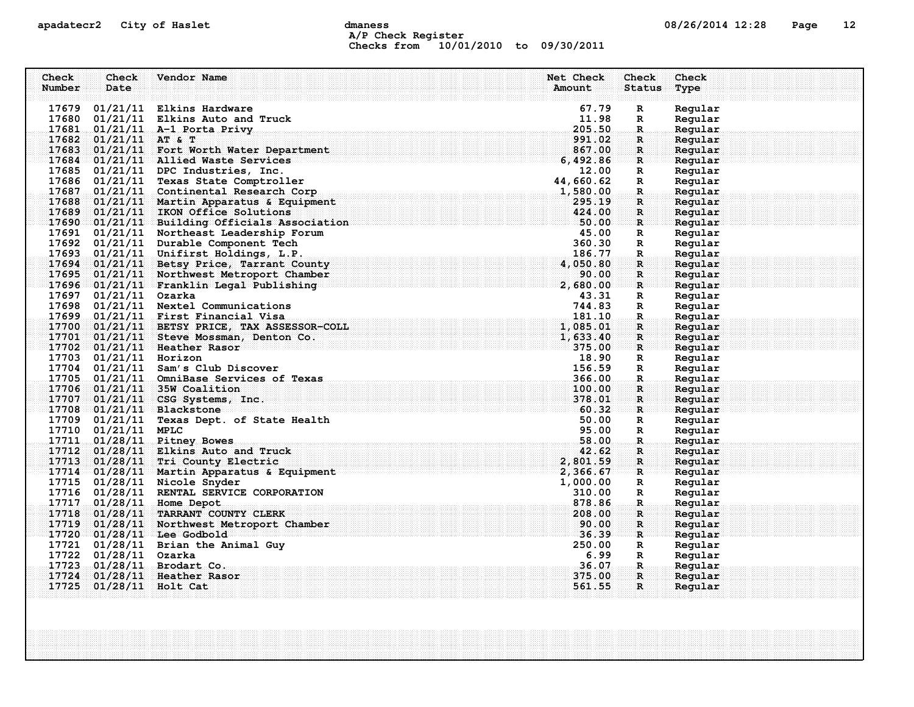### apadatecr2 City of Haslet compound dmaness compound the definition of the definition of the definition of the definition of the definition of the definition of the definition of the definition of the definition of the defi A/P Check Register Checks from 10/01/2010 to 09/30/2011

| Check  | Check                   | Vendor Name                                                                                                                                                                                                                                                                                                                                    | Net Check          | Check                       | Check              |
|--------|-------------------------|------------------------------------------------------------------------------------------------------------------------------------------------------------------------------------------------------------------------------------------------------------------------------------------------------------------------------------------------|--------------------|-----------------------------|--------------------|
| Number | Date                    |                                                                                                                                                                                                                                                                                                                                                | Amount             | <b>Status</b>               | Type               |
|        |                         |                                                                                                                                                                                                                                                                                                                                                |                    |                             |                    |
|        |                         | 17679 01/21/11 Elkins Hardware                                                                                                                                                                                                                                                                                                                 | 67.79              | $\mathbf R$                 | Regular            |
|        |                         | $17680$ $01/21/11$ Elkins Auto and Truck                                                                                                                                                                                                                                                                                                       | 11.98              | $\mathbb{R}$                | Regular            |
|        |                         | 17681 01/21/11 A-1 Porta Privy                                                                                                                                                                                                                                                                                                                 | 205.50             | $\mathbf R$                 | Regular            |
|        | 17682 $01/21/11$ AT & T |                                                                                                                                                                                                                                                                                                                                                | 991.02             | $\mathbf{R}$ .              | Regular            |
|        |                         | 17683 01/21/11 Fort Worth Water Department                                                                                                                                                                                                                                                                                                     | 867.00             | $\mathbf{R}$                | Regular            |
|        |                         | 17684 01/21/11 Allied Waste Services                                                                                                                                                                                                                                                                                                           | 6,492.86           | $\mathbb{R}^n$              | Regular            |
|        |                         | 17685 01/21/11 DPC Industries, Inc.                                                                                                                                                                                                                                                                                                            | 12.00<br>44,660.62 | $\mathbf R$                 | Regular            |
|        |                         | 17686 01/21/11 Texas State Comptroller                                                                                                                                                                                                                                                                                                         |                    | $\mathbf{R}$                | Regular            |
|        |                         | $\frac{17687}{44,000.62}$<br>1,580.00.00<br>1,580.00.00<br>17688 01/21/11 Martin Apparatus & Equipment                                                                                                                                                                                                                                         | 295.19             | $\mathbf R$ .               | Regular<br>Regular |
|        |                         | 17689 01/21/11 IKON Office Solutions                                                                                                                                                                                                                                                                                                           | 424.00             | $\mathbf{R}$<br>$\mathbf R$ | Regular            |
|        |                         | 17690 01/21/11 Building Officials Association 50.00 50.00                                                                                                                                                                                                                                                                                      |                    | $\mathbf{R}$                | Regular            |
|        |                         | 17691 01/21/11 Northeast Leadership Forum                                                                                                                                                                                                                                                                                                      | 45.00              | R                           | Regular            |
|        |                         | 17692 01/21/11 Durable Component Tech                                                                                                                                                                                                                                                                                                          | 360.30             | $\mathbb{R}$                | Regular            |
|        |                         | 17693 01/21/11 Unifirst Holdings, L.P.                                                                                                                                                                                                                                                                                                         | 186.77             | $\mathbb{R}$                | Regular            |
|        |                         | ity and $\frac{1}{2}$ . The set of $\frac{1}{2}$ , $\frac{1}{2}$ , $\frac{1}{2}$ , $\frac{1}{2}$ , $\frac{1}{2}$ , $\frac{1}{2}$ , $\frac{1}{2}$ , $\frac{1}{2}$ , $\frac{1}{2}$ , $\frac{1}{2}$ , $\frac{1}{2}$ , $\frac{1}{2}$ , $\frac{1}{2}$ , $\frac{1}{2}$ , $\frac{1}{2}$ , $\frac{1}{2}$<br>17694 01/21/11 Betsy Price, Tarrant County | 4,050.80           | $\mathbf{R}$                | Regular            |
|        |                         | 17695 01/21/11 Northwest Metroport Chamber                                                                                                                                                                                                                                                                                                     | 90.00              | $\mathbf R$                 | Regular            |
|        |                         | $\frac{17696}{17696}$ 01/21/11 Franklin Legal Publishing 2,680.00                                                                                                                                                                                                                                                                              |                    | $\mathbf{R}$                | Regular            |
|        | 17697 01/21/11 Ozarka   |                                                                                                                                                                                                                                                                                                                                                | 43.31              | $\mathbf{R}$                | Regular            |
|        |                         | 17698 01/21/11 Nextel Communications                                                                                                                                                                                                                                                                                                           | 744.83             | R                           | Regular            |
|        |                         | 17699 01/21/11 First Financial Visa                                                                                                                                                                                                                                                                                                            | 181.10             | $\mathbf R$                 | Regular            |
|        |                         | 17700 01/21/11 BETSY PRICE, TAX ASSESSOR-COLL                                                                                                                                                                                                                                                                                                  | 1,085.01           | R                           | Regular            |
|        |                         | 17701 01/21/11 Steve Mossman, Denton Co.                                                                                                                                                                                                                                                                                                       | 1,633.40           | $\mathbf{R}$                | Regular            |
|        |                         | 17702 01/21/11 Heather Rasor                                                                                                                                                                                                                                                                                                                   | 375.00             | $\mathbf{R}$                | Regular            |
|        | 17703 01/21/11 Horizon  |                                                                                                                                                                                                                                                                                                                                                | 18.90              | $\mathbf{R}$                | Regular            |
|        |                         | 17704 01/21/11 Sam's Club Discover                                                                                                                                                                                                                                                                                                             | 156.59             | R                           | Regular            |
|        |                         | 17705 01/21/11 OmniBase Services of Texas                                                                                                                                                                                                                                                                                                      | 366.00             | $\mathbf R$ .               | Regular            |
|        |                         | 17706 01/21/11 35W Coalition                                                                                                                                                                                                                                                                                                                   | 100.00             | R                           | Regular            |
|        |                         | 17707 01/21/11 CSG Systems, Inc.                                                                                                                                                                                                                                                                                                               | 378.01             | R                           | Regular            |
|        |                         | 17708 01/21/11 Blackstone                                                                                                                                                                                                                                                                                                                      | 60.32              | R                           | Regular            |
|        |                         | 17709 01/21/11 Texas Dept. of State Health                                                                                                                                                                                                                                                                                                     | 50.00              | $\mathbb{R}$                | Regular            |
|        | 17710 01/21/11 MPLC     |                                                                                                                                                                                                                                                                                                                                                | 95.00              | $\mathbb{R}$                | Regular            |
|        |                         | 17711 01/28/11 Pitney Bowes                                                                                                                                                                                                                                                                                                                    | 58.00              | $\mathbf{R}$                | Regular            |
|        |                         | 17712 01/28/11 Elkins Auto and Truck                                                                                                                                                                                                                                                                                                           | 42.62              | $\mathbf R$                 | Regular            |
|        |                         | 17713 01/28/11 Tri County Electric                                                                                                                                                                                                                                                                                                             | 2,801.59           | $\mathbf{R}$                | Regular            |
|        |                         | 17714 01/28/11 Martin Apparatus & Equipment                                                                                                                                                                                                                                                                                                    | 2,366.67           | R                           | Regular            |
|        |                         | 17715 01/28/11 Nicole Snyder                                                                                                                                                                                                                                                                                                                   | 1,000.00           | $\mathbf R$                 | Regular            |
|        |                         | 17716 01/28/11 RENTAL SERVICE CORPORATION                                                                                                                                                                                                                                                                                                      | 310.00             | $\mathbf R$                 | Regular            |
|        |                         | 17717 01/28/11 Home Depot                                                                                                                                                                                                                                                                                                                      | 878.86             | $\mathbf{R}$ .              | Regular            |
|        |                         | 17718 01/28/11 TARRANT COUNTY CLERK                                                                                                                                                                                                                                                                                                            | 208.00             | $\mathbf R$                 | Regular            |
|        |                         | 17719 01/28/11 Northwest Metroport Chamber                                                                                                                                                                                                                                                                                                     | 90.00              | $\mathbf R$                 | Regular            |
|        |                         | 17720 01/28/11 Lee Godbold                                                                                                                                                                                                                                                                                                                     | 36.39              | $\mathbf{R}$                | Regular            |
|        |                         | 17721 01/28/11 Brian the Animal Guy                                                                                                                                                                                                                                                                                                            | 250.00             | $\mathbf{R}$                | Regular            |
|        | 17722 01/28/11 Ozarka   |                                                                                                                                                                                                                                                                                                                                                | 6.99               | R                           | Regular            |
|        |                         | 17723 01/28/11 Brodart Co.                                                                                                                                                                                                                                                                                                                     | 36.07              | -R.,                        | Regular            |
|        |                         | 17724 01/28/11 Heather Rasor                                                                                                                                                                                                                                                                                                                   | 375.00             | $\mathbf R$ :               | Regular            |
|        | 17725 01/28/11 Holt Cat |                                                                                                                                                                                                                                                                                                                                                | 561.55             | $\mathbf{R}$                | Regular            |
|        |                         |                                                                                                                                                                                                                                                                                                                                                |                    |                             |                    |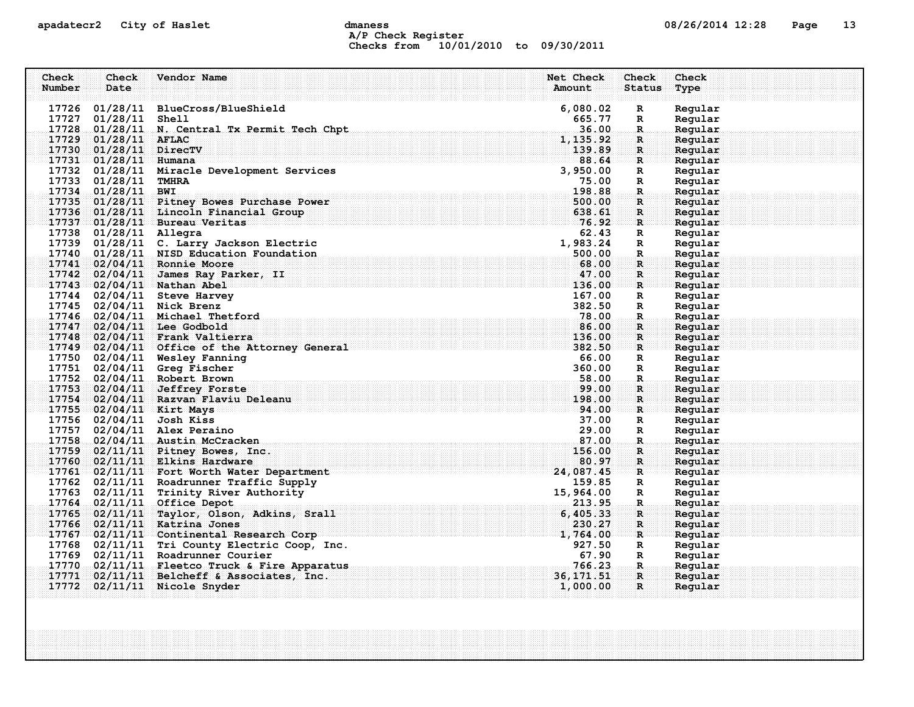### apadatecr2 City of Haslet control dmaness control dmaness control and the US/26/2014 12:28 Page 13 A/P Check Register Checks from 10/01/2010 to 09/30/2011

|        |                         |                                                                                                                |            | Check         | Check   |  |
|--------|-------------------------|----------------------------------------------------------------------------------------------------------------|------------|---------------|---------|--|
| Number | Date                    |                                                                                                                | Amount     | <b>Status</b> | Type    |  |
|        |                         |                                                                                                                |            |               |         |  |
|        |                         | 17726 01/28/11 BlueCross/BlueShield                                                                            | 6,080.02   | $\mathbf R$   | Regular |  |
|        | 17727 01/28/11 Shell    |                                                                                                                | 665.77     | R             | Regular |  |
|        |                         | 17728 01/28/11 N. Central Tx Permit Tech Chpt                                                                  | 36.00      | $\mathbb{R}$  | Regular |  |
|        | 17729 01/28/11 AFLAC    |                                                                                                                | 1, 135.92  | $\mathbf R$   | Regular |  |
|        | 17730 01/28/11 DirecTV  |                                                                                                                | 139.89     | R             | Regular |  |
|        | $17731$ 01/28/11 Humana |                                                                                                                | 88.64      | $\mathbf R$   | Regular |  |
|        |                         | 17732 01/28/11 Miracle Development Services                                                                    | 3,950.00   | R             | Regular |  |
|        | 17733 01/28/11 TMHRA    |                                                                                                                | 75.00      | R             | Regular |  |
|        | 17734 01/28/11 BWI      |                                                                                                                | 198.88     | R.            | Regular |  |
|        |                         | 17735 01/28/11 Pitney Bowes Purchase Power                                                                     | 500.00     | R             | Regular |  |
|        |                         | 17736 01/28/11 Lincoln Financial Group                                                                         | 638.61     | $\mathbf R$   | Regular |  |
|        |                         | 17737 01/28/11 Bureau Veritas                                                                                  | 76.92      | $\mathbf{R}$  | Regular |  |
|        | 17738 01/28/11 Allegra  |                                                                                                                | 62.43      | R             | Regular |  |
|        |                         | 17739 01/28/11 C. Larry Jackson Electric                                                                       | 1,983.24   | R             | Regular |  |
|        |                         | 17740 01/28/11 NISD Education Foundation                                                                       | 500.00     | $\mathbf R$ . | Regular |  |
|        |                         | 17741 02/04/11 Ronnie Moore                                                                                    | 68.00      | R             | Regular |  |
|        |                         | 17742 02/04/11 James Ray Parker, II                                                                            | 47.00      | $\mathbf R$   | Regular |  |
|        |                         | 17743 02/04/11 Nathan Abel                                                                                     | 136.00     | $\mathbf{R}$  | Regular |  |
|        |                         | 17744 02/04/11 Steve Harvey                                                                                    | 167.00     | R             | Regular |  |
|        |                         | 17745 02/04/11 Nick Brenz                                                                                      | 382.50     | R             | Regular |  |
|        |                         | 17746 02/04/11 Michael Thetford                                                                                | 78.00      | R.            | Regular |  |
|        |                         | 17747 02/04/11 Lee Godbold                                                                                     | 86.00      | R             | Regular |  |
|        |                         | 17748 02/04/11 Frank Valtierra                                                                                 | 136.00     | $\mathbf{R}$  | Reqular |  |
|        |                         | 17749 02/04/11 Office of the Attorney General                                                                  | 382.50     | $\mathbf{R}$  | Regular |  |
|        |                         | 17750 02/04/11 Wesley Fanning                                                                                  | 66.00      | R             | Regular |  |
|        |                         | 17751 02/04/11 Greg Fischer                                                                                    | 360.00     | R             | Regular |  |
|        |                         | 17752 02/04/11 Robert Brown                                                                                    | .58.00     | R.            | Regular |  |
|        |                         | 17753 02/04/11 Jeffrey Forste                                                                                  | 99.00      | R             | Regular |  |
|        |                         | 17754 02/04/11 Razvan Flaviu Deleanu                                                                           | 198.00     | $\mathbf R$   | Regular |  |
|        |                         | 17755 02/04/11 Kirt Mays<br>where the contribution of the contribution of the contribution of $\mathbf{94:00}$ |            | R             | Regular |  |
|        |                         | 17756 02/04/11 Josh Kiss                                                                                       | 37.00      | R             | Regular |  |
|        |                         | 17757 02/04/11 Alex Peraino                                                                                    | 29.00      | $\mathbb{R}$  | Regular |  |
|        |                         | 17758 02/04/11 Austin McCracken                                                                                | 87.00      | R.            | Regular |  |
|        |                         | 17759 02/11/11 Pitney Bowes, Inc.                                                                              | 156.00     | R             | Regular |  |
|        |                         | 17760 02/11/11 Elkins Hardware                                                                                 | 80.97      | $\mathbf{R}$  | Regular |  |
|        |                         | 17761 02/11/11 Fort Worth Water Department                                                                     | 24,087.45  | R             | Reqular |  |
|        |                         | 17762 02/11/11 Roadrunner Traffic Supply                                                                       | 159.85     | R             | Regular |  |
|        |                         | 17763 02/11/11 Trinity River Authority                                                                         | 15,964.00  | $\mathbb{R}$  | Regular |  |
|        |                         | 17764 02/11/11 Office Depot                                                                                    | 213.95     | R.            | Regular |  |
|        |                         | 17765 02/11/11 Taylor, Olson, Adkins, Srall                                                                    | 6,405.33   | R             | Regular |  |
|        |                         | 17766 02/11/11 Katrina Jones                                                                                   | 230.27     | $\mathbf R$   | Regular |  |
|        |                         | 17767 02/11/11 Continental Research Corp                                                                       | 1,764.00   | R             | Regular |  |
|        |                         | 17768 02/11/11 Tri County Electric Coop, Inc.                                                                  | 927.50     | R             | Regular |  |
|        |                         | 17769 02/11/11 Roadrunner Courier                                                                              | 67.90      | R             | Regular |  |
|        |                         | 17770 02/11/11 Fleetco Truck & Fire Apparatus                                                                  | 766.23     | R.            | Regular |  |
| 17771  |                         | $02/11/11$ Belcheff & Associates, Inc.                                                                         | 36, 171.51 | $\mathbf R$   | Regular |  |
|        |                         | 17772 02/11/11 Nicole Snyder                                                                                   | 1,000.00   | $\mathbf{R}$  | Regular |  |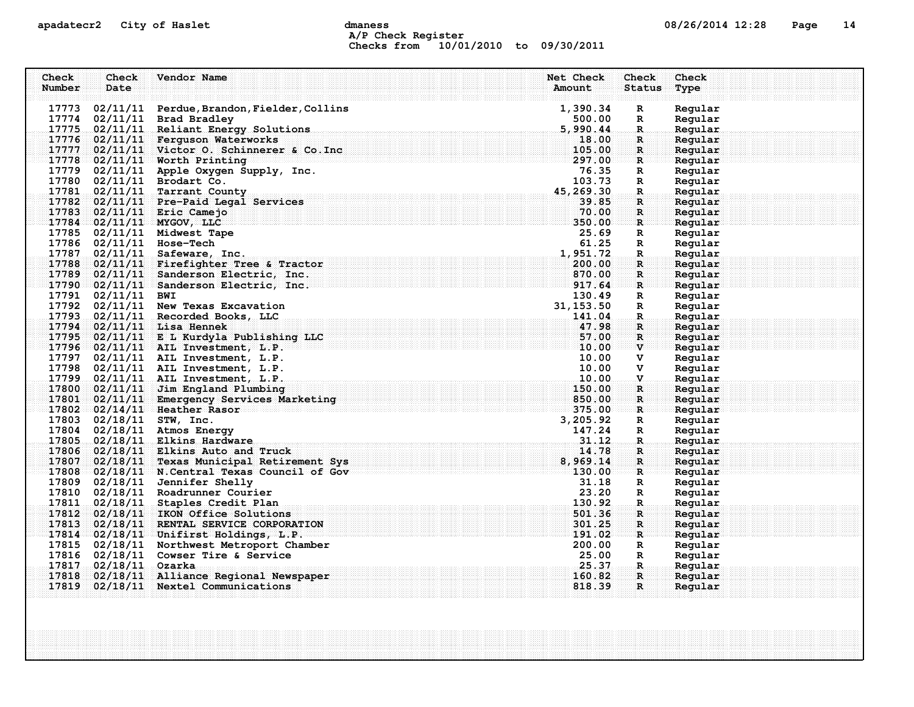# apadatecr2 City of Haslet dmaness dmaness and the control of the 14 A/P Check Register Checks from 10/01/2010 to 09/30/2011

| Check<br>Number | Check<br>Date      | Vendor Name                                                                                                                                         | Net Check<br>Amount | Check<br><b>Status</b>          | Check<br>Type      |
|-----------------|--------------------|-----------------------------------------------------------------------------------------------------------------------------------------------------|---------------------|---------------------------------|--------------------|
|                 |                    | 17773 02/11/11 Perdue, Brandon, Fielder, Collins                                                                                                    | 1,390.34            | $\mathbf{R}$                    | Regular            |
|                 |                    | 17774 02/11/11 Brad Bradley                                                                                                                         | 500.00              | $\mathbf{R}$                    | Regular            |
|                 |                    | 17775 02/11/11 Reliant Energy Solutions                                                                                                             | 5,990.44            | $\mathbb{R}$                    | Regular            |
|                 |                    | 17776 02/11/11 Ferguson Waterworks                                                                                                                  | 18.00               | R.                              | Regular            |
|                 |                    | 17777 02/11/11 Victor 0. Schinnerer & Co. Inc                                                                                                       | 105.00              | $\mathbf{R}$                    | Regular            |
|                 |                    | 17778 02/11/11 Worth Printing                                                                                                                       | 297.00              | R                               | Regular            |
|                 |                    | 17779 02/11/11 Apple Oxygen Supply, Inc.                                                                                                            | 76.35               | $\mathbf{R}$                    | Regular            |
|                 |                    | 17780 02/11/11 Brodart Co.                                                                                                                          | 103.73              | $\mathbf R$                     | Regular            |
|                 |                    | 17781 02/11/11 Tarrant County                                                                                                                       | 45,269.30           | $\mathbb{R}$                    | Regular            |
|                 |                    | 17782 02/11/11 Pre-Paid Legal Services                                                                                                              | 39.85               | R                               | Regular            |
|                 |                    | 17783 02/11/11 Eric Camejo                                                                                                                          | 70.00               | R                               | Regular            |
|                 |                    | 17784 02/11/11 MYGOV, LLC                                                                                                                           | 350.00              | $\mathbf{R}$                    | Regular            |
|                 |                    | 17785 02/11/11 Midwest Tape                                                                                                                         | 25.69               | R                               | Regular            |
|                 |                    | 17786 02/11/11 Hose-Tech                                                                                                                            | 61.25               | $\mathbf R$                     | Regular            |
|                 |                    | 17787 02/11/11 Safeware, Inc.                                                                                                                       | 1,951.72            | $\mathbf{R}$                    | Regular            |
|                 |                    | 17788 02/11/11 Firefighter Tree & Tractor                                                                                                           | 200.00              | R                               | Regular            |
|                 |                    | 17789 02/11/11 Sanderson Electric, Inc.<br>$\frac{870}{917.64}$                                                                                     | 870.00              | $\mathbf{R}$                    | Reqular            |
|                 |                    | $17790$ 02/11/11 Sanderson Electric, Inc.                                                                                                           |                     | $\mathbf{R}$ . The $\mathbf{R}$ | Regular            |
|                 | 17791 02/11/11 BWI |                                                                                                                                                     | 130.49              | $\mathbf{R}$                    | Regular            |
|                 |                    | 17792 02/11/11 New Texas Excavation                                                                                                                 | 31, 153.50          | $\mathbf R$                     | Regular            |
|                 |                    | 17793 02/11/11 Recorded Books, LLC                                                                                                                  | 141.04              | $\mathbf{R}_{\perp}$            | Regular            |
| 17794           |                    | $02/11/11$ Lisa Hennek                                                                                                                              | 47.98               | R                               | Regular            |
|                 |                    | $\mathbf{L} \mathbf{C} = \begin{bmatrix} 57.00 \\ 10.00 \end{bmatrix}$<br>17795 02/11/11 E L Kurdyla Publishing LLC                                 |                     | $\mathbf{R}$                    | Regular            |
|                 |                    | 17796 02/11/11 AIL Investment, L.P.                                                                                                                 |                     | $\mathbf{v}$ and $\mathbf{v}$   | Regular            |
|                 |                    | 17797 02/11/11 AIL Investment, L.P.                                                                                                                 | 10.00               | v                               | Regular            |
|                 |                    | 17798 02/11/11 AIL Investment, L.P.                                                                                                                 | 10.00               | v                               | Regular            |
|                 |                    | . The component of the component ${\bf 10}$ , ${\bf 00}$ , ${\bf 00}$ , ${\bf 00}$ , ${\bf 00}$ , ${\bf 01}$<br>17799 02/11/11 AIL Investment, L.P. |                     | $\mathbf{V}$                    | Regular            |
|                 |                    | 17800 02/11/11 Jim England Plumbing                                                                                                                 | 150.00<br>850.00    | $\mathbf R$                     | Regular            |
|                 |                    | 17801 02/11/11 Emergency Services Marketing<br>1/801 02/11/11 Emergency Services Marketing<br>17802 02/14/11 Heather Rasor                          | 375.00              | $\mathbf{R}$                    | Regular<br>Regular |
|                 |                    | 17803 02/18/11 STW, Inc.                                                                                                                            | 3, 205.92           | $\mathbb{R}^n$<br>$\mathbf R$   | Regular            |
|                 |                    | 17804 02/18/11 Atmos Energy                                                                                                                         | 147.24              | $\mathbf{R}$                    | Regular            |
|                 |                    | 17805 02/18/11 Elkins Hardware                                                                                                                      | 31.12               | $\mathbf{R}$                    | Regular            |
|                 |                    | 17806 02/18/11 Elkins Auto and Truck                                                                                                                | 14.78               | R                               | Regular            |
|                 |                    |                                                                                                                                                     |                     | R                               | Regular            |
|                 |                    | 17807 02/18/11 Texas Municipal Retirement Sys 8,969.14<br>17808 02/18/11 N.Central Texas Council of Gov 130.00                                      |                     | $\mathbf{R}^{\mathbb{N}}$       | Regular            |
|                 |                    | 17809 02/18/11 Jennifer Shelly                                                                                                                      | 31.18               | R                               | Regular            |
|                 |                    | 17810 02/18/11 Roadrunner Courier                                                                                                                   | 23.20               | R                               | Regular            |
|                 |                    | 17811 02/18/11 Staples Credit Plan                                                                                                                  | 130.92              | $\mathbf{R}$                    | Regular            |
|                 |                    | 17812 02/18/11 IKON Office Solutions                                                                                                                | 501.36              | $\mathbf{R}$                    | Reqular            |
|                 |                    | 17813 02/18/11 RENTAL SERVICE CORPORATION                                                                                                           | 301.25              | R                               | Regular            |
|                 |                    | 17814 02/18/11 Unifirst Holdings, L.P.                                                                                                              | 191.02              | $\mathbf{R}$                    | Regular            |
|                 |                    | 17815 02/18/11 Northwest Metroport Chamber                                                                                                          | 200.00              | R                               | Regular            |
|                 |                    | 17816 02/18/11 Cowser Tire & Service                                                                                                                | 25.00               | $\mathbf{R}$                    | Regular            |
| 17817           | $02/18/11$ Ozarka  |                                                                                                                                                     | 25.37               | $\mathbf{R}_\odot$              | Regular            |
| 17818           |                    | 02/18/11 Alliance Regional Newspaper                                                                                                                | 160.82              | $\mathbf{R}$                    | Regular            |
|                 |                    | 17819 02/18/11 Nextel Communications                                                                                                                | 818.39              | $\mathbf{R}$                    | Regular            |
|                 |                    |                                                                                                                                                     |                     |                                 |                    |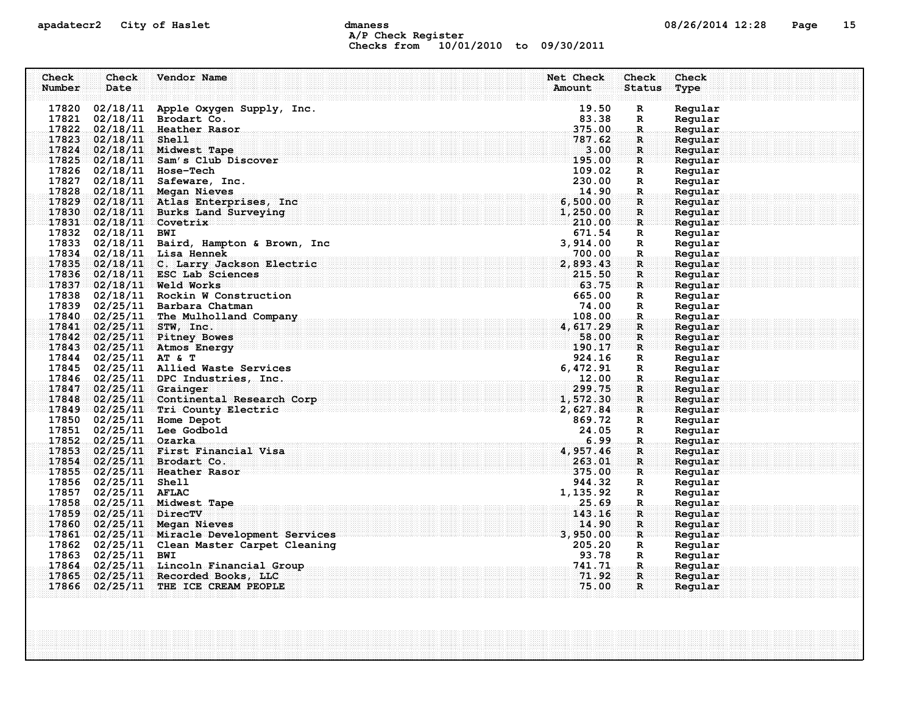### apadatecr2 City of Haslet and dmaness dmaness and the US/26/2014 12:28 Page 15 A/P Check Register Checks from 10/01/2010 to 09/30/2011

| Check  | Check                   | Vendor Name                                 | <b>Net Check</b>                                                                                                           | Check         | Check   |  |
|--------|-------------------------|---------------------------------------------|----------------------------------------------------------------------------------------------------------------------------|---------------|---------|--|
| Number | Date                    |                                             | Amount                                                                                                                     | <b>Status</b> | Type    |  |
|        |                         |                                             |                                                                                                                            |               |         |  |
| 17820  |                         | 02/18/11 Apple Oxygen Supply, Inc.          | 19.50                                                                                                                      | $\mathbf R$   | Regular |  |
|        |                         | 17821 02/18/11 Brodart Co.                  | 83.38                                                                                                                      | R             | Regular |  |
|        |                         | 17822 02/18/11 Heather Rasor                | 375.00                                                                                                                     | $\mathbf{R}$  | Regular |  |
|        | 17823 02/18/11 Shell    |                                             | 787.62                                                                                                                     | $\mathbf R$   | Regular |  |
|        |                         | 17824 02/18/11 Midwest Tape                 | 3.00                                                                                                                       | $\mathbf{R}$  | Regular |  |
|        |                         | $17825$ 02/18/11 Sam's Club Discover        | 195.00                                                                                                                     | R             | Regular |  |
|        |                         | 17826 02/18/11 Hose-Tech                    | 109.02                                                                                                                     | R             | Regular |  |
|        |                         | 17827 02/18/11 Safeware, Inc.               | 230.00                                                                                                                     | R             | Regular |  |
|        |                         | 17828 02/18/11 Megan Nieves                 | 14.90                                                                                                                      | R.            | Regular |  |
|        |                         | 17829 02/18/11 Atlas Enterprises, Inc.      | 6,500.00                                                                                                                   | $\mathbf R$   | Regular |  |
|        |                         | 17830 02/18/11 Burks Land Surveying         | 1,250.00                                                                                                                   | R             | Reqular |  |
|        | 17831 02/18/11 Covetrix |                                             | 210.00                                                                                                                     | R             | Regular |  |
|        | 17832 02/18/11 BWI      |                                             | 671.54                                                                                                                     | R             | Regular |  |
|        |                         | 17833 02/18/11 Baird, Hampton & Brown, Inc  | 3,914.00                                                                                                                   | R             | Regular |  |
|        |                         | 17834 02/18/11 Lisa Hennek                  | 700.00                                                                                                                     | $\mathbf R$   | Regular |  |
|        |                         | 17835 02/18/11 C. Larry Jackson Electric    | 2,893.43                                                                                                                   | $\mathbf R$   | Regular |  |
|        |                         | 17836 02/18/11 ESC Lab Sciences             | 215.50                                                                                                                     | $\mathbf R$   | Regular |  |
|        |                         | 17837 02/18/11 Weld Works                   | 63.75                                                                                                                      | R             | Regular |  |
|        |                         | 17838 02/18/11 Rockin W Construction        | 665.00                                                                                                                     | R             | Regular |  |
|        |                         | 17839 02/25/11 Barbara Chatman              | 74.00                                                                                                                      | $\mathbb{R}$  | Regular |  |
|        |                         | 17840 02/25/11 The Mulholland Company       | 108.00                                                                                                                     | $\mathbf R$   | Regular |  |
|        |                         | 17841 02/25/11 STW, Inc.                    | 4,617.29                                                                                                                   | $\mathbf R$   | Regular |  |
|        |                         | 17842 02/25/11 Pitney Bowes                 | 58.00                                                                                                                      | $\mathbf R$   | Regular |  |
|        |                         | $17843$ 02/25/11 Atmos Energy               | 190.17                                                                                                                     | R             | Regular |  |
|        | 17844 02/25/11 AT & T   |                                             | 924.16                                                                                                                     | R             | Regular |  |
|        |                         | 17845 02/25/11 Allied Waste Services        | 6,472.91                                                                                                                   | $\mathbb{R}$  | Regular |  |
|        |                         | 17846 02/25/11 DPC Industries, Inc.         | 12.00                                                                                                                      | $\mathbf R$   | Regular |  |
|        | 17847 02/25/11 Grainger |                                             | 299.75                                                                                                                     | $\mathbf R$   | Regular |  |
|        |                         | 17848 02/25/11 Continental Research Corp    | 1,572.30                                                                                                                   | $\mathbf{R}$  | Regular |  |
|        |                         | $17849$ 02/25/11 Tri County Electric        | an sa kabupatèn Kabupatén Indonésia. Kabupatén Indonésia Kabupatén Indonésia Kabupatén Indonésia Kabupatén Ind<br>2,627.84 | R             | Regular |  |
|        |                         | 17850 02/25/11 Home Depot                   | 869.72                                                                                                                     | $\mathbf R$   | Regular |  |
|        |                         | 17851 02/25/11 Lee Godbold                  | 24.05                                                                                                                      | R             | Regular |  |
|        | 17852 02/25/11 Ozarka   |                                             | 6.99                                                                                                                       | R.            | Regular |  |
|        |                         | 17853 02/25/11 First Financial Visa         | 4,957.46                                                                                                                   |               | Regular |  |
|        |                         | 17854 02/25/11 Brodart Co.                  | 263.01                                                                                                                     | R<br>R        | Regular |  |
|        |                         | 17855 02/25/11 Heather Rasor                | 375.00                                                                                                                     |               |         |  |
|        | 17856 02/25/11 Shell    |                                             | 944.32                                                                                                                     | $\mathbf{R}$  | Regular |  |
|        |                         |                                             |                                                                                                                            | R             | Regular |  |
|        | 17857 02/25/11 AFLAC    |                                             | 1,135.92                                                                                                                   | R             | Regular |  |
|        |                         | 17858 02/25/11 Midwest Tape                 | 25.69                                                                                                                      | R.            | Regular |  |
|        | 17859 02/25/11 DirecTV  |                                             | 143.16                                                                                                                     | $\mathbf{R}$  | Regular |  |
|        |                         | 17860 02/25/11 Megan Nieves                 | 14.90                                                                                                                      | $\mathbf{R}$  | Regular |  |
|        |                         | 17861 02/25/11 Miracle Development Services | 3,950.00                                                                                                                   | $\mathbf R$   | Regular |  |
|        |                         | 17862 02/25/11 Clean Master Carpet Cleaning | 205.20                                                                                                                     | R             | Regular |  |
|        | 17863 02/25/11 BWI      |                                             | 93.78                                                                                                                      | R             | Regular |  |
|        |                         | 17864 02/25/11 Lincoln Financial Group      | 741.71                                                                                                                     | R.            | Regular |  |
|        |                         | 17865 02/25/11 Recorded Books, LLC          | 71.92                                                                                                                      | $\mathbf{R}$  | Regular |  |
|        |                         | 17866 02/25/11 THE ICE CREAM PEOPLE         | 75.00                                                                                                                      | R             | Regular |  |
|        |                         |                                             |                                                                                                                            |               |         |  |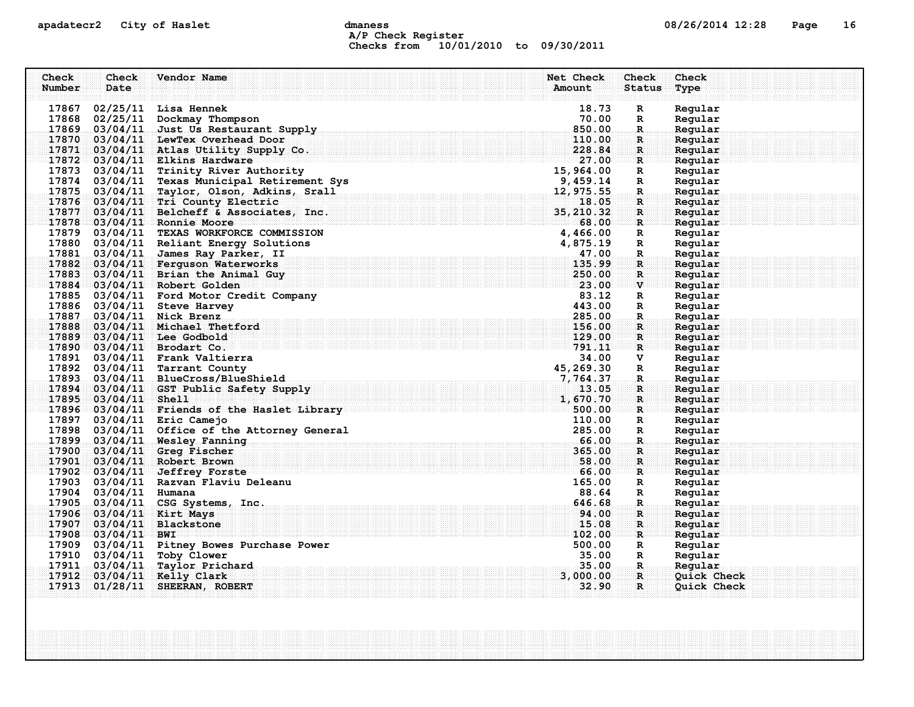### apadatecr2 City of Haslet control dmaness control dmaness control and the US/26/2014 12:28 Page 16 A/P Check Register Checks from 10/01/2010 to 09/30/2011

| Check<br>Number | Check<br>Date         | Vendor Name                                                                    | Net Check<br>Amount | Check<br><b>Status</b>        | Check<br>Type      |
|-----------------|-----------------------|--------------------------------------------------------------------------------|---------------------|-------------------------------|--------------------|
|                 |                       | 17867 02/25/11 Lisa Hennek                                                     | 18.73               | $\mathbf R$                   | Regular            |
|                 |                       | 17868 02/25/11 Dockmay Thompson                                                | 70.00               | R                             | Regular            |
|                 |                       | 17869 03/04/11 Just Us Restaurant Supply                                       | 850.00              | $\mathbb{R}$                  | Regular            |
|                 |                       | 17870 03/04/11 LewTex Overhead Door                                            | 110.00              | R                             | Regular            |
|                 |                       | 17871 03/04/11 Atlas Utility Supply Co.                                        | 228.84              | $\mathbf{R}$                  | Regular            |
|                 |                       | $17872$ 03/04/11 Elkins Hardware                                               | 27.00               | $\mathbf R$                   | Regular            |
|                 |                       | 17873 03/04/11 Trinity River Authority                                         | 15,964.00           | $\mathbb{R}$                  | Regular            |
|                 |                       | 17874 03/04/11 Texas Municipal Retirement Sys                                  | 9,459.14            | R                             | Regular            |
|                 |                       | 17875 03/04/11 Taylor, Olson, Adkins, Srall                                    | 12,975.55           | R.                            | Regular            |
|                 |                       | 17876 03/04/11 Tri County Electric                                             | 18.05               | $\mathbf R$                   | Regular            |
|                 |                       | 17877 03/04/11 Belcheff & Associates, Inc.                                     | 35, 210.32          | R                             | Regular            |
|                 |                       | 17878 03/04/11 Ronnie Moore                                                    | 68.00               | $\mathbf R$                   | Regular            |
|                 |                       | 17879 03/04/11 TEXAS WORKFORCE COMMISSION                                      | 4,466.00            | R                             | Regular            |
|                 |                       | 17880 03/04/11 Reliant Energy Solutions                                        | 4,875.19            | R                             | Regular            |
|                 |                       | 17881 03/04/11 James Ray Parker, II                                            | 47.00               | R.                            | Regular            |
|                 |                       | 17882 03/04/11 Ferguson Waterworks                                             | 135.99              | $\mathbf{R}$                  | Regular            |
|                 |                       | 17883 03/04/11 Brian the Animal Guy                                            | 250.00              | R                             | Regular            |
|                 |                       | 17884 03/04/11 Robert Golden                                                   | 23.00               | $\mathbf{v}$                  | Regular            |
|                 |                       | 17885 03/04/11 Ford Motor Credit Company                                       | 83.12               | R                             | Regular            |
|                 |                       | 17886 03/04/11 Steve Harvey                                                    | 443.00              | $\mathbb{R}$                  | Regular            |
|                 |                       | 17887 03/04/11 Nick Brenz                                                      | 285.00              | $\mathbf R$ .                 | Regular            |
|                 |                       | 17888 03/04/11 Michael Thetford                                                | 156.00              | $\mathbf R$                   | Regular            |
|                 |                       | 17889 03/04/11 Lee Godbold                                                     | 129.00              | $\mathbf{R}$                  | Reqular            |
|                 |                       | 17890 03/04/11 Brodart Co.                                                     | 791.11              | R                             | Regular            |
|                 |                       | 17891 03/04/11 Frank Valtierra                                                 | 34.00               | v                             | Regular            |
|                 |                       | 17892 03/04/11 Tarrant County                                                  | 45,269.30           | $\mathbb{R}$                  | Regular            |
|                 |                       | 17893 03/04/11 BlueCross/BlueShield                                            | 7,764.37            | $\mathbf R$                   | Regular            |
|                 |                       | 17894 03/04/11 GST Public Safety Supply                                        | 13.05               | R.                            | Regular            |
|                 | 17895 03/04/11 Shell  |                                                                                | 1,670.70            | $\mathbf{R}$                  | Regular            |
|                 |                       | 17896 03/04/11 Friends of the Haslet Library                                   | 500.00              | $\mathbf R$                   | Reqular            |
|                 |                       | 17897 03/04/11 Eric Camejo                                                     | 110.00<br>285.00    | R                             | Regular            |
|                 |                       | 17898 03/04/11 Office of the Attorney General<br>17899 03/04/11 Wesley Fanning | 66.00               | $\mathbb{R}$<br>$\mathbf R$ . | Regular<br>Regular |
|                 |                       | 17900 03/04/11 Greq Fischer                                                    | 365.00              | R                             | Regular            |
|                 |                       | 17901 03/04/11 Robert Brown                                                    | 58.00               | $\mathbf{R}$                  | Regular            |
|                 |                       | $17902$ 03/04/11 Jeffrey Forste                                                | 66.00               | R                             | Reqular            |
|                 |                       | 17903 03/04/11 Razvan Flaviu Deleanu                                           | 165.00              | $\mathbb{R}$                  | Regular            |
|                 | 17904 03/04/11 Humana |                                                                                | 88.64               | $\mathbb{R}$                  | Regular            |
|                 |                       | 17905 03/04/11 CSG Systems, Inc.                                               | 646.68              | R.                            | Regular            |
|                 |                       | 17906 03/04/11 Kirt Mays                                                       | 94.00               | R                             | Regular            |
|                 |                       | 17907 03/04/11 Blackstone                                                      | 15.08               | $\mathbf{R}$                  | Regular            |
|                 | $17908$ 03/04/11 BWI  |                                                                                | 102.00              | R                             | Regular            |
|                 |                       | 17909 03/04/11 Pitney Bowes Purchase Power                                     | 500.00              | $\mathbb{R}$                  | Regular            |
|                 |                       | 17910 03/04/11 Toby Clower                                                     | 35.00               | R                             | Regular            |
|                 |                       | 17911 03/04/11 Taylor Prichard                                                 | 35.00               | R.                            | Regular            |
|                 |                       | 17912 03/04/11 Kelly Clark                                                     | 3,000.00            | $\mathbf{R}$                  | Quick Check        |
|                 |                       | 17913 01/28/11 SHEERAN, ROBERT                                                 | 32.90               | $\mathbf{R}$                  | Quick Check        |
|                 |                       |                                                                                |                     |                               |                    |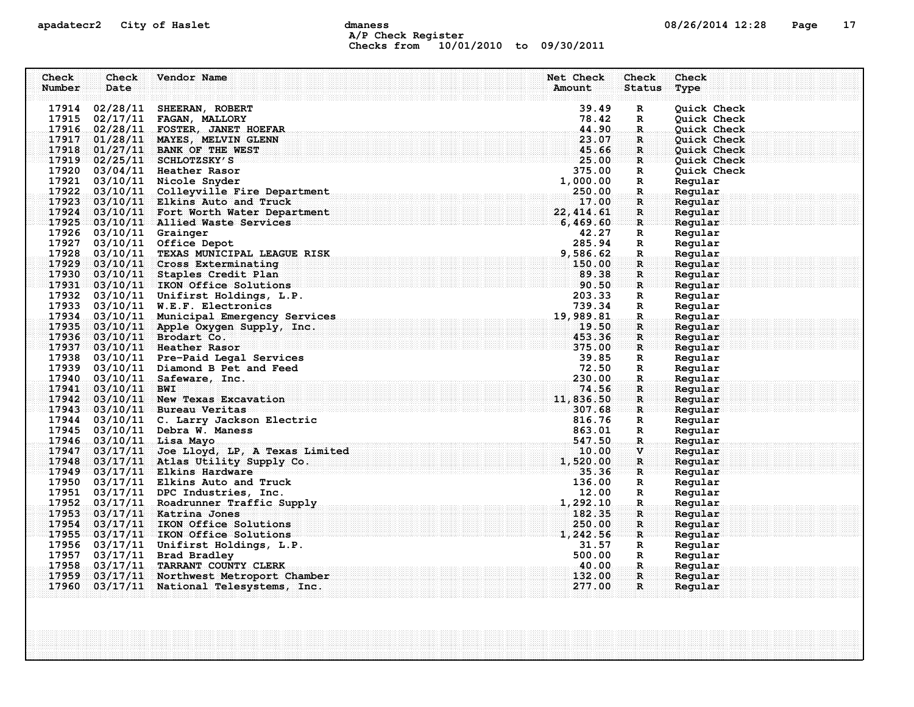# apadatecr2 City of Haslet dmaness dmaness and the control of the 17 control of the 17 control of the 17 control of the 17 control of the 17 control of the 17 control of the 17 control of the 17 control of the 17 control of A/P Check Register Checks from 10/01/2010 to 09/30/2011

| Check<br>Number | Check<br>Date           | Vendor Name                                                                                                                                                                              | Net Check<br>Amount | Check<br><b>Status</b>      | Check<br>Type      |
|-----------------|-------------------------|------------------------------------------------------------------------------------------------------------------------------------------------------------------------------------------|---------------------|-----------------------------|--------------------|
|                 |                         | 17914 02/28/11 SHEERAN, ROBERT                                                                                                                                                           | 39.49               | $\mathbf R$                 | Quick Check        |
|                 |                         | 17915 02/17/11 FAGAN, MALLORY                                                                                                                                                            | 78.42               | $\mathbb{R}$                | Quick Check        |
|                 |                         | 17916 02/28/11 FOSTER, JANET HOEFAR                                                                                                                                                      | 44.90               | $\mathbb{R}$                | Quick Check        |
| 17917           |                         | 01/28/11 MAYES, MELVIN GLENN                                                                                                                                                             | 23.07               | $\mathbf R$                 | Quick Check        |
|                 |                         | 17918 01/27/11 BANK OF THE WEST                                                                                                                                                          | 45.66               | $\mathbf{R}$                | <b>Quick Check</b> |
|                 |                         | $17919$ 02/25/11 SCHLOTZSKY'S                                                                                                                                                            | 25.00               | $\mathbf{R}$                | <b>Ouick Check</b> |
|                 |                         |                                                                                                                                                                                          | 375.00              | $\mathbf R$                 | Quick Check        |
|                 |                         |                                                                                                                                                                                          | 1,000.00            | $\mathbb{R}$                | Regular            |
|                 |                         | 17920 03/04/11 Heather Rasor<br>17921 03/10/11 Nicole Snyder<br>17922 03/10/11 Colleyville Fire Department<br>17922 03/10/11 Colleyville Fire Department                                 | 250.00              | R.                          | Regular            |
|                 |                         | 17923 03/10/11 Elkins Auto and Truck                                                                                                                                                     | 17.00               | $\mathbf{R}$                | Regular            |
|                 |                         | 17924 03/10/11 Fort Worth Water Department                                                                                                                                               | 22, 414.61          | R                           | Regular            |
|                 |                         | 17925 03/10/11 Allied Waste Services                                                                                                                                                     | 6,469.60            | $\mathbf{R}$                | Regular            |
|                 | 17926 03/10/11 Grainger |                                                                                                                                                                                          | 42.27               | R                           | Regular            |
|                 |                         | 17927 03/10/11 Office Depot                                                                                                                                                              | 285.94              | $\mathbf R$                 | Regular            |
|                 |                         | 17928 03/10/11 TEXAS MUNICIPAL LEAGUE RISK                                                                                                                                               | 9,586.62            | $\mathbf{R}$                | Regular            |
|                 |                         | 17929 03/10/11 Cross Exterminating<br>17930 03/10/11 Staples Credit Plan                                                                                                                 | 150.00<br>89.38     | R                           | Regular            |
|                 |                         | 50.50<br>17931 03/10/11 IKON Office Solutions                                                                                                                                            |                     | $\mathbf R$<br>$\mathbf{R}$ | Regular<br>Regular |
|                 |                         | 17932 03/10/11 Unifirst Holdings, L.P.                                                                                                                                                   | 203.33              | $\mathbf{R}$                | Regular            |
|                 |                         | 17932 03/10/11 UNITITST HOLDINGS, L.F.<br>17933 03/10/11 W.E.F. Electronics 739.34<br>17934 03/10/11 Municipal Emergency Services 19,989.81                                              |                     | $\mathbf R$                 | Regular            |
|                 |                         |                                                                                                                                                                                          |                     | $\mathbf R$                 | Regular            |
| 17935           |                         | 03/10/11 Apple Oxygen Supply, Inc.                                                                                                                                                       | 19.50               | R                           | Regular            |
|                 |                         | 17936 03/10/11 Brodart Co.                                                                                                                                                               |                     | $\mathbf{R}$                | Regular            |
|                 |                         | $\frac{453}{375.00}$<br>17937 03/10/11 Heather Rasor                                                                                                                                     |                     | $\mathbf{R}$                | Regular            |
|                 |                         | 17938 03/10/11 Pre-Paid Legal Services                                                                                                                                                   | 39.85               | $\mathbf R$                 | Regular            |
|                 |                         | 17939 03/10/11 Diamond B Pet and Feed                                                                                                                                                    | 72.50               | R                           | Regular            |
|                 |                         | 17939 03/10/11 Diamond B Fet and Feed<br>17940 03/10/11 Safeware, Inc.                                                                                                                   | 230.00              | $\mathbf{R}_{\text{in}}$    | Regular            |
|                 | 17941 03/10/11 BWI      |                                                                                                                                                                                          | 74.56               | R.                          | Regular            |
|                 |                         | 17942 03/10/11 New Texas Excavation                                                                                                                                                      | 11,836.50           | R                           | Regular            |
|                 |                         | 17943 03/10/11 Bureau Veritas                                                                                                                                                            | 307.68              | $\mathbf{R}$ .              | Regular            |
|                 |                         | 17944 03/10/11 C. Larry Jackson Electric                                                                                                                                                 | 816.76              | $\mathbf R$                 | Regular            |
|                 |                         | 17945 03/10/11 Debra W. Maness                                                                                                                                                           | 863.01              | R                           | Regular            |
|                 |                         |                                                                                                                                                                                          | 547.50              | $\mathbb{R}$                | Regular            |
|                 |                         |                                                                                                                                                                                          | 10.00               | $\mathbf{v}$                | Regular            |
|                 |                         | 1/946 03/10/11 Lisa Mayo<br>17947 03/17/11 Joe Lloyd, LP, A Texas Limited<br>17948 03/17/11 Atlas Utility Supply Co.<br>17949 03/17/11 Elkins Hardware<br>17949 03/17/11 Elkins Hardware | 1,520.00            | $\mathbf{R}$                | Regular            |
|                 |                         | 17950 03/17/11 Elkins Auto and Truck                                                                                                                                                     | 35.36<br>136.00     | $\mathbf{R}$<br>$\mathbf R$ | Regular<br>Regular |
|                 |                         | 17951 03/17/11 DPC Industries, Inc.                                                                                                                                                      | 12.00               | R                           | Regular            |
| 17952           |                         | 03/17/11 Roadrunner Traffic Supply                                                                                                                                                       | 1,292.10            | $\mathbf{R}$                | Regular            |
|                 |                         | 17953 03/17/11 Katrina Jones                                                                                                                                                             | 182.35              | $\mathbf{R}$                | Regular            |
| 17954           |                         | 03/17/11 IKON Office Solutions                                                                                                                                                           | 250.00              | $\mathbf R$                 | Regular            |
|                 |                         | 17955 03/17/11 IKON Office Solutions                                                                                                                                                     | 1,242.56            | $\mathbf{R}$                | Reqular            |
|                 |                         | 17956 03/17/11 Unifirst Holdings, L.P.                                                                                                                                                   | 31.57               | $\mathbf R$                 | Regular            |
|                 |                         | 17957 03/17/11 Brad Bradley                                                                                                                                                              | 500.00              | R                           | Regular            |
| 17958           |                         | 03/17/11 TARRANT COUNTY CLERK                                                                                                                                                            | $-40.00$            | R.                          | Regular            |
| 17959           |                         | 03/17/11 Northwest Metroport Chamber                                                                                                                                                     | 132.00              | R                           | Regular            |
|                 |                         | 17960 03/17/11 National Telesystems, Inc.                                                                                                                                                | 277.00              | $\mathbf{R}$                | Regular            |
|                 |                         |                                                                                                                                                                                          |                     |                             |                    |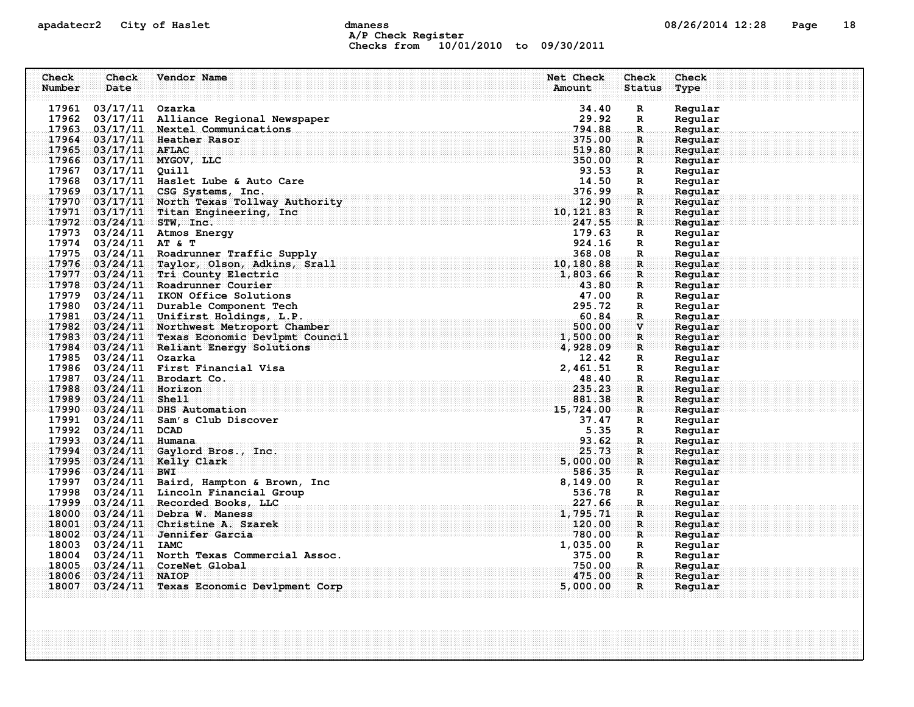### apadatecr2 City of Haslet compound dmaness compound the definition of the definition of the definition of the definition of the definition of the definition of the definition of the definition of the definition of the defi A/P Check Register Checks from 10/01/2010 to 09/30/2011

| Check  | Check                  | Vendor Name                                   | Net Check                              | Check                | Check   |
|--------|------------------------|-----------------------------------------------|----------------------------------------|----------------------|---------|
| Number | Date                   |                                               | Amount                                 | <b>Status</b>        | Type    |
|        | 17961 03/17/11 Ozarka  |                                               | 34.40                                  | $\mathbf R$          | Regular |
|        |                        | 17962 03/17/11 Alliance Regional Newspaper    | 29.92                                  | $\mathbf{R}$         | Regular |
|        |                        | 17963 03/17/11 Nextel Communications          | 794.88                                 | $\mathbb{R}$         | Regular |
|        |                        | 17964 03/17/11 Heather Rasor                  | 375.00                                 | R                    | Regular |
|        | 17965 03/17/11 AFLAC   |                                               | 519.80                                 | $\mathbf{R}$         | Regular |
|        |                        | 17966 03/17/11 MYGOV, LLC                     | 350.00                                 | R                    | Regular |
|        | 17967 03/17/11 Quill   |                                               | 93.53                                  | $\mathbf R$          | Regular |
|        |                        | 17968 03/17/11 Haslet Lube & Auto Care        | 14.50                                  | $\mathbf{R}$         | Regular |
|        |                        | 17969 03/17/11 CSG Systems, Inc.              | 376.99                                 | R.                   | Regular |
|        |                        | 17970 03/17/11 North Texas Tollway Authority  | 12.90                                  | $\mathbf{R}$         | Regular |
|        |                        | 17971 03/17/11 Titan Engineering, Inc         | 10, 121.83                             | R                    | Regular |
|        |                        | $17972$ 03/24/11 STW, Inc.                    | 247.55                                 | $\mathbf{R}$         | Regular |
|        |                        | 17973 03/24/11 Atmos Energy                   | 179.63                                 | $\mathbf R$          | Regular |
|        | 17974 03/24/11 AT & T  |                                               | 924.16                                 | $\mathbf R$          | Regular |
|        |                        | 17975 03/24/11 Roadrunner Traffic Supply      | 368.08                                 | R.                   | Regular |
|        |                        | 17976 03/24/11 Taylor, Olson, Adkins, Srall   | 10,180.88                              | R                    | Regular |
|        |                        | 17977 03/24/11 Tri County Electric            | 1,803.66                               | $\mathbf{R}$         | Regular |
|        |                        | 17978 03/24/11 Roadrunner Courier             | 43.80                                  | R                    | Regular |
|        |                        | 17979 03/24/11 IKON Office Solutions          | 47.00                                  | $\mathbf{R}$         | Regular |
|        |                        | 17980 03/24/11 Durable Component Tech         | 295.72                                 | $\mathbf{R}$         | Regular |
|        |                        | 17981 03/24/11 Unifirst Holdings, L.P.        | $295\ldotp72 \ \overline{60} \ldotp84$ | $\mathbf R$          | Regular |
|        |                        | 17982 03/24/11 Northwest Metroport Chamber    | 500.00                                 | $\mathbf{V}$         | Regular |
|        |                        | 17983 03/24/11 Texas Economic Devlpmt Council | 1,500.00                               | $\mathbf{R}$         | Regular |
|        |                        | 17984 03/24/11 Reliant Energy Solutions       | 4,928.09                               | $\mathbf{R}$         | Regular |
|        | 17985 03/24/11 Ozarka  |                                               | 12.42                                  | R                    | Regular |
|        |                        | 17986 03/24/11 First Financial Visa           | 2,461.51                               | $\mathbf{R}$         | Regular |
|        |                        | 17987 03/24/11 Brodart Co. 48.40              |                                        | $\mathbf{R}_{\odot}$ | Regular |
|        | 17988 03/24/11 Horizon |                                               | 235.23                                 | R.                   | Regular |
|        | 17989 03/24/11 Shell   |                                               | 881.38                                 | $\mathbf{R}$         | Regular |
|        |                        | 17990 03/24/11 DHS Automation                 | 15,724.00                              | ार                   | Regular |
|        |                        | 17991 03/24/11 Sam's Club Discover            | 37.47                                  | R                    | Regular |
|        | 17992 03/24/11 DCAD    |                                               | 5.35                                   | $\mathbf R$          | Regular |
|        | 17993 03/24/11 Humana  |                                               | 93.62                                  | $\mathbf{R}$         | Regular |
|        |                        | 17994 03/24/11 Gaylord Bros., Inc.            | 25.73                                  | $\mathbf R$          | Regular |
|        |                        | 17995 03/24/11 Kelly Clark                    | 5,000.00                               | $\mathbf{R}$         | Regular |
|        | $17996$ 03/24/11 BWI   |                                               | 586.35                                 | $\mathbf{R}$         | Reqular |
|        |                        | 17997 03/24/11 Baird, Hampton & Brown, Inc    | 8,149.00                               | R                    | Regular |
|        |                        | 17998 03/24/11 Lincoln Financial Group        | 536.78                                 | R                    | Regular |
|        |                        | 17999 03/24/11 Recorded Books, LLC            | 227.66                                 | $\mathbf R$ .        | Regular |
|        |                        | 18000 03/24/11 Debra W. Maness                | 1,795.71                               | $\mathbf R$          | Regular |
|        |                        | 18001 03/24/11 Christine A. Szarek            | 120.00                                 | $\mathbf R$          | Regular |
|        |                        | 18002 03/24/11 Jennifer Garcia                | 780.00                                 | $\mathbf{R}$         | Regular |
|        | 18003 03/24/11 IAMC    |                                               | 1,035.00                               | $\mathbf R$          | Regular |
|        |                        | 18004 03/24/11 North Texas Commercial Assoc.  | 375.00                                 | $\mathbf R$          | Regular |
|        |                        | 18005 03/24/11 CoreNet Global                 | 750.00                                 | <b>.R</b>            | Regular |
|        | 18006 03/24/11 NAIOP   |                                               | 475.00                                 | $\mathbf{R}$         | Regular |
|        |                        | 18007 03/24/11 Texas Economic Devlpment Corp  | 5,000.00                               | $\mathbf{R}$         | Regular |
|        |                        |                                               |                                        |                      |         |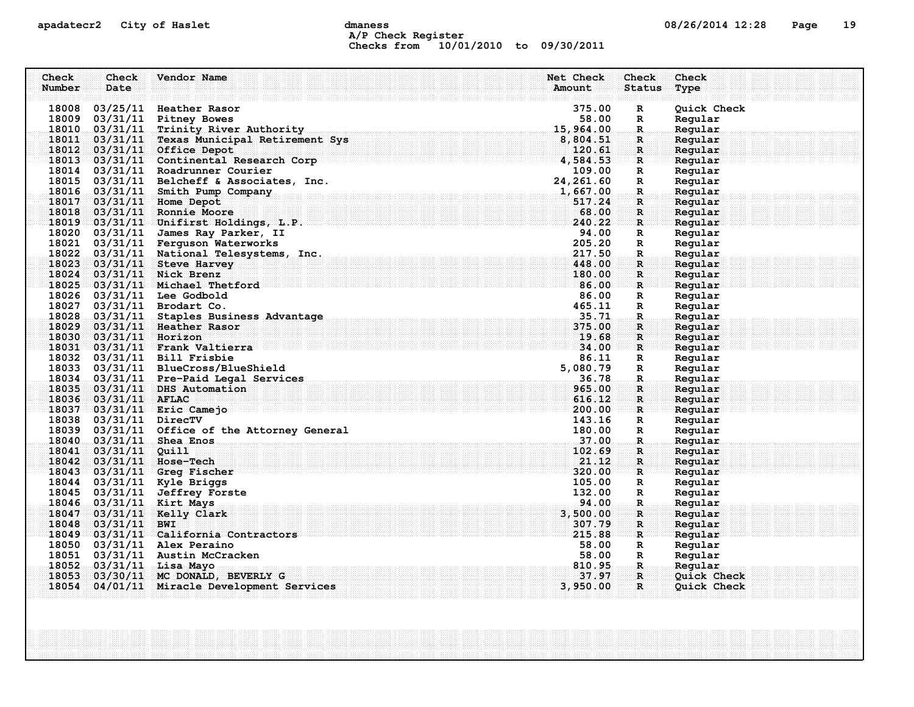# apadatecr2 City of Haslet control dmaness control dmaness control and the US/26/2014 12:28 Page 19 A/P Check Register Checks from 10/01/2010 to 09/30/2011

| Check<br>Number | Check<br>Date          | Vendor Name                                                                                                                                      | Net Check<br>Amount | Check<br><b>Status</b>                 | Check<br>Type      |
|-----------------|------------------------|--------------------------------------------------------------------------------------------------------------------------------------------------|---------------------|----------------------------------------|--------------------|
|                 |                        | 18008 03/25/11 Heather Rasor                                                                                                                     | 375.00              | $\mathbf R$                            | Quick Check        |
|                 |                        | 18009 03/31/11 Pitney Bowes                                                                                                                      | 58.00               | R                                      | Regular            |
|                 |                        | 18010 03/31/11 Trinity River Authority                                                                                                           | 15,964.00           | $\mathbf R$                            | Regular            |
|                 |                        | 18011 03/31/11 Texas Municipal Retirement Sys                                                                                                    | 8,804.51            | R.                                     | Regular            |
|                 |                        | 18012 03/31/11 Office Depot                                                                                                                      | 120.61              | $\mathbf{R}$                           | Regular            |
|                 |                        | 18013 03/31/11 Continental Research Corp                                                                                                         | 4,584.53            | ार                                     | Regular            |
|                 |                        |                                                                                                                                                  |                     | $\mathbf{R}$                           | Regular            |
|                 |                        | 18014 03/31/11 Roadrunner Courier 109.00<br>18015 03/31/11 Belcheff & Associates, Inc. 24, 261.60<br>18016 03/31/11 Smith Pump Company 1, 667.00 |                     | $\mathbb{R}$                           | Regular            |
|                 |                        |                                                                                                                                                  |                     | $\mathbf{R}$                           | Regular            |
|                 |                        | 18017 03/31/11 Home Depot                                                                                                                        | 517.24              | $\mathbf{R}$                           | Regular            |
|                 |                        | 18018 03/31/11 Ronnie Moore                                                                                                                      | 68.00               | $\mathbf R$ .                          | Regular            |
|                 |                        | 18019 03/31/11 Unifirst Holdings, L.P.                                                                                                           | 240.22              | $\mathbf{R}$                           | Regular            |
|                 |                        | 18020 03/31/11 James Ray Parker, II                                                                                                              | 94.00               | R                                      | Regular            |
|                 |                        | 18021 03/31/11 Ferguson Waterworks                                                                                                               | 205.20              | $\mathbf R$                            | Regular            |
|                 |                        | 18022 03/31/11 National Telesystems, Inc.                                                                                                        | 217.50              | $\mathbb{R}$                           | Regular            |
|                 |                        | 18023 03/31/11 Steve Harvey                                                                                                                      | 448.00              | $\mathbf{R}$                           | Regular            |
|                 |                        | 18024 03/31/11 Nick Brenz                                                                                                                        | 180.00              | R                                      | Regular            |
|                 |                        | 18025 03/31/11 Michael Thetford                                                                                                                  | 86.00               | R                                      | Regular            |
|                 |                        | 18026 03/31/11 Lee Godbold                                                                                                                       | 86.00               | $\mathbf R$                            | Regular            |
|                 |                        | 18027 03/31/11 Brodart Co.                                                                                                                       | 465.11<br>35.71     | $\mathbf R$                            | Regular            |
|                 |                        | 18028 03/31/11 Staples Business Advantage                                                                                                        | 375.00              | $\mathbf{R}$                           | Regular            |
|                 |                        | 18029 03/31/11 Heather Rasor                                                                                                                     | 19.68               | $\mathbf{R}$                           | Regular            |
|                 | 18030 03/31/11 Horizon | . $34.00$<br>18031 03/31/11 Frank Valtierra                                                                                                      |                     | $\mathbf{R}$<br>$\mathbf{R}$           | Regular            |
|                 |                        | 18032 03/31/11 Bill Frisbie                                                                                                                      | 86.11               | $\mathbf R$                            | Regular<br>Regular |
|                 |                        | 18033 03/31/11 BlueCross/BlueShield                                                                                                              | 5,080.79            | $\mathbf{R}$                           | Regular            |
|                 |                        | 18034 03/31/11 Pre-Paid Legal Services                                                                                                           | $-36.78$            | $\ldots$ R $\ldots$                    | Regular            |
|                 |                        | 18035 03/31/11 DHS Automation                                                                                                                    | 965.00              | $\mathbf R$                            | Regular            |
|                 | 18036 03/31/11 AFLAC   |                                                                                                                                                  | 616.12              | $\mathbf{R}$                           | Regular            |
|                 |                        | 18037 03/31/11 Eric Camejo                                                                                                                       | 200.00              | $\mathbb{R}$ issesses                  | Regular            |
|                 | 18038 03/31/11 DirecTV |                                                                                                                                                  | 143.16              | $\mathbf R$                            | Regular            |
|                 |                        | 18039 03/31/11 Office of the Attorney General                                                                                                    | 180.00              | $\mathbf{R}$                           | Regular            |
|                 |                        | 18040 03/31/11 Shea Enos                                                                                                                         | 37.00               | $\mathbf R$                            | Regular            |
|                 | 18041 03/31/11 Quill   |                                                                                                                                                  | 102.69              | R                                      | Regular            |
|                 |                        | 18042 03/31/11 Hose-Tech                                                                                                                         | 21.12               | $\mathbf{R}$                           | Regular            |
|                 |                        | 18043 03/31/11 Greg Fischer                                                                                                                      | 320.00              | $\mathbf{R}$                           | Regular            |
|                 |                        | 18044 03/31/11 Kyle Briggs                                                                                                                       | 105.00              | $\mathbf{R}$                           | Regular            |
|                 |                        | 18045 03/31/11 Jeffrey Forste                                                                                                                    | 132.00              | R                                      | Regular            |
|                 |                        | 18046 03/31/11 Kirt Mays                                                                                                                         | 94.00               | $\mathbf{R}$                           | Regular            |
|                 |                        | 18047 03/31/11 Kelly Clark                                                                                                                       | 3,500.00            | $\mathbf{R}$                           | Regular            |
|                 | 18048 03/31/11 BWI     |                                                                                                                                                  | 307.79              | R                                      | Regular            |
|                 |                        | 18049 03/31/11 California Contractors                                                                                                            | 215.88              | $\mathbf{R}$                           | Regular            |
|                 |                        | 18050 03/31/11 Alex Peraino                                                                                                                      | 58.00               | $\mathbf{R}$                           | Regular            |
|                 |                        | 18051 03/31/11 Austin McCracken                                                                                                                  | 58.00               | $\mathbf{R}$                           | Regular            |
|                 |                        | 18052 03/31/11 Lisa Mayo                                                                                                                         | 810.95              | $\mathbf{R}$ . The set of $\mathbf{R}$ | Regular            |
| 18053           |                        | 03/30/11 MC DONALD, BEVERLY G                                                                                                                    | 37.97               | $\mathbf{R}$                           | Quick Check        |
| 18054           |                        | 04/01/11 Miracle Development Services                                                                                                            | 3,950.00            | $\mathbf{R}$                           | Quick Check        |
|                 |                        |                                                                                                                                                  |                     |                                        |                    |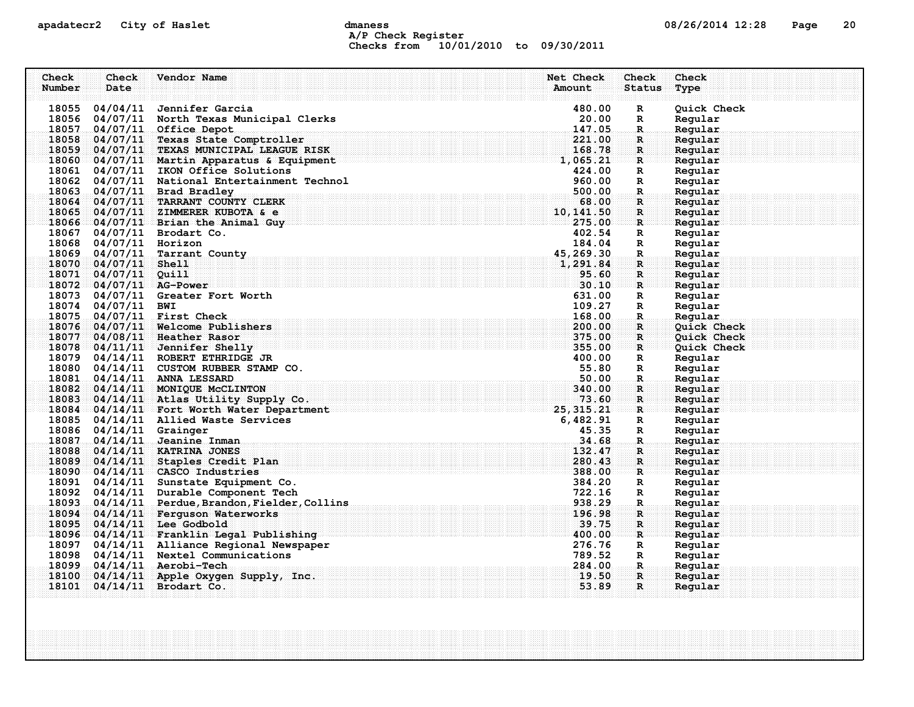## apadatecr2 City of Haslet control dmaness control dmaness control and the US/26/2014 12:28 Page 20 A/P Check Register Checks from 10/01/2010 to 09/30/2011

| Check  | Check                   | Vendor Name                                                           | Net Check        | Check             | Check              |
|--------|-------------------------|-----------------------------------------------------------------------|------------------|-------------------|--------------------|
| Number | Date                    |                                                                       | Amount           | <b>Status</b>     | Type               |
|        |                         | 18055 04/04/11 Jennifer Garcia                                        | 480.00           | R                 | Quick Check        |
|        |                         | 18056 04/07/11 North Texas Municipal Clerks                           | 20.00            | R                 | Regular            |
|        |                         | 18057 04/07/11 Office Depot                                           | 147.05           | $\mathbf R$ .     | Regular            |
|        |                         | 18058 04/07/11 Texas State Comptroller                                | 221.00           | R                 | Regular            |
|        |                         | 18059 04/07/11 TEXAS MUNICIPAL LEAGUE RISK                            | 168.78           | $\mathbf{R}$      | Regular            |
|        |                         | 18060 04/07/11 Martin Apparatus & Equipment                           | 1,065.21         | $\mathbf R$       | Regular            |
|        |                         | 18061 04/07/11 IKON Office Solutions                                  | 424.00           | $\mathbb{R}$      | Regular            |
|        |                         | 18062 04/07/11 National Entertainment Technol                         | 960.00           | R                 | Regular            |
|        |                         | 18063 04/07/11 Brad Bradley                                           | 500.00           | R.                | Regular            |
|        |                         | 18064 04/07/11 TARRANT COUNTY CLERK                                   | 68.00            | $\mathbf{R}$      | Regular            |
|        |                         | 18065 04/07/11 ZIMMERER KUBOTA & e                                    | 10, 141.50       | R                 | Regular            |
|        |                         | 18066 04/07/11 Brian the Animal Guy                                   | 275.00           | $\mathbf{R}$      | Regular            |
|        |                         | 18067 04/07/11 Brodart Co.                                            | 402.54           | $\mathbb{R}$      | Regular            |
|        | 18068 04/07/11 Horizon  |                                                                       | 184.04           | $\mathbb{R}$      | Regular            |
|        |                         | 18069 04/07/11 Tarrant County                                         | 45,269.30        | R.                | Regular            |
|        | 18070 04/07/11 Shell    |                                                                       | 1,291.84         | R                 | Regular            |
|        | 18071 04/07/11 Quill    |                                                                       | 95.60            | $\mathbf R$       | Regular            |
|        | 18072 04/07/11 AG-Power |                                                                       | 30.10            | $\mathbf{R}$      | Regular            |
|        |                         | 18073 04/07/11 Greater Fort Worth                                     | 631.00           | R                 | Regular            |
|        | 18074 04/07/11 BWI      |                                                                       | 109.27           | $\mathbb{R}$      | Regular            |
|        |                         | 18075 04/07/11 First Check                                            | 168.00           | $\mathbf{R}$      | Regular            |
|        |                         | 18076 04/07/11 Welcome Publishers                                     | 200.00           | R                 | <b>Ouick Check</b> |
|        |                         | 18077 04/08/11 Heather Rasor                                          | 375.00<br>355.00 | R                 | Quick Check        |
|        |                         | 18078 04/11/11 Jennifer Shelly<br>18079 04/14/11 ROBERT ETHRIDGE JR   | 400.00           | $\mathbf{R}$      | Quick Check        |
|        |                         |                                                                       | 55.80            | R                 | Regular            |
|        |                         | 18080 04/14/11 CUSTOM RUBBER STAMP CO.<br>18081 04/14/11 ANNA LESSARD | .50.00           | R<br>$\mathbf{R}$ | Regular<br>Reqular |
|        |                         | 18082 04/14/11 MONIQUE McCLINTON                                      | 340.00           | $\mathbf R$       | Regular            |
|        |                         | 18083 04/14/11 Atlas Utility Supply Co.                               | 73.60            | $\mathbf{R}$      | Regular            |
|        |                         | $\frac{18084}{04/14/11}$ Fort Worth Water Department 25, 315.21       |                  | $\mathbf{R}$      | Regular            |
|        |                         | 18085 04/14/11 Allied Waste Services                                  | 6,482.91         | R                 | Regular            |
|        | 18086 04/14/11 Grainger |                                                                       | 45.35            | R                 | Regular            |
|        |                         | 18087 04/14/11 Jeanine Inman                                          | 34.68            | $\mathbf R$       | Regular            |
|        |                         | 18088 04/14/11 KATRINA JONES                                          | 132.47           | R                 | Regular            |
|        |                         | 18089 04/14/11 Staples Credit Plan                                    | 280.43           | $\mathbf{R}$      | Regular            |
|        |                         | $18090$ 04/14/11 CASCO Industries                                     | 388.00           | R                 | Reqular            |
|        |                         | 18091 04/14/11 Sunstate Equipment Co.                                 | 384.20           | R                 | Regular            |
|        |                         | 18092 04/14/11 Durable Component Tech                                 | 722.16           | $\mathbb{R}$      | Regular            |
|        |                         | 18093 04/14/11 Perdue, Brandon, Fielder, Collins                      | 938.29           | R.                | Regular            |
|        |                         | 18094 04/14/11 Ferguson Waterworks                                    | 196.98           | $\mathbf{R}$      | Reqular            |
|        |                         | 18095 04/14/11 Lee Godbold                                            | 39.75            | $\mathbf{R}$      | Regular            |
|        |                         | 18096 04/14/11 Franklin Legal Publishing                              | 400.00           | R                 | Regular            |
|        |                         | 18097 04/14/11 Alliance Regional Newspaper                            | 276.76           | R                 | Regular            |
|        |                         | 18098 04/14/11 Nextel Communications                                  | 789.52           | $\mathbb{R}$      | Regular            |
|        |                         | 18099 04/14/11 Aerobi-Tech                                            | 284.00           | .R.               | Regular            |
|        |                         | 18100 04/14/11 Apple Oxygen Supply, Inc.                              | 19.50            | $\mathbf{R}$      | Regular            |
|        |                         | 18101 04/14/11 Brodart Co.                                            | 53.89            | R                 | Regular            |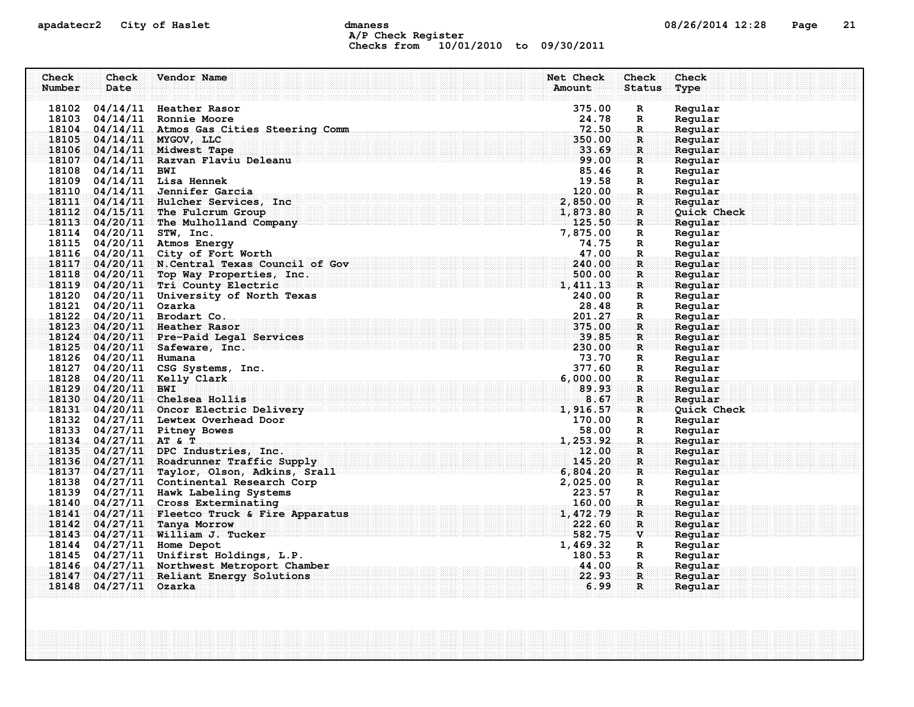### apadatecr2 City of Haslet control dmaness control dmaness control and the US/26/2014 12:28 Page 21 A/P Check Register Checks from 10/01/2010 to 09/30/2011

| Check  | Check                 | Vendor Name                                    | Net Check | Check                                  | Check       |
|--------|-----------------------|------------------------------------------------|-----------|----------------------------------------|-------------|
| Number | Date                  |                                                | Amount    | Status                                 | Type        |
|        |                       |                                                |           |                                        |             |
|        |                       | 18102 04/14/11 Heather Rasor                   | 375.00    | $\mathbf R$                            | Regular     |
|        |                       | 18103 04/14/11 Ronnie Moore                    | 24.78     | R                                      | Regular     |
|        |                       | 18104 04/14/11 Atmos Gas Cities Steering Comm  | 72.50     | $\mathbf R$                            | Regular     |
|        |                       | 18105 04/14/11 MYGOV, LLC                      | 350.00    | $\mathbf{R}$                           | Regular     |
|        |                       | 18106 04/14/11 Midwest Tape                    | 33.69     | R                                      | Regular     |
|        |                       | 18107 04/14/11 Razvan Flaviu Deleanu           |           | ः R                                    | Regular     |
|        | 18108 04/14/11 BWI    |                                                | 85.46     | R                                      | Regular     |
|        |                       | 18109 04/14/11 Lisa Hennek                     | 19.58     | R                                      | Regular     |
|        |                       | 18110 04/14/11 Jennifer Garcia                 | 120.00    | R.                                     | Regular     |
|        |                       | 18111 04/14/11 Hulcher Services, Inc.          | 2,850.00  | $\mathbf{R}$                           | Regular     |
|        |                       | 18112 04/15/11 The Fulcrum Group               | 1,873.80  | R                                      | Ouick Check |
|        |                       | 18113 04/20/11 The Mulholland Company          | 125.50    | $\mathbf{R}$ .                         | Regular     |
|        |                       | 18114 04/20/11 STW, Inc.                       | 7,875.00  | R                                      | Regular     |
|        |                       | 18115 04/20/11 Atmos Energy                    | 74.75     | R                                      | Regular     |
|        |                       | 18116 04/20/11 City of Fort Worth              | 47.00     | $\mathbf{R}$                           | Regular     |
|        |                       | 18117 04/20/11 N. Central Texas Council of Gov | 240.00    | R                                      | Regular     |
|        |                       | 18118 04/20/11 Top Way Properties, Inc.        | 500.00    | R                                      | Regular     |
|        |                       | 18119 04/20/11 Tri County Electric             | 1,411.13  | $\mathbf{R}$ . The set of $\mathbf{R}$ | Regular     |
|        |                       | 18120 04/20/11 University of North Texas       | 240.00    | R                                      | Regular     |
|        | 18121 04/20/11 Ozarka |                                                | 28.48     | R                                      | Regular     |
|        |                       | 18122 04/20/11 Brodart Co.                     | 201.27    | $\mathbf R$                            | Regular     |
|        |                       | 18123 04/20/11 Heather Rasor                   | 375.00    | R                                      | Regular     |
|        |                       | 18124 04/20/11 Pre-Paid Legal Services         | 39.85     | $\mathbf{R}$                           | Regular     |
|        |                       | 18125 04/20/11 Safeware, Inc.                  | 230.00    | $\mathbf{R}$                           | Regular     |
|        | 18126 04/20/11 Humana |                                                | 73.70     | R                                      | Regular     |
|        |                       | 18127 04/20/11 CSG Systems, Inc.               | 377.60    | R                                      | Regular     |
|        |                       | 18128 04/20/11 Kelly Clark                     | 6,000.00  | $\mathbf{R}$                           | Regular     |
|        | 18129 04/20/11 BWI    |                                                | 89.93     | R.                                     | Regular     |
|        |                       | 18130 04/20/11 Chelsea Hollis                  | 8.67      | $\mathbf{R}$                           | Regular     |
|        |                       | 18131 04/20/11 Oncor Electric Delivery         | 1,916.57  | R                                      | Quick Check |
|        |                       | 18132 04/27/11 Lewtex Overhead Door            | 170.00    | R                                      | Regular     |
|        |                       | 18133 04/27/11 Pitney Bowes                    | 58.00     | $\mathbf{R}$                           | Regular     |
|        | 18134 04/27/11 AT & T |                                                | 1,253.92  | $\mathbf R$                            | Regular     |
|        |                       | 18135 04/27/11 DPC Industries, Inc.            | 12.00     | R                                      | Regular     |
|        |                       | 18136 04/27/11 Roadrunner Traffic Supply       | 145.20    | $\mathbf{R}$                           | Regular     |
|        |                       | 18137 04/27/11 Taylor, Olson, Adkins, Srall    | 6,804.20  | R                                      | Reqular     |
|        |                       | 18138 04/27/11 Continental Research Corp       | 2,025.00  | R                                      | Regular     |
|        |                       | 18139 04/27/11 Hawk Labeling Systems           | 223.57    | R                                      | Regular     |
|        |                       | 18140 04/27/11 Cross Exterminating             | 160.00    | $\mathbb{R}$ .                         | Regular     |
|        |                       | 18141 04/27/11 Fleetco Truck & Fire Apparatus  | 1,472.79  | R                                      | Reqular     |
|        |                       | 18142 04/27/11 Tanya Morrow                    | 222.60    | $\mathbf R$                            | Regular     |
|        |                       | 18143 04/27/11 William J. Tucker               | 582.75    | $\mathbf{v}$                           | Regular     |
|        |                       | 18144 04/27/11 Home Depot                      | 1,469.32  | R                                      | Regular     |
|        |                       | 18145 04/27/11 Unifirst Holdings, L.P.         | 180.53    | R                                      | Regular     |
|        |                       | 18146 04/27/11 Northwest Metroport Chamber     | 44.00     | <b>R</b>                               | Regular     |
|        |                       | 18147 04/27/11 Reliant Energy Solutions        | 22.93     | $\mathbf R$                            | Regular     |
|        | 18148 04/27/11 Ozarka |                                                | 6.99      | $\mathbf{R}$                           | Regular     |
|        |                       |                                                |           |                                        |             |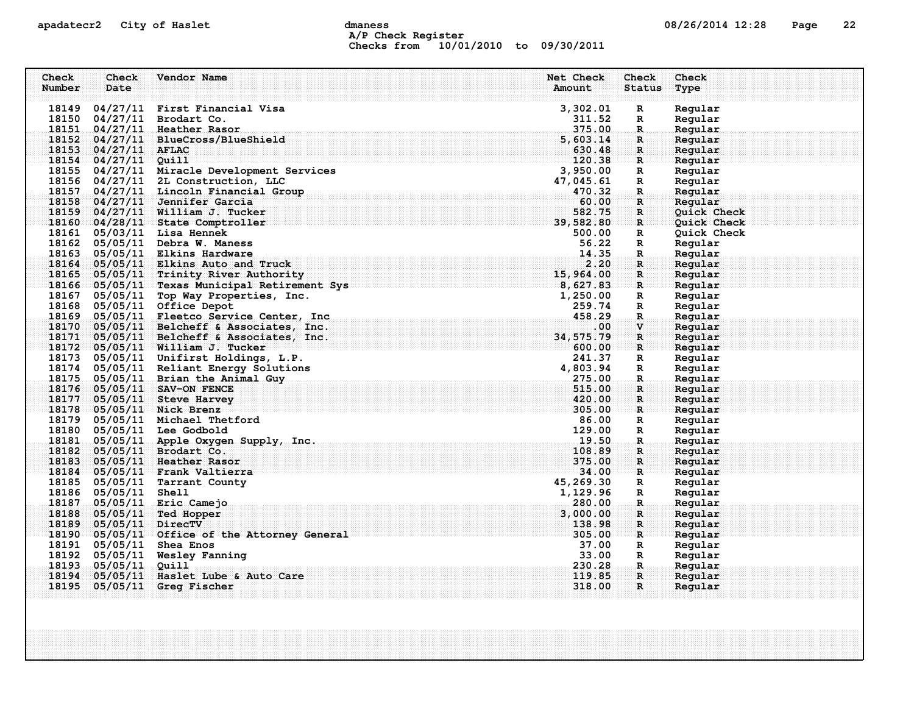### apadatecr2 City of Haslet computer dmaness computer dmaness computer of  $08/26/2014$  12:28 Page 22 A/P Check Register Checks from 10/01/2010 to 09/30/2011

| 18149 04/27/11 First Financial Visa<br>3,302.01<br>Regular<br>$\mathbf R$<br>18150 04/27/11 Brodart Co.<br>311.52<br>Regular<br>R<br>Regular<br>375.00<br>18151 04/27/11 Heather Rasor<br>$\mathbf R$<br>18152 04/27/11 BlueCross/BlueShield<br>Regular<br>5,603.14<br>R.<br>18153 04/27/11 AFLAC<br>630.48<br>Regular<br>$\mathbf{R}$<br>$18154$ 04/27/11 Quill<br>120.38<br>Regular<br>$\mathbf{R}$<br>18155 04/27/11 Miracle Development Services<br>3,950.00<br>Regular<br>R<br>18156 04/27/11 2L Construction, LLC<br>47,045.61<br>Regular<br>$\mathbf R$<br>04/27/11 Lincoln Financial Group<br>470.32<br>Regular<br>18157<br>$\mathbf{R}$<br>18158 04/27/11 Jennifer Garcia<br>60.00<br>Regular<br>R<br>18159 04/27/11 William J. Tucker<br>582.75<br>Quick Check<br>R<br>18160 04/28/11 State Comptroller<br>39,582.80<br>$\mathbf{R}$<br>Quick Check<br>18161 05/03/11 Lisa Hennek<br>500.00<br>Quick Check<br>R<br>18162 05/05/11 Debra W. Maness<br>56.22<br>$\mathbf R$<br>Regular<br>18163 05/05/11 Elkins Hardware<br>14.35<br>Regular<br>$\mathbf{R}$<br>2.20<br>18164 05/05/11 Elkins Auto and Truck<br>Regular<br>R<br>15,964.00<br>18165 05/05/11 Trinity River Authority<br>Regular<br>$\mathbf R$<br>$\frac{1}{8}$ , 627.83<br>18166 05/05/11 Texas Municipal Retirement Sys<br>Regular<br>$\mathbf{R}$<br>05/05/11 Top Way Properties, Inc.<br>18167<br>1,250.00<br>Regular<br>$\mathbf R$<br>18168<br>05/05/11 Office Depot<br>259.74<br>Regular<br>$\mathbf R$<br>05/05/11 Fleetco Service Center, Inc.<br>458.29<br>Regular<br>18169<br>$\mathbf R$<br>Regular<br>18170 05/05/11 Belcheff & Associates, Inc.<br>.00<br>$\mathbf{V}$<br>18171 05/05/11 Belcheff & Associates, Inc.<br>34,575.79<br>Regular<br>$\mathbf{R}$<br>18172 05/05/11 William J. Tucker<br>Regular<br>600.00<br>R<br>241.37<br>18173 05/05/11 Unifirst Holdings, L.P.<br>Regular<br>$\mathbf R$<br>18174 05/05/11 Reliant Energy Solutions<br>4,803.94<br>Regular<br>$\mathbf{R}$<br>18175 05/05/11 Brian the Animal Guy<br>275.00<br>$\mathbf{R}$<br>Regular<br>18176 05/05/11 SAV-ON FENCE<br>515.00<br>Regular<br>R.<br>420.00<br>18177 05/05/11 Steve Harvey<br>$\mathbf{R}$<br>Regular<br>305.00<br>18178 05/05/11 Nick Brenz<br>Regular<br>$\mathbf{R}$<br>18179 05/05/11 Michael Thetford<br>86.00<br>$\mathbf R$<br>Regular<br>18180<br>05/05/11 Lee Godbold<br>129.00<br>Regular<br>$\mathbb{R}$<br>19.50<br>18181 05/05/11 Apple Oxygen Supply, Inc.<br>Regular<br>$\mathbf R$<br>18182 05/05/11 Brodart Co.<br>108.89<br>Regular<br>R<br>375.00<br>18183 05/05/11 Heather Rasor<br>Regular<br>R<br>34.00<br>18184 05/05/11 Frank Valtierra<br>Regular<br>R<br>18185 05/05/11 Tarrant County<br>45,269.30<br>Regular<br>$\mathbb{R}$<br>18186 05/05/11 Shell<br>1,129.96<br>Regular<br>R<br>18187 05/05/11 Eric Camejo<br>280.00<br>Regular<br>$\mathbf{R}$<br>18188 05/05/11 Ted Hopper<br>3,000.00<br>R<br>Reqular<br>18189 05/05/11 DirecTV<br>Regular<br>138.98<br>R<br>18190 05/05/11 Office of the Attorney General<br>305.00<br>$\mathbf{R}$<br>Regular<br>37.00<br>18191 05/05/11 Shea Enos<br>Regular<br>R<br>33.00<br>18192 05/05/11 Wesley Fanning<br>Regular<br>R<br>18193<br>230.28<br>05/05/11<br>Quill<br>Regular<br>.R.<br>18194<br>05/05/11 Haslet Lube & Auto Care<br>119.85<br>Regular<br>$\mathbf{R}$<br>18195<br>$05/05/11$ Greg Fischer<br>318.00<br>$\mathbf{R}$<br>Regular | Check<br>Number | Check<br>Date | Vendor Name | Net Check<br>Amount | <b>Check</b><br><b>Status</b> | Check<br>Type |
|------------------------------------------------------------------------------------------------------------------------------------------------------------------------------------------------------------------------------------------------------------------------------------------------------------------------------------------------------------------------------------------------------------------------------------------------------------------------------------------------------------------------------------------------------------------------------------------------------------------------------------------------------------------------------------------------------------------------------------------------------------------------------------------------------------------------------------------------------------------------------------------------------------------------------------------------------------------------------------------------------------------------------------------------------------------------------------------------------------------------------------------------------------------------------------------------------------------------------------------------------------------------------------------------------------------------------------------------------------------------------------------------------------------------------------------------------------------------------------------------------------------------------------------------------------------------------------------------------------------------------------------------------------------------------------------------------------------------------------------------------------------------------------------------------------------------------------------------------------------------------------------------------------------------------------------------------------------------------------------------------------------------------------------------------------------------------------------------------------------------------------------------------------------------------------------------------------------------------------------------------------------------------------------------------------------------------------------------------------------------------------------------------------------------------------------------------------------------------------------------------------------------------------------------------------------------------------------------------------------------------------------------------------------------------------------------------------------------------------------------------------------------------------------------------------------------------------------------------------------------------------------------------------------------------------------------------------------------------------------------------------------------------------------------------------------------------------------------------------------------------------------------------------------------------------------------------------------------------------------------------------------------------------------------------------------------------------------------------------------------------------------------------------|-----------------|---------------|-------------|---------------------|-------------------------------|---------------|
|                                                                                                                                                                                                                                                                                                                                                                                                                                                                                                                                                                                                                                                                                                                                                                                                                                                                                                                                                                                                                                                                                                                                                                                                                                                                                                                                                                                                                                                                                                                                                                                                                                                                                                                                                                                                                                                                                                                                                                                                                                                                                                                                                                                                                                                                                                                                                                                                                                                                                                                                                                                                                                                                                                                                                                                                                                                                                                                                                                                                                                                                                                                                                                                                                                                                                                                                                                                                            |                 |               |             |                     |                               |               |
|                                                                                                                                                                                                                                                                                                                                                                                                                                                                                                                                                                                                                                                                                                                                                                                                                                                                                                                                                                                                                                                                                                                                                                                                                                                                                                                                                                                                                                                                                                                                                                                                                                                                                                                                                                                                                                                                                                                                                                                                                                                                                                                                                                                                                                                                                                                                                                                                                                                                                                                                                                                                                                                                                                                                                                                                                                                                                                                                                                                                                                                                                                                                                                                                                                                                                                                                                                                                            |                 |               |             |                     |                               |               |
|                                                                                                                                                                                                                                                                                                                                                                                                                                                                                                                                                                                                                                                                                                                                                                                                                                                                                                                                                                                                                                                                                                                                                                                                                                                                                                                                                                                                                                                                                                                                                                                                                                                                                                                                                                                                                                                                                                                                                                                                                                                                                                                                                                                                                                                                                                                                                                                                                                                                                                                                                                                                                                                                                                                                                                                                                                                                                                                                                                                                                                                                                                                                                                                                                                                                                                                                                                                                            |                 |               |             |                     |                               |               |
|                                                                                                                                                                                                                                                                                                                                                                                                                                                                                                                                                                                                                                                                                                                                                                                                                                                                                                                                                                                                                                                                                                                                                                                                                                                                                                                                                                                                                                                                                                                                                                                                                                                                                                                                                                                                                                                                                                                                                                                                                                                                                                                                                                                                                                                                                                                                                                                                                                                                                                                                                                                                                                                                                                                                                                                                                                                                                                                                                                                                                                                                                                                                                                                                                                                                                                                                                                                                            |                 |               |             |                     |                               |               |
|                                                                                                                                                                                                                                                                                                                                                                                                                                                                                                                                                                                                                                                                                                                                                                                                                                                                                                                                                                                                                                                                                                                                                                                                                                                                                                                                                                                                                                                                                                                                                                                                                                                                                                                                                                                                                                                                                                                                                                                                                                                                                                                                                                                                                                                                                                                                                                                                                                                                                                                                                                                                                                                                                                                                                                                                                                                                                                                                                                                                                                                                                                                                                                                                                                                                                                                                                                                                            |                 |               |             |                     |                               |               |
|                                                                                                                                                                                                                                                                                                                                                                                                                                                                                                                                                                                                                                                                                                                                                                                                                                                                                                                                                                                                                                                                                                                                                                                                                                                                                                                                                                                                                                                                                                                                                                                                                                                                                                                                                                                                                                                                                                                                                                                                                                                                                                                                                                                                                                                                                                                                                                                                                                                                                                                                                                                                                                                                                                                                                                                                                                                                                                                                                                                                                                                                                                                                                                                                                                                                                                                                                                                                            |                 |               |             |                     |                               |               |
|                                                                                                                                                                                                                                                                                                                                                                                                                                                                                                                                                                                                                                                                                                                                                                                                                                                                                                                                                                                                                                                                                                                                                                                                                                                                                                                                                                                                                                                                                                                                                                                                                                                                                                                                                                                                                                                                                                                                                                                                                                                                                                                                                                                                                                                                                                                                                                                                                                                                                                                                                                                                                                                                                                                                                                                                                                                                                                                                                                                                                                                                                                                                                                                                                                                                                                                                                                                                            |                 |               |             |                     |                               |               |
|                                                                                                                                                                                                                                                                                                                                                                                                                                                                                                                                                                                                                                                                                                                                                                                                                                                                                                                                                                                                                                                                                                                                                                                                                                                                                                                                                                                                                                                                                                                                                                                                                                                                                                                                                                                                                                                                                                                                                                                                                                                                                                                                                                                                                                                                                                                                                                                                                                                                                                                                                                                                                                                                                                                                                                                                                                                                                                                                                                                                                                                                                                                                                                                                                                                                                                                                                                                                            |                 |               |             |                     |                               |               |
|                                                                                                                                                                                                                                                                                                                                                                                                                                                                                                                                                                                                                                                                                                                                                                                                                                                                                                                                                                                                                                                                                                                                                                                                                                                                                                                                                                                                                                                                                                                                                                                                                                                                                                                                                                                                                                                                                                                                                                                                                                                                                                                                                                                                                                                                                                                                                                                                                                                                                                                                                                                                                                                                                                                                                                                                                                                                                                                                                                                                                                                                                                                                                                                                                                                                                                                                                                                                            |                 |               |             |                     |                               |               |
|                                                                                                                                                                                                                                                                                                                                                                                                                                                                                                                                                                                                                                                                                                                                                                                                                                                                                                                                                                                                                                                                                                                                                                                                                                                                                                                                                                                                                                                                                                                                                                                                                                                                                                                                                                                                                                                                                                                                                                                                                                                                                                                                                                                                                                                                                                                                                                                                                                                                                                                                                                                                                                                                                                                                                                                                                                                                                                                                                                                                                                                                                                                                                                                                                                                                                                                                                                                                            |                 |               |             |                     |                               |               |
|                                                                                                                                                                                                                                                                                                                                                                                                                                                                                                                                                                                                                                                                                                                                                                                                                                                                                                                                                                                                                                                                                                                                                                                                                                                                                                                                                                                                                                                                                                                                                                                                                                                                                                                                                                                                                                                                                                                                                                                                                                                                                                                                                                                                                                                                                                                                                                                                                                                                                                                                                                                                                                                                                                                                                                                                                                                                                                                                                                                                                                                                                                                                                                                                                                                                                                                                                                                                            |                 |               |             |                     |                               |               |
|                                                                                                                                                                                                                                                                                                                                                                                                                                                                                                                                                                                                                                                                                                                                                                                                                                                                                                                                                                                                                                                                                                                                                                                                                                                                                                                                                                                                                                                                                                                                                                                                                                                                                                                                                                                                                                                                                                                                                                                                                                                                                                                                                                                                                                                                                                                                                                                                                                                                                                                                                                                                                                                                                                                                                                                                                                                                                                                                                                                                                                                                                                                                                                                                                                                                                                                                                                                                            |                 |               |             |                     |                               |               |
|                                                                                                                                                                                                                                                                                                                                                                                                                                                                                                                                                                                                                                                                                                                                                                                                                                                                                                                                                                                                                                                                                                                                                                                                                                                                                                                                                                                                                                                                                                                                                                                                                                                                                                                                                                                                                                                                                                                                                                                                                                                                                                                                                                                                                                                                                                                                                                                                                                                                                                                                                                                                                                                                                                                                                                                                                                                                                                                                                                                                                                                                                                                                                                                                                                                                                                                                                                                                            |                 |               |             |                     |                               |               |
|                                                                                                                                                                                                                                                                                                                                                                                                                                                                                                                                                                                                                                                                                                                                                                                                                                                                                                                                                                                                                                                                                                                                                                                                                                                                                                                                                                                                                                                                                                                                                                                                                                                                                                                                                                                                                                                                                                                                                                                                                                                                                                                                                                                                                                                                                                                                                                                                                                                                                                                                                                                                                                                                                                                                                                                                                                                                                                                                                                                                                                                                                                                                                                                                                                                                                                                                                                                                            |                 |               |             |                     |                               |               |
|                                                                                                                                                                                                                                                                                                                                                                                                                                                                                                                                                                                                                                                                                                                                                                                                                                                                                                                                                                                                                                                                                                                                                                                                                                                                                                                                                                                                                                                                                                                                                                                                                                                                                                                                                                                                                                                                                                                                                                                                                                                                                                                                                                                                                                                                                                                                                                                                                                                                                                                                                                                                                                                                                                                                                                                                                                                                                                                                                                                                                                                                                                                                                                                                                                                                                                                                                                                                            |                 |               |             |                     |                               |               |
|                                                                                                                                                                                                                                                                                                                                                                                                                                                                                                                                                                                                                                                                                                                                                                                                                                                                                                                                                                                                                                                                                                                                                                                                                                                                                                                                                                                                                                                                                                                                                                                                                                                                                                                                                                                                                                                                                                                                                                                                                                                                                                                                                                                                                                                                                                                                                                                                                                                                                                                                                                                                                                                                                                                                                                                                                                                                                                                                                                                                                                                                                                                                                                                                                                                                                                                                                                                                            |                 |               |             |                     |                               |               |
|                                                                                                                                                                                                                                                                                                                                                                                                                                                                                                                                                                                                                                                                                                                                                                                                                                                                                                                                                                                                                                                                                                                                                                                                                                                                                                                                                                                                                                                                                                                                                                                                                                                                                                                                                                                                                                                                                                                                                                                                                                                                                                                                                                                                                                                                                                                                                                                                                                                                                                                                                                                                                                                                                                                                                                                                                                                                                                                                                                                                                                                                                                                                                                                                                                                                                                                                                                                                            |                 |               |             |                     |                               |               |
|                                                                                                                                                                                                                                                                                                                                                                                                                                                                                                                                                                                                                                                                                                                                                                                                                                                                                                                                                                                                                                                                                                                                                                                                                                                                                                                                                                                                                                                                                                                                                                                                                                                                                                                                                                                                                                                                                                                                                                                                                                                                                                                                                                                                                                                                                                                                                                                                                                                                                                                                                                                                                                                                                                                                                                                                                                                                                                                                                                                                                                                                                                                                                                                                                                                                                                                                                                                                            |                 |               |             |                     |                               |               |
|                                                                                                                                                                                                                                                                                                                                                                                                                                                                                                                                                                                                                                                                                                                                                                                                                                                                                                                                                                                                                                                                                                                                                                                                                                                                                                                                                                                                                                                                                                                                                                                                                                                                                                                                                                                                                                                                                                                                                                                                                                                                                                                                                                                                                                                                                                                                                                                                                                                                                                                                                                                                                                                                                                                                                                                                                                                                                                                                                                                                                                                                                                                                                                                                                                                                                                                                                                                                            |                 |               |             |                     |                               |               |
|                                                                                                                                                                                                                                                                                                                                                                                                                                                                                                                                                                                                                                                                                                                                                                                                                                                                                                                                                                                                                                                                                                                                                                                                                                                                                                                                                                                                                                                                                                                                                                                                                                                                                                                                                                                                                                                                                                                                                                                                                                                                                                                                                                                                                                                                                                                                                                                                                                                                                                                                                                                                                                                                                                                                                                                                                                                                                                                                                                                                                                                                                                                                                                                                                                                                                                                                                                                                            |                 |               |             |                     |                               |               |
|                                                                                                                                                                                                                                                                                                                                                                                                                                                                                                                                                                                                                                                                                                                                                                                                                                                                                                                                                                                                                                                                                                                                                                                                                                                                                                                                                                                                                                                                                                                                                                                                                                                                                                                                                                                                                                                                                                                                                                                                                                                                                                                                                                                                                                                                                                                                                                                                                                                                                                                                                                                                                                                                                                                                                                                                                                                                                                                                                                                                                                                                                                                                                                                                                                                                                                                                                                                                            |                 |               |             |                     |                               |               |
|                                                                                                                                                                                                                                                                                                                                                                                                                                                                                                                                                                                                                                                                                                                                                                                                                                                                                                                                                                                                                                                                                                                                                                                                                                                                                                                                                                                                                                                                                                                                                                                                                                                                                                                                                                                                                                                                                                                                                                                                                                                                                                                                                                                                                                                                                                                                                                                                                                                                                                                                                                                                                                                                                                                                                                                                                                                                                                                                                                                                                                                                                                                                                                                                                                                                                                                                                                                                            |                 |               |             |                     |                               |               |
|                                                                                                                                                                                                                                                                                                                                                                                                                                                                                                                                                                                                                                                                                                                                                                                                                                                                                                                                                                                                                                                                                                                                                                                                                                                                                                                                                                                                                                                                                                                                                                                                                                                                                                                                                                                                                                                                                                                                                                                                                                                                                                                                                                                                                                                                                                                                                                                                                                                                                                                                                                                                                                                                                                                                                                                                                                                                                                                                                                                                                                                                                                                                                                                                                                                                                                                                                                                                            |                 |               |             |                     |                               |               |
|                                                                                                                                                                                                                                                                                                                                                                                                                                                                                                                                                                                                                                                                                                                                                                                                                                                                                                                                                                                                                                                                                                                                                                                                                                                                                                                                                                                                                                                                                                                                                                                                                                                                                                                                                                                                                                                                                                                                                                                                                                                                                                                                                                                                                                                                                                                                                                                                                                                                                                                                                                                                                                                                                                                                                                                                                                                                                                                                                                                                                                                                                                                                                                                                                                                                                                                                                                                                            |                 |               |             |                     |                               |               |
|                                                                                                                                                                                                                                                                                                                                                                                                                                                                                                                                                                                                                                                                                                                                                                                                                                                                                                                                                                                                                                                                                                                                                                                                                                                                                                                                                                                                                                                                                                                                                                                                                                                                                                                                                                                                                                                                                                                                                                                                                                                                                                                                                                                                                                                                                                                                                                                                                                                                                                                                                                                                                                                                                                                                                                                                                                                                                                                                                                                                                                                                                                                                                                                                                                                                                                                                                                                                            |                 |               |             |                     |                               |               |
|                                                                                                                                                                                                                                                                                                                                                                                                                                                                                                                                                                                                                                                                                                                                                                                                                                                                                                                                                                                                                                                                                                                                                                                                                                                                                                                                                                                                                                                                                                                                                                                                                                                                                                                                                                                                                                                                                                                                                                                                                                                                                                                                                                                                                                                                                                                                                                                                                                                                                                                                                                                                                                                                                                                                                                                                                                                                                                                                                                                                                                                                                                                                                                                                                                                                                                                                                                                                            |                 |               |             |                     |                               |               |
|                                                                                                                                                                                                                                                                                                                                                                                                                                                                                                                                                                                                                                                                                                                                                                                                                                                                                                                                                                                                                                                                                                                                                                                                                                                                                                                                                                                                                                                                                                                                                                                                                                                                                                                                                                                                                                                                                                                                                                                                                                                                                                                                                                                                                                                                                                                                                                                                                                                                                                                                                                                                                                                                                                                                                                                                                                                                                                                                                                                                                                                                                                                                                                                                                                                                                                                                                                                                            |                 |               |             |                     |                               |               |
|                                                                                                                                                                                                                                                                                                                                                                                                                                                                                                                                                                                                                                                                                                                                                                                                                                                                                                                                                                                                                                                                                                                                                                                                                                                                                                                                                                                                                                                                                                                                                                                                                                                                                                                                                                                                                                                                                                                                                                                                                                                                                                                                                                                                                                                                                                                                                                                                                                                                                                                                                                                                                                                                                                                                                                                                                                                                                                                                                                                                                                                                                                                                                                                                                                                                                                                                                                                                            |                 |               |             |                     |                               |               |
|                                                                                                                                                                                                                                                                                                                                                                                                                                                                                                                                                                                                                                                                                                                                                                                                                                                                                                                                                                                                                                                                                                                                                                                                                                                                                                                                                                                                                                                                                                                                                                                                                                                                                                                                                                                                                                                                                                                                                                                                                                                                                                                                                                                                                                                                                                                                                                                                                                                                                                                                                                                                                                                                                                                                                                                                                                                                                                                                                                                                                                                                                                                                                                                                                                                                                                                                                                                                            |                 |               |             |                     |                               |               |
|                                                                                                                                                                                                                                                                                                                                                                                                                                                                                                                                                                                                                                                                                                                                                                                                                                                                                                                                                                                                                                                                                                                                                                                                                                                                                                                                                                                                                                                                                                                                                                                                                                                                                                                                                                                                                                                                                                                                                                                                                                                                                                                                                                                                                                                                                                                                                                                                                                                                                                                                                                                                                                                                                                                                                                                                                                                                                                                                                                                                                                                                                                                                                                                                                                                                                                                                                                                                            |                 |               |             |                     |                               |               |
|                                                                                                                                                                                                                                                                                                                                                                                                                                                                                                                                                                                                                                                                                                                                                                                                                                                                                                                                                                                                                                                                                                                                                                                                                                                                                                                                                                                                                                                                                                                                                                                                                                                                                                                                                                                                                                                                                                                                                                                                                                                                                                                                                                                                                                                                                                                                                                                                                                                                                                                                                                                                                                                                                                                                                                                                                                                                                                                                                                                                                                                                                                                                                                                                                                                                                                                                                                                                            |                 |               |             |                     |                               |               |
|                                                                                                                                                                                                                                                                                                                                                                                                                                                                                                                                                                                                                                                                                                                                                                                                                                                                                                                                                                                                                                                                                                                                                                                                                                                                                                                                                                                                                                                                                                                                                                                                                                                                                                                                                                                                                                                                                                                                                                                                                                                                                                                                                                                                                                                                                                                                                                                                                                                                                                                                                                                                                                                                                                                                                                                                                                                                                                                                                                                                                                                                                                                                                                                                                                                                                                                                                                                                            |                 |               |             |                     |                               |               |
|                                                                                                                                                                                                                                                                                                                                                                                                                                                                                                                                                                                                                                                                                                                                                                                                                                                                                                                                                                                                                                                                                                                                                                                                                                                                                                                                                                                                                                                                                                                                                                                                                                                                                                                                                                                                                                                                                                                                                                                                                                                                                                                                                                                                                                                                                                                                                                                                                                                                                                                                                                                                                                                                                                                                                                                                                                                                                                                                                                                                                                                                                                                                                                                                                                                                                                                                                                                                            |                 |               |             |                     |                               |               |
|                                                                                                                                                                                                                                                                                                                                                                                                                                                                                                                                                                                                                                                                                                                                                                                                                                                                                                                                                                                                                                                                                                                                                                                                                                                                                                                                                                                                                                                                                                                                                                                                                                                                                                                                                                                                                                                                                                                                                                                                                                                                                                                                                                                                                                                                                                                                                                                                                                                                                                                                                                                                                                                                                                                                                                                                                                                                                                                                                                                                                                                                                                                                                                                                                                                                                                                                                                                                            |                 |               |             |                     |                               |               |
|                                                                                                                                                                                                                                                                                                                                                                                                                                                                                                                                                                                                                                                                                                                                                                                                                                                                                                                                                                                                                                                                                                                                                                                                                                                                                                                                                                                                                                                                                                                                                                                                                                                                                                                                                                                                                                                                                                                                                                                                                                                                                                                                                                                                                                                                                                                                                                                                                                                                                                                                                                                                                                                                                                                                                                                                                                                                                                                                                                                                                                                                                                                                                                                                                                                                                                                                                                                                            |                 |               |             |                     |                               |               |
|                                                                                                                                                                                                                                                                                                                                                                                                                                                                                                                                                                                                                                                                                                                                                                                                                                                                                                                                                                                                                                                                                                                                                                                                                                                                                                                                                                                                                                                                                                                                                                                                                                                                                                                                                                                                                                                                                                                                                                                                                                                                                                                                                                                                                                                                                                                                                                                                                                                                                                                                                                                                                                                                                                                                                                                                                                                                                                                                                                                                                                                                                                                                                                                                                                                                                                                                                                                                            |                 |               |             |                     |                               |               |
|                                                                                                                                                                                                                                                                                                                                                                                                                                                                                                                                                                                                                                                                                                                                                                                                                                                                                                                                                                                                                                                                                                                                                                                                                                                                                                                                                                                                                                                                                                                                                                                                                                                                                                                                                                                                                                                                                                                                                                                                                                                                                                                                                                                                                                                                                                                                                                                                                                                                                                                                                                                                                                                                                                                                                                                                                                                                                                                                                                                                                                                                                                                                                                                                                                                                                                                                                                                                            |                 |               |             |                     |                               |               |
|                                                                                                                                                                                                                                                                                                                                                                                                                                                                                                                                                                                                                                                                                                                                                                                                                                                                                                                                                                                                                                                                                                                                                                                                                                                                                                                                                                                                                                                                                                                                                                                                                                                                                                                                                                                                                                                                                                                                                                                                                                                                                                                                                                                                                                                                                                                                                                                                                                                                                                                                                                                                                                                                                                                                                                                                                                                                                                                                                                                                                                                                                                                                                                                                                                                                                                                                                                                                            |                 |               |             |                     |                               |               |
|                                                                                                                                                                                                                                                                                                                                                                                                                                                                                                                                                                                                                                                                                                                                                                                                                                                                                                                                                                                                                                                                                                                                                                                                                                                                                                                                                                                                                                                                                                                                                                                                                                                                                                                                                                                                                                                                                                                                                                                                                                                                                                                                                                                                                                                                                                                                                                                                                                                                                                                                                                                                                                                                                                                                                                                                                                                                                                                                                                                                                                                                                                                                                                                                                                                                                                                                                                                                            |                 |               |             |                     |                               |               |
|                                                                                                                                                                                                                                                                                                                                                                                                                                                                                                                                                                                                                                                                                                                                                                                                                                                                                                                                                                                                                                                                                                                                                                                                                                                                                                                                                                                                                                                                                                                                                                                                                                                                                                                                                                                                                                                                                                                                                                                                                                                                                                                                                                                                                                                                                                                                                                                                                                                                                                                                                                                                                                                                                                                                                                                                                                                                                                                                                                                                                                                                                                                                                                                                                                                                                                                                                                                                            |                 |               |             |                     |                               |               |
|                                                                                                                                                                                                                                                                                                                                                                                                                                                                                                                                                                                                                                                                                                                                                                                                                                                                                                                                                                                                                                                                                                                                                                                                                                                                                                                                                                                                                                                                                                                                                                                                                                                                                                                                                                                                                                                                                                                                                                                                                                                                                                                                                                                                                                                                                                                                                                                                                                                                                                                                                                                                                                                                                                                                                                                                                                                                                                                                                                                                                                                                                                                                                                                                                                                                                                                                                                                                            |                 |               |             |                     |                               |               |
|                                                                                                                                                                                                                                                                                                                                                                                                                                                                                                                                                                                                                                                                                                                                                                                                                                                                                                                                                                                                                                                                                                                                                                                                                                                                                                                                                                                                                                                                                                                                                                                                                                                                                                                                                                                                                                                                                                                                                                                                                                                                                                                                                                                                                                                                                                                                                                                                                                                                                                                                                                                                                                                                                                                                                                                                                                                                                                                                                                                                                                                                                                                                                                                                                                                                                                                                                                                                            |                 |               |             |                     |                               |               |
|                                                                                                                                                                                                                                                                                                                                                                                                                                                                                                                                                                                                                                                                                                                                                                                                                                                                                                                                                                                                                                                                                                                                                                                                                                                                                                                                                                                                                                                                                                                                                                                                                                                                                                                                                                                                                                                                                                                                                                                                                                                                                                                                                                                                                                                                                                                                                                                                                                                                                                                                                                                                                                                                                                                                                                                                                                                                                                                                                                                                                                                                                                                                                                                                                                                                                                                                                                                                            |                 |               |             |                     |                               |               |
|                                                                                                                                                                                                                                                                                                                                                                                                                                                                                                                                                                                                                                                                                                                                                                                                                                                                                                                                                                                                                                                                                                                                                                                                                                                                                                                                                                                                                                                                                                                                                                                                                                                                                                                                                                                                                                                                                                                                                                                                                                                                                                                                                                                                                                                                                                                                                                                                                                                                                                                                                                                                                                                                                                                                                                                                                                                                                                                                                                                                                                                                                                                                                                                                                                                                                                                                                                                                            |                 |               |             |                     |                               |               |
|                                                                                                                                                                                                                                                                                                                                                                                                                                                                                                                                                                                                                                                                                                                                                                                                                                                                                                                                                                                                                                                                                                                                                                                                                                                                                                                                                                                                                                                                                                                                                                                                                                                                                                                                                                                                                                                                                                                                                                                                                                                                                                                                                                                                                                                                                                                                                                                                                                                                                                                                                                                                                                                                                                                                                                                                                                                                                                                                                                                                                                                                                                                                                                                                                                                                                                                                                                                                            |                 |               |             |                     |                               |               |
|                                                                                                                                                                                                                                                                                                                                                                                                                                                                                                                                                                                                                                                                                                                                                                                                                                                                                                                                                                                                                                                                                                                                                                                                                                                                                                                                                                                                                                                                                                                                                                                                                                                                                                                                                                                                                                                                                                                                                                                                                                                                                                                                                                                                                                                                                                                                                                                                                                                                                                                                                                                                                                                                                                                                                                                                                                                                                                                                                                                                                                                                                                                                                                                                                                                                                                                                                                                                            |                 |               |             |                     |                               |               |
|                                                                                                                                                                                                                                                                                                                                                                                                                                                                                                                                                                                                                                                                                                                                                                                                                                                                                                                                                                                                                                                                                                                                                                                                                                                                                                                                                                                                                                                                                                                                                                                                                                                                                                                                                                                                                                                                                                                                                                                                                                                                                                                                                                                                                                                                                                                                                                                                                                                                                                                                                                                                                                                                                                                                                                                                                                                                                                                                                                                                                                                                                                                                                                                                                                                                                                                                                                                                            |                 |               |             |                     |                               |               |
|                                                                                                                                                                                                                                                                                                                                                                                                                                                                                                                                                                                                                                                                                                                                                                                                                                                                                                                                                                                                                                                                                                                                                                                                                                                                                                                                                                                                                                                                                                                                                                                                                                                                                                                                                                                                                                                                                                                                                                                                                                                                                                                                                                                                                                                                                                                                                                                                                                                                                                                                                                                                                                                                                                                                                                                                                                                                                                                                                                                                                                                                                                                                                                                                                                                                                                                                                                                                            |                 |               |             |                     |                               |               |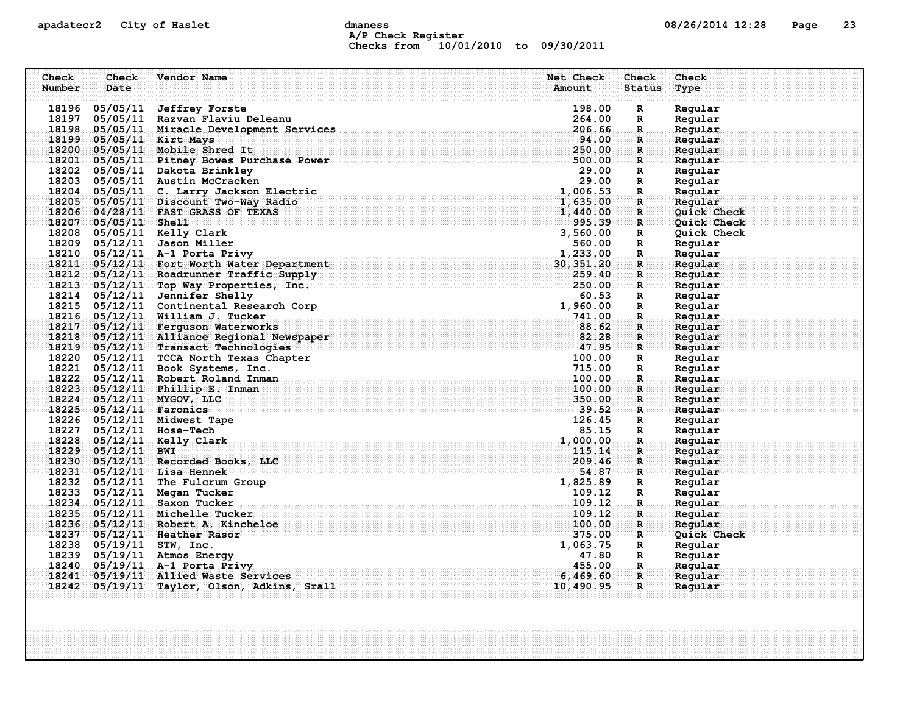### apadatecr2 City of Haslet dmaness dmaness and the US/26/2014 12:28 Page 23 A/P Check Register Checks from 10/01/2010 to 09/30/2011

| Check  | Check                    | Vendor Name                                 | Net Check                                                   | Check         | Check       |
|--------|--------------------------|---------------------------------------------|-------------------------------------------------------------|---------------|-------------|
| Number | Date                     |                                             | Amount                                                      | <b>Status</b> | Type        |
|        |                          |                                             |                                                             |               |             |
|        | 18196 05/05/11           | <b>Jeffrey Forste</b>                       | 198.00                                                      | R             | Regular     |
|        |                          | 18197 05/05/11 Razvan Flaviu Deleanu        | 264.00                                                      | R             | Regular     |
|        |                          | 18198 05/05/11 Miracle Development Services | 206.66                                                      | R             | Regular     |
|        | 18199 05/05/11 Kirt Mays |                                             | 94.00                                                       | $\mathbf R$   | Regular     |
| 18200  |                          | 05/05/11 Mobile Shred It                    | 250.00                                                      | $\mathbf{R}$  | Regular     |
|        |                          | 18201 05/05/11 Pitney Bowes Purchase Power  | 500.00                                                      | $\mathbf{R}$  | Regular     |
|        |                          | 18202 05/05/11 Dakota Brinkley              | 29.00                                                       | R             | Regular     |
|        |                          | 18203 05/05/11 Austin McCracken             | 29.00                                                       | R             | Regular     |
|        |                          | 18204 05/05/11 C. Larry Jackson Electric    | 1,006.53                                                    | $\mathbf R$   | Regular     |
|        |                          | 18205 05/05/11 Discount Two-Way Radio       | 1,635.00                                                    | $\mathbf R$   | Regular     |
| 18206  |                          | 04/28/11 FAST GRASS OF TEXAS                | 1,440.00                                                    | $\mathbf R$   | Quick Check |
|        | 18207 05/05/11 Shell     |                                             | 995.39                                                      | R             | Quick Check |
|        |                          | 18208 05/05/11 Kelly Clark                  | 3,560.00                                                    | $\mathbf R$   | Quick Check |
|        |                          | 18209 05/12/11 Jason Miller                 | 560.00                                                      | R             | Regular     |
|        |                          | 18210 05/12/11 A-1 Porta Privy              | 1,233.00                                                    | R             | Regular     |
| 18211  |                          | 05/12/11 Fort Worth Water Department        | 30, 351.20                                                  | $\mathbf{R}$  | Regular     |
|        |                          | 18212 05/12/11 Roadrunner Traffic Supply    | 259.40                                                      | $\mathbf{R}$  | Regular     |
|        |                          | 18213 05/12/11 Top Way Properties, Inc.     | 250.00                                                      | R             | Regular     |
|        |                          | 18214 05/12/11 Jennifer Shelly              | 60.53                                                       | R             | Regular     |
|        |                          | 18215 05/12/11 Continental Research Corp    | 1,960.00                                                    | R             | Regular     |
|        |                          | 18216 05/12/11 William J. Tucker            | 741.00                                                      | $\mathbf R$   | Regular     |
| 18217  |                          | 05/12/11 Ferguson Waterworks                | 88.62                                                       | $\mathbf R$   | Reqular     |
|        |                          | 18218 05/12/11 Alliance Regional Newspaper  | 82.28<br><u> 17.95</u>                                      | $\mathbf{R}$  | Regular     |
|        |                          | 18219 05/12/11 Transact Technologies        |                                                             | $\mathbf{R}$  | Regular     |
|        |                          | 18220 05/12/11 TCCA North Texas Chapter     | 100.00                                                      | R             | Regular     |
|        |                          | 18221 05/12/11 Book Systems, Inc.           | 715.00                                                      | $\mathbb{R}$  | Regular     |
|        |                          | 18222 05/12/11 Robert Roland Inman          | 100.00                                                      | $\mathbf{R}$  | Regular     |
|        |                          | 18223 05/12/11 Phillip E. Inman             | 100.00                                                      | R             | Regular     |
|        |                          | 18224 05/12/11 MYGOV, LLC                   | 350.00                                                      | $\mathbf{R}$  | Regular     |
|        | 18225 05/12/11 Faronics  |                                             | and and an anti-definition of the complete $\mathbf{39.52}$ | $\mathbf R$ : | Regular     |
|        |                          | 18226 05/12/11 Midwest Tape                 | 126.45                                                      | $\mathbf R$   | Regular     |
|        | 18227 05/12/11 Hose-Tech |                                             | 85.15                                                       | R             | Regular     |
|        |                          | 18228 05/12/11 Kelly Clark                  | 1,000.00                                                    | $\mathbf R$   | Regular     |
| 18229  | $05/12/11$ BWI           |                                             | 115.14                                                      | $\mathbf R$   | Regular     |
|        |                          | 18230 05/12/11 Recorded Books, LLC          | 209.46                                                      | $\mathbf{R}$  | Regular     |
|        |                          | 18231 05/12/11 Lisa Hennek                  | 54.87                                                       | R             | Reqular     |
|        |                          | 18232 05/12/11 The Fulcrum Group            | 1,825.89                                                    | R             | Regular     |
|        |                          | 18233 05/12/11 Megan Tucker                 | 109.12                                                      | R             | Regular     |
| 18234  |                          | 05/12/11 Saxon Tucker                       | 109.12                                                      | $\mathbf R$   | Regular     |
| 18235  |                          | 05/12/11 Michelle Tucker                    | 109.12                                                      | $\mathbf{R}$  | Regular     |
| 18236  |                          | 05/12/11 Robert A. Kincheloe                | 100.00                                                      | $\mathbf R$   | Regular     |
|        |                          | 18237 05/12/11 Heather Rasor                | 375.00                                                      | $\mathbf R$   | Quick Check |
|        | 18238 05/19/11 STW, Inc. |                                             | 1,063.75                                                    | $\mathbb{R}$  | Regular     |
|        |                          | 18239 05/19/11 Atmos Energy                 | 47.80                                                       | R             | Regular     |
|        |                          | 18240 05/19/11 A-1 Porta Privy              | 455.00                                                      | R.            | Regular     |
| 18241  |                          | 05/19/11 Allied Waste Services              | 6,469.60                                                    | $\mathbf R$   | Reqular     |
|        |                          | 18242 05/19/11 Taylor, Olson, Adkins, Srall | 10,490.95                                                   | $\mathbf{R}$  | Regular     |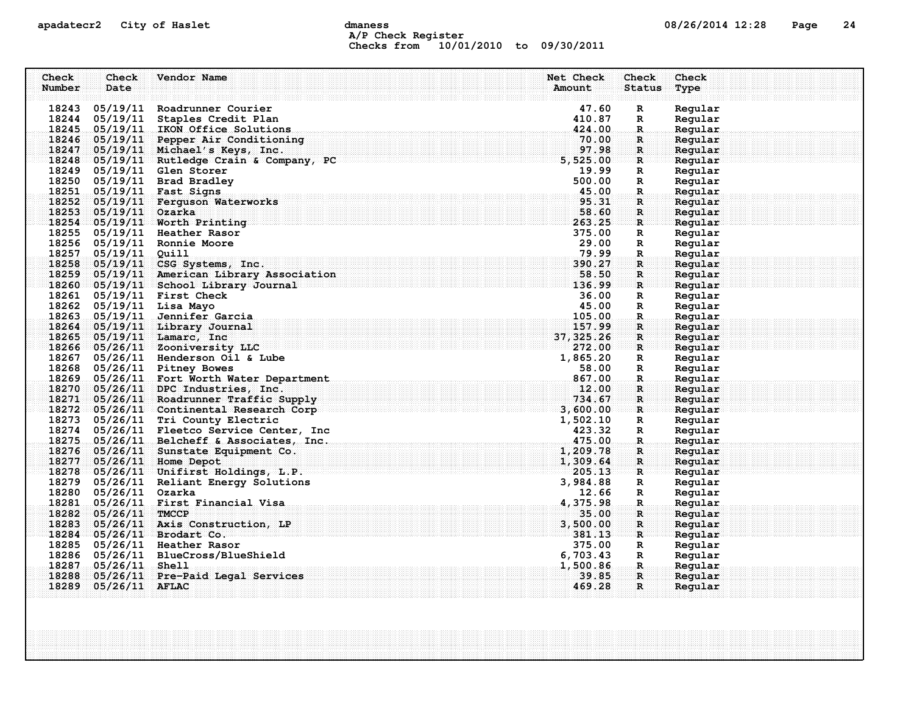### apadatecr2 City of Haslet and dmaness dmaness and the US/26/2014 12:28 Page 24 A/P Check Register Checks from 10/01/2010 to 09/30/2011

| Check  | Check                 | Vendor Name                                                | Net Check                | <b>Check</b>                 | Check              |
|--------|-----------------------|------------------------------------------------------------|--------------------------|------------------------------|--------------------|
| Number | Date                  |                                                            | Amount                   | <b>Status</b>                | Type               |
|        |                       | 18243 05/19/11 Roadrunner Courier                          | 47.60                    | $\mathbf R$                  | Regular            |
|        |                       | 18244 05/19/11 Staples Credit Plan                         | 410.87                   | R                            | Regular            |
|        |                       | 18245 05/19/11 IKON Office Solutions                       | 424.00                   | $\mathbf{R}$                 | Regular            |
|        |                       | 18246 05/19/11 Pepper Air Conditioning                     | 70.00                    | $\mathbf R$ :                | Regular            |
|        |                       | 18247 05/19/11 Michael's Keys, Inc.                        | 97.98                    | $\mathbf{R}$                 | Regular            |
|        |                       | 18248 05/19/11 Rutledge Crain & Company, PC                | iningingingi<br>5,525.00 | ार                           | Regular            |
|        |                       | 18249 05/19/11 Glen Storer                                 | 19.99                    | R                            | Regular            |
|        |                       | 18250 05/19/11 Brad Bradley                                | 500.00                   | $\mathbb{R}$                 | Regular            |
|        |                       | 18251 05/19/11 Fast Signs                                  | 45.00                    | $\mathbf R$ .                | Regular            |
|        |                       | 18252 05/19/11 Ferguson Waterworks                         | 95.31                    | $\mathbf{R}$                 | Regular            |
|        | 18253 05/19/11 Ozarka |                                                            | 58.60                    | R                            | Reqular            |
|        |                       | 18254 05/19/11 Worth Printing                              | 263.25                   | $\mathbf R$                  | Regular            |
|        |                       | 18255 05/19/11 Heather Rasor                               | 375.00                   | R                            | Regular            |
|        |                       | 18256 05/19/11 Ronnie Moore                                | 29.00                    | R                            | Regular            |
|        | 18257 05/19/11 Quill  |                                                            | 79.99                    | R.                           | Regular            |
|        |                       | 18258 05/19/11 CSG Systems, Inc.                           | 390.27                   | $\mathbf{R}$                 | Regular            |
|        |                       | 18259 05/19/11 American Library Association                | 58.50                    | $\mathbf{R}$                 | Regular            |
|        |                       | 18260 05/19/11 School Library Journal                      | 136.99                   | $\mathbf{R}$                 | Regular            |
|        |                       | 18261 05/19/11 First Check                                 | 36.00                    | $\mathbf{R}$                 | Regular            |
|        |                       | 18262 05/19/11 Lisa Mayo<br>18263 05/19/11 Jennifer Garcia | 45.00<br>105.00          | R                            | Regular            |
|        |                       | 18264 05/19/11 Library Journal                             | 157.99                   | $\mathbf{R}$<br>$\mathbf{R}$ | Regular<br>Regular |
|        |                       | 18265 05/19/11 Lamarc, Inc                                 | 37, 325.26               | R.                           | Reqular            |
|        |                       | 18266 05/26/11 Zooniversity LLC                            | 272.00                   | $\mathbf{R}$                 | Regular            |
|        |                       | 18267 05/26/11 Henderson Oil & Lube                        | 1,865.20                 | R                            | Regular            |
|        |                       | 18268 05/26/11 Pitney Bowes                                | 58.00                    | $\mathbf{R}$                 | Regular            |
|        |                       | 18269 05/26/11 Fort Worth Water Department                 | 867.00                   | $\mathbf{R}$                 | Regular            |
|        |                       | 18270 05/26/11 DPC Industries, Inc.                        | 12.00                    | $\mathbf R$                  | Regular            |
|        |                       | 18271 05/26/11 Roadrunner Traffic Supply                   | 734.67                   | $\mathbf{R}$                 | Regular            |
|        |                       | 18272 05/26/11 Continental Research Corp                   | 3,600.00                 | R                            | Regular            |
|        |                       | 18273 05/26/11 Tri County Electric                         | 1,502.10                 | R                            | Regular            |
|        |                       | 18274 05/26/11 Fleetco Service Center, Inc                 | 423.32                   | $\mathbf{R}$                 | Regular            |
|        |                       | 18275 05/26/11 Belcheff & Associates, Inc.                 | 475.00                   | $\mathbf R$ .                | Regular            |
|        |                       | 18276 05/26/11 Sunstate Equipment Co.                      | 1,209.78                 | $\mathbf{R}$                 | Regular            |
|        |                       | 18277 05/26/11 Home Depot                                  | 1,309.64                 | $\mathbf{R}$                 | Regular            |
|        |                       | 18278 05/26/11 Unifirst Holdings, L.P.                     | 205.13                   | $\mathbf{R}$                 | Regular            |
|        |                       | 18279 05/26/11 Reliant Energy Solutions                    | 3,984.88                 | $\mathbf{R}$                 | Regular            |
|        | 18280 05/26/11 Ozarka |                                                            | 12.66                    | $\mathbf{R}$                 | Regular            |
|        |                       | 18281 05/26/11 First Financial Visa                        | 4,375.98                 | .R.                          | Regular            |
|        | 18282 05/26/11 TMCCP  |                                                            | 35.00                    | $\mathbf R$ :                | Regular            |
|        |                       | 18283 05/26/11 Axis Construction, LP                       | 3,500.00                 | $\mathbf{R}$                 | Regular            |
|        |                       | 18284 05/26/11 Brodart Co.<br>18285 05/26/11 Heather Rasor | 381.13<br>375.00         | ार                           | Regular<br>Regular |
|        |                       | 18286 05/26/11 BlueCross/BlueShield                        | 6,703.43                 | $\mathbf{R}$<br>$\mathbf{R}$ | Regular            |
|        | 18287 05/26/11 Shell  |                                                            | 1,500.86                 | $\mathbf{R}_\perp$           | Regular            |
|        |                       | 18288 05/26/11 Pre-Paid Legal Services                     | 39.85                    | $\mathbf{R}$                 | Reqular            |
|        | 18289 05/26/11 AFLAC  |                                                            | 469.28                   | R                            | Regular            |
|        |                       |                                                            |                          |                              |                    |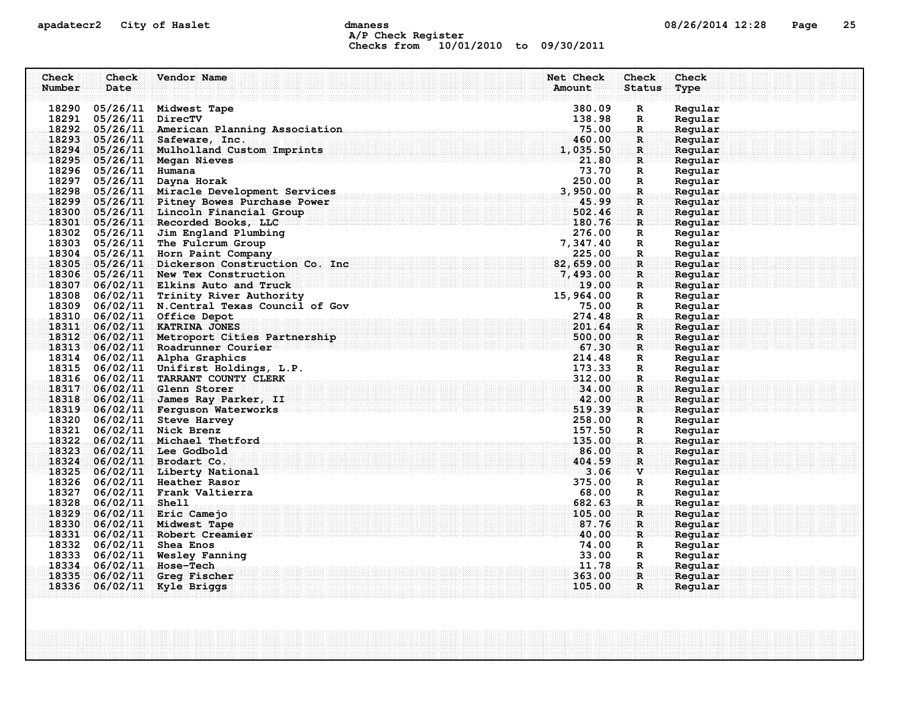### apadatecr2 City of Haslet and dmaness dmaness and the US/26/2014 12:28 Page 25 A/P Check Register Checks from 10/01/2010 to 09/30/2011

| Check  | Check                 | Vendor Name                                    | Net Check | Check         | Check   |
|--------|-----------------------|------------------------------------------------|-----------|---------------|---------|
| Number | Date                  |                                                | Amount    | <b>Status</b> | Type    |
|        |                       |                                                |           |               |         |
|        |                       | 18290 05/26/11 Midwest Tape                    | 380.09    | $\mathbb{R}$  | Regular |
|        | 18291 05/26/11        | DirecTV                                        | 138.98    | R             | Regular |
|        |                       | 18292 05/26/11 American Planning Association   | 75.00     | R.            | Regular |
|        |                       | 18293 05/26/11 Safeware, Inc.                  | 460.00    | R             | Regular |
|        |                       | 18294 05/26/11 Mulholland Custom Imprints      | 1,035.50  | $\mathbf{R}$  | Regular |
|        |                       | 18295 05/26/11 Megan Nieves                    | 21.80     | $\mathbf{R}$  | Regular |
|        | 18296 05/26/11 Humana |                                                | 73.70     | R             | Regular |
|        | 18297 05/26/11        | Dayna Horak                                    | 250.00    | $\mathbb{R}$  | Regular |
|        |                       | 18298 05/26/11 Miracle Development Services    | 3,950.00  | $\mathbf R$ . | Regular |
|        |                       | 18299 05/26/11 Pitney Bowes Purchase Power     | 45.99     | R             | Regular |
|        |                       | 18300 05/26/11 Lincoln Financial Group         | 502.46    | R             | Regular |
|        |                       | 18301 05/26/11 Recorded Books, LLC             | 180.76    | R             | Regular |
|        |                       | 18302 05/26/11 Jim England Plumbing            | 276.00    | R             | Regular |
|        |                       | 18303 05/26/11 The Fulcrum Group               | 7,347.40  | R             | Regular |
|        |                       | 18304 05/26/11 Horn Paint Company              | 225.00    | $\mathbf{R}$  | Regular |
|        |                       | 18305 05/26/11 Dickerson Construction Co. Inc  | 82,659.00 | R             | Regular |
|        |                       | 18306 05/26/11 New Tex Construction            | 7,493.00  | $\mathbf R$   | Regular |
|        |                       | $18307$ 06/02/11 Elkins Auto and Truck         | 19.00     | $\mathbf{R}$  | Regular |
|        |                       | 18308 06/02/11 Trinity River Authority         | 15,964.00 | R             | Regular |
|        |                       | 18309 06/02/11 N. Central Texas Council of Gov | 75.00     | $\mathbf R$   | Regular |
|        |                       | 18310 06/02/11 Office Depot                    | 274.48    | $\mathbf R$   | Regular |
|        |                       | 18311 06/02/11 KATRINA JONES                   | 201.64    | $\mathbf R$   | Regular |
|        |                       | 18312 06/02/11 Metroport Cities Partnership    | 500.00    | $\mathbf{R}$  | Regular |
|        |                       | 18313 06/02/11 Roadrunner Courier              |           | $\mathbf{R}$  | Regular |
|        |                       | 18314 06/02/11 Alpha Graphics                  | 214.48    | R             | Regular |
|        |                       | 18315 06/02/11 Unifirst Holdings, L.P.         | 173.33    | R             | Regular |
|        |                       | 18316 06/02/11 TARRANT COUNTY CLERK            | 312.00    | $\mathbf R$   | Regular |
|        |                       | 18317 06/02/11 Glenn Storer                    | 34.00     | R             | Regular |
|        |                       | 18318 06/02/11 James Ray Parker, II            | 42.00     | R             | Regular |
|        |                       | 18319 06/02/11 Ferguson Waterworks             | 519.39    | $\mathbf R$ : | Reqular |
|        |                       | 18320 06/02/11 Steve Harvey                    | 258.00    | $\mathbf{R}$  | Regular |
|        |                       | 18321 06/02/11 Nick Brenz                      | 157.50    | R             | Regular |
|        |                       | 18322 06/02/11 Michael Thetford                | 135.00    | R.            | Regular |
|        |                       | 18323 06/02/11 Lee Godbold                     | 86.00     | R             | Regular |
|        |                       | 18324 06/02/11 Brodart Co.                     | 404.59    | R             | Regular |
|        |                       | 18325 06/02/11 Liberty National                | 3.06      | $\mathbf{v}$  | Regular |
|        |                       | 18326 06/02/11 Heather Rasor                   | 375.00    | R             | Regular |
|        |                       | 18327 06/02/11 Frank Valtierra                 | 68.00     | $\mathbb{R}$  | Regular |
|        | 18328 06/02/11 Shell  |                                                | 682.63    | $\mathbf R$ . | Regular |
|        |                       | 18329 06/02/11 Eric Camejo                     | 105.00    | $\mathbf{R}$  | Regular |
|        |                       | 18330 06/02/11 Midwest Tape                    | 87.76     | $\mathbf R$   | Regular |
|        |                       | 18331 06/02/11 Robert Creamier                 | 40.00     | R             | Regular |
|        |                       | 18332 06/02/11 Shea Enos                       | 74.00     | $\mathbf R$   | Regular |
|        |                       | 18333 06/02/11 Wesley Fanning                  | 33.00     | R             | Regular |
|        |                       | 18334 06/02/11 Hose-Tech                       | 11.78     | R.,           | Regular |
|        | 18335 06/02/11        | Greg Fischer                                   | 363.00    | R.            | Regular |
|        | 18336 06/02/11        | Kyle Briggs                                    | 105.00    | $\mathbf{R}$  | Regular |
|        |                       |                                                |           |               |         |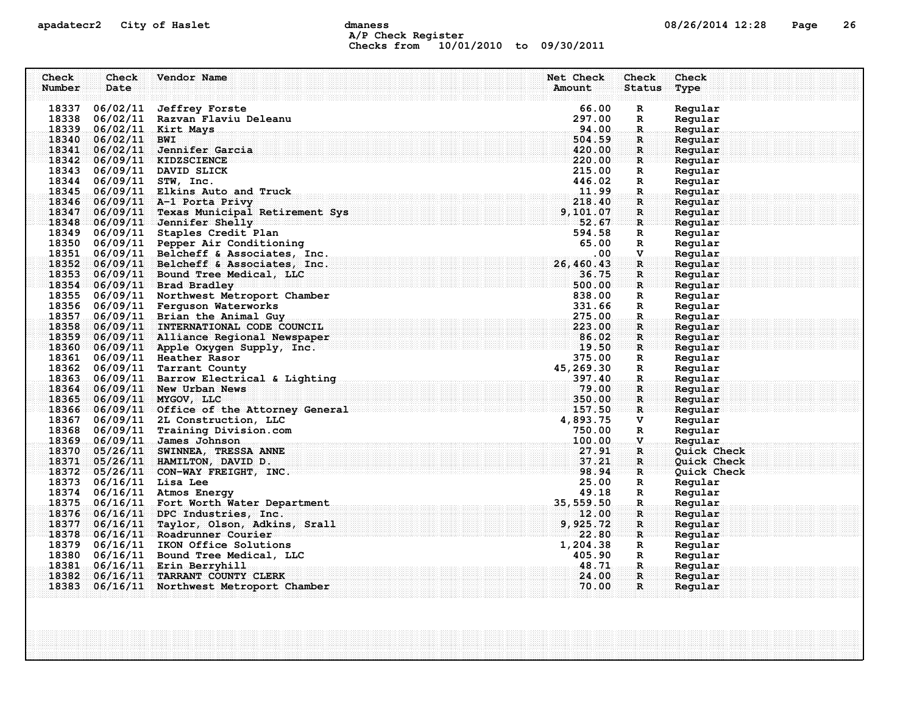### apadatecr2 City of Haslet computer dmaness computer dmanus dmaness computer computer of  $08/26/2014$  12:28 Page 26 A/P Check Register Checks from 10/01/2010 to 09/30/2011

| Check  | Check                   | Vendor Name                                                                                | Net Check                      | Check                        | Check              |
|--------|-------------------------|--------------------------------------------------------------------------------------------|--------------------------------|------------------------------|--------------------|
| Number | Date                    |                                                                                            | Amount                         | Status                       | Type               |
|        |                         |                                                                                            |                                |                              |                    |
|        |                         | 18337 06/02/11 Jeffrey Forste                                                              | 66.00                          | R                            | Regular            |
|        |                         | 18338 06/02/11 Razvan Flaviu Deleanu                                                       | 297.00                         | R                            | Regular            |
|        |                         | 18339 06/02/11 Kirt Mays                                                                   | 94.00                          | R.                           | Regular            |
|        | 18340 06/02/11 BWI      | 18341 06/02/11 Jennifer Garcia                                                             | 504.59<br>420.00               | $\mathbf{R}$<br>$\mathbb{R}$ | Regular            |
|        |                         | 18342 06/09/11 KIDZSCIENCE                                                                 | 220.00                         | $\mathbf R$                  | Regular<br>Regular |
|        |                         | 18343 06/09/11 DAVID SLICK                                                                 | 215.00                         | $\mathbb{R}$                 | Regular            |
|        |                         | 18344 06/09/11 STW, Inc.                                                                   | 446.02                         | R                            | Regular            |
|        |                         | 18345 06/09/11 Elkins Auto and Truck                                                       | 11.99                          | R.                           | Regular            |
|        |                         | 18346 06/09/11 A-1 Porta Privy                                                             | 218.40                         | R                            | Regular            |
|        |                         | 18347 06/09/11 Texas Municipal Retirement Sys                                              | 9, 101.07                      | $\mathbf R$                  | Regular            |
|        |                         | 18348 06/09/11 Jennifer Shelly                                                             | 52.67                          | $\mathbf{R}$                 | Regular            |
|        |                         | 18349 06/09/11 Staples Credit Plan                                                         | 594.58                         | $\mathbf R$                  | Regular            |
|        |                         | 18350 06/09/11 Pepper Air Conditioning                                                     | 65.00                          | $\mathbb{R}$                 | Regular            |
|        |                         | 18351 06/09/11 Belcheff & Associates, Inc.                                                 | .00.                           | V                            | Regular            |
|        |                         | 18352 06/09/11 Belcheff & Associates, Inc.                                                 | 26,460.43                      | $\mathbf{R}$                 | Regular            |
|        |                         | 18353 06/09/11 Bound Tree Medical, LLC                                                     | 36.75                          | R                            | Regular            |
|        |                         | 18354 06/09/11 Brad Bradley                                                                | 500.00                         | $\mathbf{R}$                 | Regular            |
|        |                         | 18355 06/09/11 Northwest Metroport Chamber                                                 | 838.00                         | $\mathbf R$                  | Regular            |
|        |                         | 18356 06/09/11 Ferguson Waterworks                                                         | 331.66                         | $\mathbf R$                  | Regular            |
|        |                         | 18357 06/09/11 Brian the Animal Guy                                                        | 275.00                         | $\mathbf{R}$                 | Regular            |
|        |                         | 18358 06/09/11 INTERNATIONAL CODE COUNCIL                                                  |                                | $\mathbf{R}$                 | Regular            |
|        |                         | 18359 06/09/11 Alliance Regional Newspaper                                                 |                                | $\mathbf{R}$                 | Regular            |
|        |                         | 18360 06/09/11 Apple Oxygen Supply, Inc.                                                   | $223.00$<br>$86.02$<br>$19.50$ | $\mathbf{R}$                 | Regular            |
|        |                         | 18361 06/09/11 Heather Rasor                                                               | 375.00                         | $\mathbf R$                  | Regular            |
|        |                         | 18362 06/09/11 Tarrant County                                                              | 45,269.30                      | $\mathbf{R}$                 | Regular            |
|        |                         | 18363 06/09/11 Barrow Electrical & Lighting<br>18363 06/09/11 Barrow Electrical & Lighting | 397.40                         | $\mathbf{R}_{\odot}$         | Regular            |
|        |                         | 18364 06/09/11 New Urban News                                                              | 79.00                          | $\mathbf{R}$                 | Regular            |
|        |                         | 18365 06/09/11 MYGOV, LLC                                                                  | 350.00                         | $\mathbf{R}$                 | Regular            |
|        |                         | 18366 06/09/11 Office of the Attorney General 2008 2010 10:00 10:00                        | 157.50                         | R                            | Regular            |
|        |                         | 18367 06/09/11 2L Construction, LLC                                                        | 4,893.75                       | v                            | Regular            |
|        |                         | 18368 06/09/11 Training Division.com                                                       | 750.00                         | $\mathbf R$                  | Regular            |
|        |                         | 18369 06/09/11 James Johnson                                                               | 100.00                         | $\mathbf{V}$                 | Regular            |
|        |                         | 18370 05/26/11 SWINNEA, TRESSA ANNE                                                        | 27.91                          | $\mathbf R$                  | Quick Check        |
|        |                         | 18371 05/26/11 HAMILTON, DAVID D.<br>18372 05/26/11 CON-WAY FREIGHT, INC.                  | 37.21<br>98.94                 | $\mathbf{R}$                 | <b>Quick Check</b> |
|        | 18373 06/16/11 Lisa Lee |                                                                                            | 25.00                          | $\mathbf{R}$                 | Quick Check        |
|        |                         | 18374 06/16/11 Atmos Energy                                                                |                                | R                            | Regular<br>Regular |
|        |                         | 18375 06/16/11 Fort Worth Water Department                                                 | 49.18<br>35, 559.50 35, 559.50 | R<br>$\mathbf R$             | Regular            |
|        |                         | 18376 06/16/11 DPC Industries, Inc.                                                        | 12.00                          | $\mathbf R$                  | Regular            |
|        |                         | 18377 06/16/11 Taylor, Olson, Adkins, Srall                                                | 9,925.72                       | $\mathbf{R}$                 | Regular            |
|        |                         | 18378 06/16/11 Roadrunner Courier                                                          | 22.80                          | $\mathbf{R}$                 | Regular            |
|        |                         | 18379 06/16/11 IKON Office Solutions                                                       | 1,204.38                       | $\mathbf R$                  | Regular            |
|        |                         | 18380 06/16/11 Bound Tree Medical, LLC                                                     | 405.90                         | R                            | Regular            |
|        |                         | 18381 06/16/11 Erin Berryhill                                                              | 48.71                          | $\mathbf{R}_\odot$           | Regular            |
|        |                         | 18382 06/16/11 TARRANT COUNTY CLERK                                                        | 24.00                          | $\mathbf R$                  | Reqular            |
|        |                         | 18383 06/16/11 Northwest Metroport Chamber                                                 | 70.00                          | $\mathbf{R}$                 | Regular            |
|        |                         |                                                                                            |                                |                              |                    |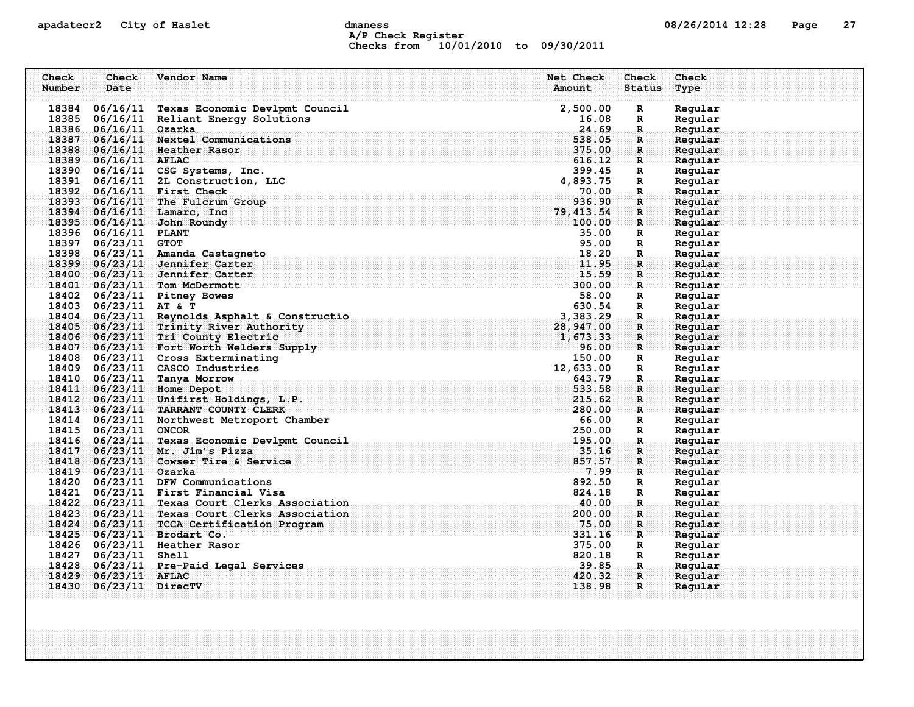### apadatecr2 City of Haslet and dmaness dmaness and the US/26/2014 12:28 Page 27 A/P Check Register Checks from 10/01/2010 to 09/30/2011

| Check  | Check                  | Vendor Name                                              | Net Check        | Check              | Check              |
|--------|------------------------|----------------------------------------------------------|------------------|--------------------|--------------------|
| Number | Date                   |                                                          | Amount           | <b>Status</b>      | Type               |
|        |                        | 18384 06/16/11 Texas Economic Devlpmt Council            | 2,500.00         | R                  | Regular            |
|        |                        | 18385 06/16/11 Reliant Energy Solutions                  | 16.08            | R                  | Regular            |
|        | 18386 06/16/11 Ozarka  |                                                          | 24.69            | R.                 | Regular            |
|        |                        | 18387 06/16/11 Nextel Communications                     | 538.05           | $\mathbf{R}$       | Regular            |
|        |                        | 18388 06/16/11 Heather Rasor                             | 375.00           | $\mathbf{R}$       | Regular            |
|        | $18389$ 06/16/11 AFLAC |                                                          | 616.12           | $\mathbf{R}$       | Regular            |
|        |                        | 18390 06/16/11 CSG Systems, Inc.                         | 399.45           | $\mathbb{R}$       | Regular            |
|        |                        | 18391 06/16/11 2L Construction, LLC                      | 4,893.75         | R                  | Regular            |
|        |                        | 18392 06/16/11 First Check                               | 70.00            | $\mathbf R$ .      | Regular            |
|        |                        | 18393 06/16/11 The Fulcrum Group                         | 936.90           | R                  | Regular            |
|        |                        | 18394 06/16/11 Lamarc, Inc                               | 79, 413.54       | R                  | Regular            |
|        |                        | 18395 06/16/11 John Roundy                               | 100.00           | $\mathbf{R}$       | Regular            |
|        | 18396 06/16/11 PLANT   |                                                          | 35.00            | $\mathbf R$        | Regular            |
|        | 18397 06/23/11 GTOT    |                                                          | 95.00            | $\mathbb{R}$       | Regular            |
|        |                        | 18398 06/23/11 Amanda Castagneto                         | 18.20            | R.                 | Regular            |
|        |                        | 18399 06/23/11 Jennifer Carter                           | 11.95            | $\mathbf{R}$       | Regular            |
|        |                        | 18400 06/23/11 Jennifer Carter                           | 15.59            | R                  | Regular            |
|        |                        | $18401 - 06/23/11$ Tom McDermott                         | 300.00           | $\mathbf{R}$       | Regular            |
|        |                        | 18402 06/23/11 Pitney Bowes                              | 58.00            | R                  | Regular            |
|        | 18403 06/23/11 AT & T  |                                                          | 630.54           | R                  | Regular            |
|        |                        | 18404 06/23/11 Reynolds Asphalt & Constructio            | 3,383.29         | $\mathbf R$ .      | Regular            |
|        |                        | 18405 06/23/11 Trinity River Authority                   | 28, 947.00       | R                  | Regular            |
|        |                        | 18406 06/23/11 Tri County Electric                       | 1,673.33         | $\mathbf{R}$       | Reqular            |
|        |                        | 18407 06/23/11 Fort Worth Welders Supply                 | 96.00            | ार                 | Regular            |
|        |                        | 18408 06/23/11 Cross Exterminating                       | 150.00           | R                  | Regular            |
|        |                        | 18409 06/23/11 CASCO Industries                          | 12,633.00        | R                  | Regular            |
|        |                        | 18410 06/23/11 Tanya Morrow<br>18411 06/23/11 Home Depot | 643.79<br>533.58 | $\mathbf{R}$<br>R. | Regular<br>Regular |
|        |                        | 18412 06/23/11 Unifirst Holdings, L.P.                   | 215.62           | $\mathbf{R}$       | Regular            |
|        |                        | 18413 06/23/11 TARRANT COUNTY CLERK                      | 280.00           | R                  | Regular            |
|        |                        | 18414 06/23/11 Northwest Metroport Chamber               | 66.00            | R                  | Regular            |
|        | 18415 06/23/11 ONCOR   |                                                          | 250.00           | R                  | Regular            |
|        |                        | 18416 06/23/11 Texas Economic Devlpmt Council            | 195.00           | R.                 | Regular            |
|        |                        | 18417 06/23/11 Mr. Jim's Pizza                           | 35.16            | R                  | Regular            |
|        |                        | 18418 06/23/11 Cowser Tire & Service                     | 857.57           | $\mathbf{R}$       | Regular            |
|        | 18419 06/23/11 Ozarka  |                                                          | 7.99             | $\mathbf R$        | Regular            |
|        |                        | 18420 06/23/11 DFW Communications                        | 892.50           | $\mathbb{R}$       | Regular            |
|        |                        | 18421 06/23/11 First Financial Visa                      | 824.18           | R                  | Regular            |
|        |                        | 18422 06/23/11 Texas Court Clerks Association            | $-40.00$         | R.                 | Regular            |
|        |                        | 18423 06/23/11 Texas Court Clerks Association            | 200.00           | $\mathbf R$        | Reqular            |
|        |                        | 18424 06/23/11 TCCA Certification Program                | 75.00            | $\mathbf{R}$       | Regular            |
|        |                        | 18425 06/23/11 Brodart Co.                               | 331.16           | R                  | Regular            |
|        |                        | 18426 06/23/11 Heather Rasor                             | 375.00           | R                  | Regular            |
|        | 18427 06/23/11 Shell   |                                                          | 820.18           | R                  | Regular            |
|        |                        | 18428 06/23/11 Pre-Paid Legal Services                   | 39.85            | -R.,               | Regular            |
|        | 18429 06/23/11 AFLAC   |                                                          | 420.32           | $\mathbf{R}$       | Regular            |
|        | 18430 06/23/11 DirecTV |                                                          | 138.98           | R                  | Regular            |
|        |                        |                                                          |                  |                    |                    |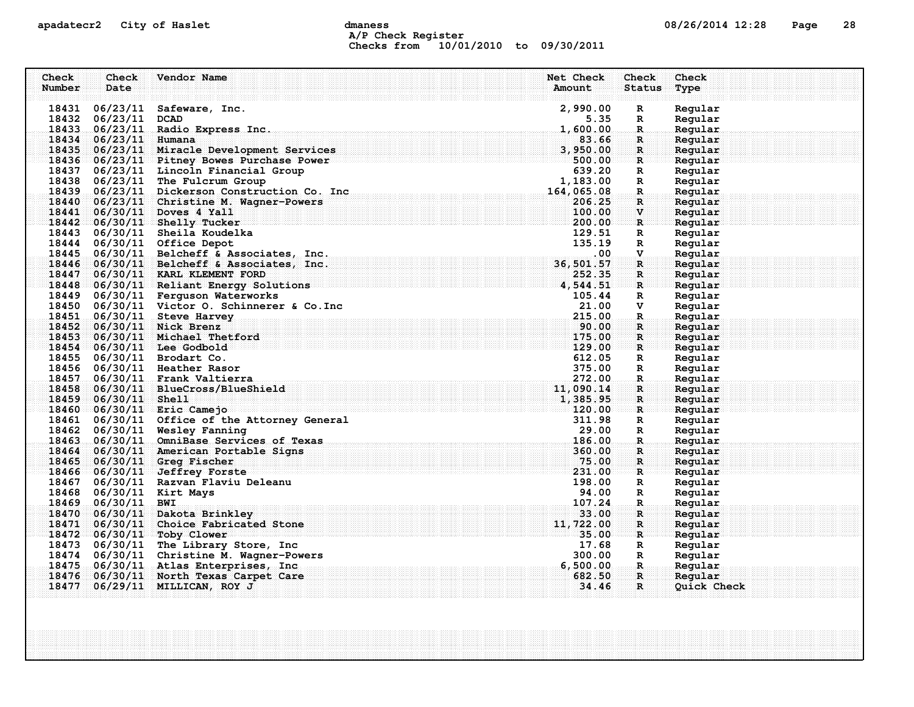### apadatecr2 City of Haslet computer dmaness computer dmanus dmaness computer computer of  $08/26/2014$  12:28 Page 28 A/P Check Register Checks from 10/01/2010 to 09/30/2011

| Check  | Check                 | Vendor Name                                                                                    | Net Check            | <b>Check</b>                           | Check              |
|--------|-----------------------|------------------------------------------------------------------------------------------------|----------------------|----------------------------------------|--------------------|
| Number | Date                  |                                                                                                | Amount               | <b>Status</b>                          | Type               |
|        |                       |                                                                                                |                      |                                        |                    |
|        |                       | 18431 06/23/11 Safeware, Inc.                                                                  | 2,990.00             | $\mathbf R$                            | Regular            |
|        | 18432 06/23/11 DCAD   |                                                                                                | 5.35                 | $\mathbf{R}$                           | Regular            |
|        |                       | 18433 06/23/11 Radio Express Inc.                                                              | 1,600.00             | $\mathbf R$                            | Regular            |
|        | 18434 06/23/11 Humana |                                                                                                | 83.66                | $\mathbf{R}$ :                         | Regular            |
|        |                       | 18435 06/23/11 Miracle Development Services                                                    | 3,950.00             | $\mathbf{R}$                           | Regular            |
|        |                       | 18436 06/23/11 Pitney Bowes Purchase Power<br>18437 06/23/11 Lincoln Financial Group           | 500.00<br>639.20     | $\mathbf{R}$                           | Regular            |
|        |                       | 18438 06/23/11 The Fulcrum Group                                                               | 1,183.00             | $\mathbf{R}$<br>$\mathbb{R}$           | Regular<br>Regular |
|        |                       | 18438 06/23/11 The ruicrum Group<br>18439 06/23/11 Dickerson Construction Co. Inc.             |                      |                                        | Regular            |
|        |                       | 18440 06/23/11 Christine M. Wagner-Powers                                                      | 164,065.08<br>206.25 | $_{\dots R}$ .<br>$\mathbf{R}$         | Regular            |
|        |                       | 18441 06/30/11 Doves 4 Yall                                                                    | 100.00               | $\mathbf{V}$                           | Regular            |
|        |                       | 18442 06/30/11 Shelly Tucker                                                                   | 200.00               | $\mathbf{R}$                           | Regular            |
|        |                       | 18443 06/30/11 Sheila Koudelka                                                                 | 129.51               | R                                      | Regular            |
|        |                       | 18444 06/30/11 Office Depot                                                                    | 135.19               | R                                      | Regular            |
|        |                       | 18445 06/30/11 Belcheff & Associates, Inc.                                                     | .00                  | $\mathbf{V}$                           | Regular            |
|        |                       | 18446 06/30/11 Belcheff & Associates, Inc.                                                     | 36,501.57            | $\mathbf{R}$                           | Regular            |
|        |                       | 18447 06/30/11 KARL KLEMENT FORD                                                               | 252.35               | $\mathbf{R}$                           | Regular            |
|        |                       | . The set of the set of the set of $\bf 4,544.51$ .<br>18448 06/30/11 Reliant Energy Solutions |                      | er een                                 | Regular            |
|        |                       | 18449 06/30/11 Ferguson Waterworks                                                             | 105.44               | $\mathbf{R}$                           | Regular            |
|        |                       | 18450 06/30/11 Victor O. Schinnerer & Co. Inc                                                  | 21.00                | V                                      | Regular            |
|        |                       | 18451 06/30/11 Steve Harvey                                                                    | 215.00               | R.                                     | Regular            |
|        |                       | 18452 06/30/11 Nick Brenz                                                                      | 90.00                | R                                      | Regular            |
|        |                       | 18453 06/30/11 Michael Thetford                                                                | 175.00               | $\mathbf{R}$ :                         | Regular            |
|        |                       | $18454$ 06/30/11 Lee Godbold                                                                   | 129.00               | R                                      | Regular            |
|        |                       | 18455 06/30/11 Brodart Co.                                                                     | 612.05               | $\mathbb{R}$                           | Regular            |
|        |                       | 18456 06/30/11 Heather Rasor                                                                   | 375.00               | $\mathbb{R}$                           | Regular            |
|        |                       | 18457 06/30/11 Frank Valtierra                                                                 | 272.00               | $\mathbf{R}$ . The set of $\mathbf{R}$ | Regular            |
|        |                       | 18458 06/30/11 BlueCross/BlueShield                                                            | 11,090.14            | $\mathbf R$ :                          | Regular            |
|        | 18459 06/30/11 Shell  |                                                                                                | 1,385.95             | $\mathbf{R}$                           | Regular            |
|        |                       | 18460 06/30/11 Eric Camejo                                                                     | 120.00               | $\mathbf{R}$ . The set of $\mathbf{R}$ | Regular            |
|        |                       | 18461 06/30/11 Office of the Attorney General                                                  | 311.98               | $\mathbf{R}$                           | Regular            |
|        |                       | 18462 06/30/11 Wesley Fanning                                                                  | 29.00                | R                                      | Regular            |
|        |                       | 18463 06/30/11 OmniBase Services of Texas                                                      | 186.00               | $\mathbf R$                            | Regular            |
|        |                       | 18464 06/30/11 American Portable Signs                                                         | 360.00               | $\mathbf R$ :                          | Regular            |
|        |                       | 18465 06/30/11 Greg Fischer                                                                    | 75.00                | $\mathbf{R}$                           | Regular            |
|        |                       | 18466 06/30/11 Jeffrey Forste                                                                  | 231.00               | $\mathbf{R}$                           | Regular            |
|        |                       | 18467 06/30/11 Razvan Flaviu Deleanu                                                           | 198.00               | R                                      | Regular            |
|        |                       | 18468 06/30/11 Kirt Mays                                                                       | 94.00                | R                                      | Regular            |
|        | 18469 06/30/11 BWI    |                                                                                                | 107.24               | R.                                     | Regular            |
|        |                       | 18470 06/30/11 Dakota Brinkley                                                                 | 33.00                | $\mathbf{R}$                           | Regular            |
|        |                       | 18471 06/30/11 Choice Fabricated Stone                                                         | 11,722.00            | $\mathbf{R}$                           | Regular            |
|        |                       | 18472 06/30/11 Toby Clower                                                                     | 35.00                | $\mathbf{R}$                           | Regular            |
|        |                       | 18473 06/30/11 The Library Store, Inc                                                          | 17.68                | $\mathbf{R}$                           | Regular            |
|        |                       | 18474 06/30/11 Christine M. Wagner-Powers                                                      | 300.00               | $\mathbf R$                            | Regular            |
|        |                       | 18475 06/30/11 Atlas Enterprises, Inc.                                                         | 6,500.00             | $\cdot$ R $\cdot$ .                    | Regular            |
|        |                       | 18476 06/30/11 North Texas Carpet Care                                                         | 682.50               | $\mathbf R$ :                          | Regular            |
|        |                       | 18477 06/29/11 MILLICAN, ROY J                                                                 | 34.46                | R                                      | Quick Check        |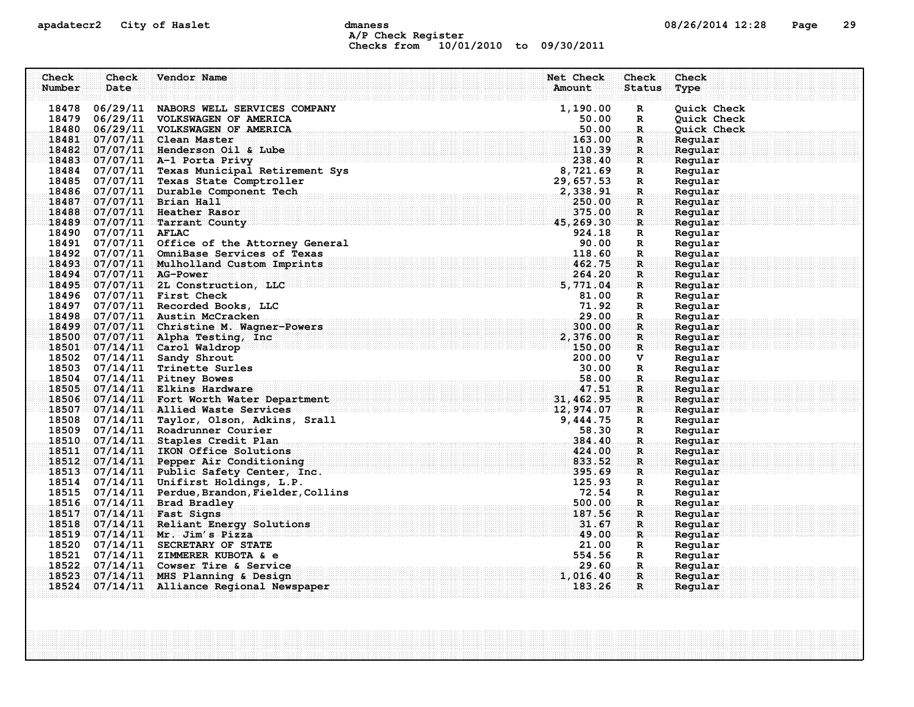### apadatecr2 City of Haslet computer dmaness computer dmanus dmaness computer computer of  $08/26/2014$  12:28 Page 29 A/P Check Register Checks from 10/01/2010 to 09/30/2011

| Check  | Check                   | Vendor Name                                                                     | Net Check                                                      | Check                        | Check              |
|--------|-------------------------|---------------------------------------------------------------------------------|----------------------------------------------------------------|------------------------------|--------------------|
| Number | Date                    |                                                                                 | Amount                                                         | <b>Status</b>                | Type               |
|        |                         |                                                                                 |                                                                |                              |                    |
|        |                         | 18478 06/29/11 NABORS WELL SERVICES COMPANY                                     | 1,190.00                                                       | $\mathbf R$                  | Quick Check        |
|        |                         | 18479 06/29/11 VOLKSWAGEN OF AMERICA                                            | 50.00                                                          | $\mathbf R$                  | Quick Check        |
|        |                         | 18480 06/29/11 VOLKSWAGEN OF AMERICA                                            | 50.00                                                          | $\mathbf R$                  | Quick Check        |
|        |                         | 18481 07/07/11 Clean Master                                                     | 163.00                                                         | R.                           | Reqular            |
|        |                         | 18482 07/07/11 Henderson Oil & Lube                                             | 110.39<br>238.40                                               | $\mathbf{R}$                 | Regular            |
|        |                         | 18483 07/07/11 A-1 Porta Privy<br>18484 07/07/11 Texas Municipal Retirement Sys |                                                                | $\mathbf{R}$<br>R            | Regular<br>Regular |
|        |                         | 18485 07/07/11 Texas State Comptroller                                          | at Sys $8,721.69$<br>29,657.53<br>2,338.91                     | R                            | Regular            |
|        |                         | 18486 07/07/11 Durable Component Tech                                           |                                                                | $\mathbb{R}$ .               | Regular            |
|        |                         | 18487 07/07/11 Brian Hall                                                       |                                                                | $\mathbf{R}$                 | Regular            |
|        |                         | 18488 07/07/11 Heather Rasor                                                    | $\begin{array}{r} 230.382 \\ 375.00 \\ 45,269.30\n\end{array}$ | $\mathbf R$                  | Regular            |
|        |                         | 18489 07/07/11 Tarrant County                                                   |                                                                | $\mathbf{R}$                 | Regular            |
|        | 18490 07/07/11 AFLAC    |                                                                                 | 924.18                                                         | R                            | Regular            |
|        |                         | 18491 07/07/11 Office of the Attorney General                                   | 90.00                                                          | $\mathbf R$                  | Regular            |
|        |                         | 18492 07/07/11 OmniBase Services of Texas                                       | 118.60                                                         | $\mathbf R$                  | Regular            |
|        |                         | 18493 07/07/11 Mulholland Custom Imprints                                       | 462.75                                                         | $\mathbf{R}$                 | Regular            |
|        | 18494 07/07/11 AG-Power |                                                                                 | 264.20                                                         | $\mathbf{R}$                 | Regular            |
|        |                         | 18495 07/07/11 2L Construction, LLC                                             | 5,771.04                                                       | $\mathbf{R}$                 | Regular            |
|        |                         | 18496 07/07/11 First Check                                                      | 81.00                                                          | $\mathbf R$                  | Regular            |
|        |                         | 18497 07/07/11 Recorded Books, LLC                                              | 71.92                                                          | R                            | Regular            |
|        |                         | 18498 07/07/11 Austin McCracken                                                 | 29.00                                                          | $\mathbb{R}$ .               | Regular            |
|        |                         | 18499 07/07/11 Christine M. Wagner-Powers                                       | 300.00                                                         | $\mathbf R$                  | Regular            |
|        |                         | 18500 07/07/11 Alpha Testing, Inc.                                              | 2,376.00                                                       | $\mathbf{R}$                 | Regular            |
|        |                         | 18501 07/14/11 Carol Waldrop                                                    | 150.00                                                         | R                            | Regular            |
|        |                         | 18502 07/14/11 Sandy Shrout                                                     | 200.00                                                         | v                            | Regular            |
|        |                         | 18503 07/14/11 Trinette Surles                                                  | 30.00                                                          | R                            | Regular            |
|        |                         | 18504 07/14/11 Pitney Bowes<br>18505 07/14/11 Elkins Hardware                   | 58.00                                                          | $\mathbf{R}_{\odot}$         | Regular            |
|        |                         | 18506 07/14/11 Fort Worth Water Department                                      | $\begin{array}{r} 47.51 \\ 31,462.95 \\ 12,974.07 \end{array}$ | $\mathbf{R}$<br>$\mathbf{R}$ | Regular<br>Regular |
|        |                         | 18507 07/14/11 Allied Waste Services                                            |                                                                | ः R                          | Regular            |
|        |                         | 18508 07/14/11 Taylor, Olson, Adkins, Srall                                     | 9,444.75                                                       | $\mathbf R$                  | Regular            |
|        |                         | 18509 07/14/11 Roadrunner Courier                                               | 58.30                                                          | R                            | Regular            |
|        |                         | 18510 07/14/11 Staples Credit Plan                                              | 384.40                                                         | R.                           | Regular            |
|        |                         | 18511 07/14/11 IKON Office Solutions                                            | 424.00                                                         | $\mathbf{R}$                 | Regular            |
|        |                         | 18512 07/14/11 Pepper Air Conditioning                                          | 833.52                                                         | $\mathbf{R}$                 | Regular            |
|        |                         | 18513 07/14/11 Public Safety Center, Inc.                                       | 395.69                                                         | $\mathbf{R}$ .               | Regular            |
|        |                         | 18514 07/14/11 Unifirst Holdings, L.P.                                          | 125.93                                                         | R                            | Regular            |
|        |                         | 18515 07/14/11 Perdue, Brandon, Fielder, Collins                                | 72.54                                                          | R                            | Regular            |
|        |                         | 18516 07/14/11 Brad Bradley                                                     | 500.00                                                         | $\mathbf R$                  | Regular            |
|        |                         | 18517 07/14/11 Fast Signs                                                       | 187.56                                                         | R                            | Regular            |
|        |                         | 18518 07/14/11 Reliant Energy Solutions                                         | 31.67                                                          | $\mathbf R$                  | Regular            |
|        |                         | 18519 07/14/11 Mr. Jim's Pizza                                                  | 49.00                                                          | $\mathbf R$                  | Regular            |
|        |                         | 18520 07/14/11 SECRETARY OF STATE                                               | 21.00                                                          | R                            | Regular            |
|        |                         | 18521 07/14/11 ZIMMERER KUBOTA & e                                              | 554.56                                                         | R                            | Regular            |
|        |                         | 18522 07/14/11 Cowser Tire & Service                                            | 29.60                                                          | . <b>R</b>                   | Regular            |
|        |                         | 18523 07/14/11 MHS Planning & Design                                            | 1,016.40                                                       | R                            | Reqular            |
|        |                         | 18524 07/14/11 Alliance Regional Newspaper                                      | 183.26                                                         | $\mathbf{R}$                 | Regular            |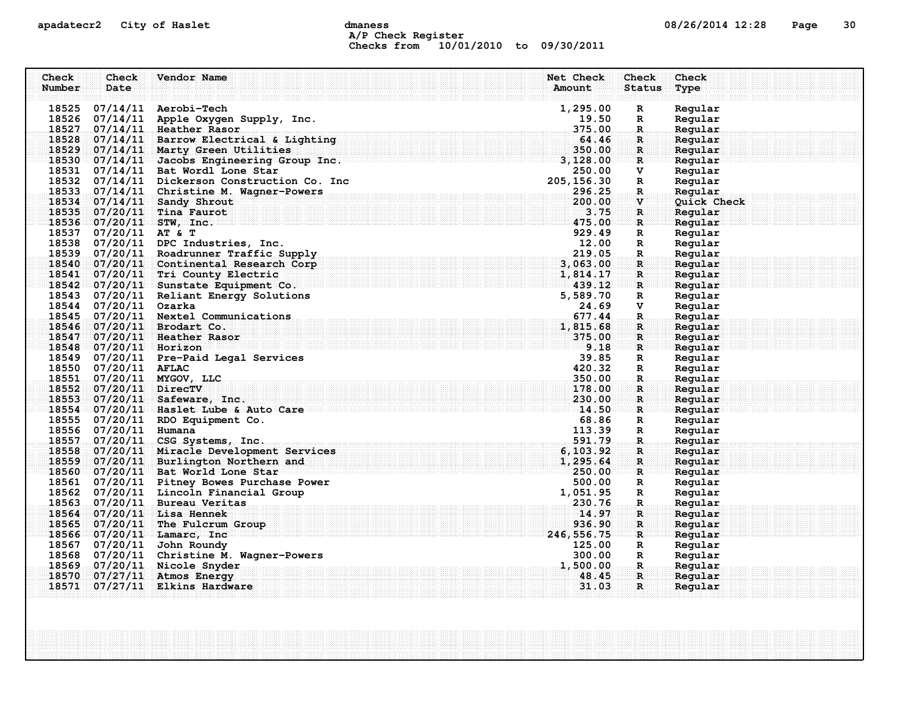### apadatecr2 City of Haslet control dmaness control dmaness control control of the defense of  $08/26/2014$  12:28 Page 30 A/P Check Register Checks from 10/01/2010 to 09/30/2011

| Number<br>Date<br>Amount<br><b>Status</b><br>Type<br>18525 07/14/11 Aerobi-Tech<br>1,295.00<br>Regular<br>R<br>18526 07/14/11 Apple Oxygen Supply, Inc.<br>19.50<br>Regular<br>$\mathbf R$<br>18527 07/14/11 Heather Rasor<br>375.00<br>$\mathbb{R}$<br>Regular<br>18528 07/14/11 Barrow Electrical & Lighting<br>64.46<br>Regular<br>R.<br>18529 07/14/11 Marty Green Utilities<br>350.00<br>$\mathbf{R}$<br>Regular<br>18530 07/14/11 Jacobs Engineering Group Inc.<br>3,128.00<br>Regular<br>$\mathbf{R}$<br>18531 07/14/11 Bat Wordl Lone Star<br>250.00<br>v<br>Regular<br>18532 07/14/11 Dickerson Construction Co. Inc<br>205, 156.30<br>$\mathbf R$<br>Regular<br>18533 07/14/11 Christine M. Wagner-Powers<br>296.25<br>Regular<br>$\mathbf{R}$ .<br>18534 07/14/11 Sandy Shrout<br>200.00<br>Quick Check<br>$\mathbf{v}$<br>18535 07/20/11 Tina Faurot<br>3.75<br>R<br>Regular<br>475.00<br>18536 07/20/11 STW, Inc.<br>Regular<br>$\mathbf{R}$<br>18537 07/20/11 AT & T<br>929.49<br>Regular<br>R<br>18538 07/20/11 DPC Industries, Inc.<br>12.00<br>Regular<br>R<br>18539 07/20/11 Roadrunner Traffic Supply<br>219.05<br>Regular<br>$\mathbf R$<br>18540 07/20/11 Continental Research Corp<br>3,063.00<br>$\mathbf{R}$<br>Regular<br>18541 07/20/11 Tri County Electric<br>$1,814.17$<br>$1,814.17$<br>$439.12$<br>Regular<br>R<br>18542 07/20/11 Sunstate Equipment Co.<br>$\mathbb{R}$ . The $\mathbb{R}$<br>Regular<br>18543 07/20/11 Reliant Energy Solutions<br>5,589.70<br>Regular<br>R<br>18544 07/20/11 Ozarka<br>24.69<br>v<br>Regular<br>18545 07/20/11 Nextel Communications<br>677.44<br>$\mathbf{R}$<br>Regular<br>18546 07/20/11 Brodart Co.<br>1,815.68<br>Regular<br>R<br>18547 07/20/11 Heather Rasor<br>375.00<br>Regular<br>R<br>18548 07/20/11 Horizon<br>9.18<br>Regular<br>$\mathbf{R}$<br>18549 07/20/11 Pre-Paid Legal Services<br>39.85<br>Regular<br>R<br>18550 07/20/11 AFLAC<br>420.32<br>Regular<br>R<br>18551 07/20/11 MYGOV, LLC<br>350.00<br>Regular<br>$\mathbf R$ .<br>18552 07/20/11 DirecTV<br>178.00<br>Regular<br>R.<br>18553 07/20/11 Safeware, Inc.<br>230.00<br>$\mathbf{R}$<br>Regular<br>. The contribution of the contribution of $\mathbf{1}_4$ , 50 $\mathbf{0}_1$<br>18554 07/20/11 Haslet Lube & Auto Care<br>Regular<br>R<br>18555 07/20/11 RDO Equipment Co.<br>68.86<br>R<br>Regular<br>18556 07/20/11 Humana<br>113.39<br>Regular<br>$\mathbf{R}$<br>18557 07/20/11 CSG Systems, Inc.<br>591.79<br>$\mathbb{R}$<br>Regular<br>18558 07/20/11 Miracle Development Services<br>6, 103.92<br>Regular<br>R<br>18559 07/20/11 Burlington Northern and<br>1,295.64<br>$\mathbf{R}$<br>Regular<br>18560 07/20/11 Bat World Lone Star<br>250.00<br>Reqular<br>$\mathbf{R}$<br>18561 07/20/11 Pitney Bowes Purchase Power<br>500.00<br>Regular<br>R<br>18562 07/20/11 Lincoln Financial Group<br>1,051.95<br>Regular<br>R<br>18563 07/20/11 Bureau Veritas<br>230.76<br>Regular<br>R.<br>18564 07/20/11 Lisa Hennek<br>14.97<br>$\mathbf{R}$<br>Regular<br>18565 07/20/11 The Fulcrum Group<br>936.90<br>Regular<br>R<br>18566 07/20/11 Lamarc, Inc<br>246,556.75<br>$\mathbf{R}$<br>Regular<br>18567 07/20/11 John Roundy<br>125.00<br>Regular<br>R<br>18568 07/20/11 Christine M. Wagner-Powers<br>300.00<br>$\mathbf{R}$<br>Regular<br>18569 07/20/11 Nicole Snyder<br>1,500.00<br>Regular<br>$\mathbf{R}$<br>18570 07/27/11 Atmos Energy<br>48.45<br>R<br>Regular<br>18571 07/27/11 Elkins Hardware<br>31.03<br>R.<br>Regular | Check | Check | Vendor Name | Net Check | Check | Check |
|--------------------------------------------------------------------------------------------------------------------------------------------------------------------------------------------------------------------------------------------------------------------------------------------------------------------------------------------------------------------------------------------------------------------------------------------------------------------------------------------------------------------------------------------------------------------------------------------------------------------------------------------------------------------------------------------------------------------------------------------------------------------------------------------------------------------------------------------------------------------------------------------------------------------------------------------------------------------------------------------------------------------------------------------------------------------------------------------------------------------------------------------------------------------------------------------------------------------------------------------------------------------------------------------------------------------------------------------------------------------------------------------------------------------------------------------------------------------------------------------------------------------------------------------------------------------------------------------------------------------------------------------------------------------------------------------------------------------------------------------------------------------------------------------------------------------------------------------------------------------------------------------------------------------------------------------------------------------------------------------------------------------------------------------------------------------------------------------------------------------------------------------------------------------------------------------------------------------------------------------------------------------------------------------------------------------------------------------------------------------------------------------------------------------------------------------------------------------------------------------------------------------------------------------------------------------------------------------------------------------------------------------------------------------------------------------------------------------------------------------------------------------------------------------------------------------------------------------------------------------------------------------------------------------------------------------------------------------------------------------------------------------------------------------------------------------------------------------------------------------------------------------------------------------------------------------------------------------------------------------------------------------------------------------------------------------------------------------------------------------------------------------------------------------------------------------------------------------------------------------|-------|-------|-------------|-----------|-------|-------|
|                                                                                                                                                                                                                                                                                                                                                                                                                                                                                                                                                                                                                                                                                                                                                                                                                                                                                                                                                                                                                                                                                                                                                                                                                                                                                                                                                                                                                                                                                                                                                                                                                                                                                                                                                                                                                                                                                                                                                                                                                                                                                                                                                                                                                                                                                                                                                                                                                                                                                                                                                                                                                                                                                                                                                                                                                                                                                                                                                                                                                                                                                                                                                                                                                                                                                                                                                                                                                                                                                            |       |       |             |           |       |       |
|                                                                                                                                                                                                                                                                                                                                                                                                                                                                                                                                                                                                                                                                                                                                                                                                                                                                                                                                                                                                                                                                                                                                                                                                                                                                                                                                                                                                                                                                                                                                                                                                                                                                                                                                                                                                                                                                                                                                                                                                                                                                                                                                                                                                                                                                                                                                                                                                                                                                                                                                                                                                                                                                                                                                                                                                                                                                                                                                                                                                                                                                                                                                                                                                                                                                                                                                                                                                                                                                                            |       |       |             |           |       |       |
|                                                                                                                                                                                                                                                                                                                                                                                                                                                                                                                                                                                                                                                                                                                                                                                                                                                                                                                                                                                                                                                                                                                                                                                                                                                                                                                                                                                                                                                                                                                                                                                                                                                                                                                                                                                                                                                                                                                                                                                                                                                                                                                                                                                                                                                                                                                                                                                                                                                                                                                                                                                                                                                                                                                                                                                                                                                                                                                                                                                                                                                                                                                                                                                                                                                                                                                                                                                                                                                                                            |       |       |             |           |       |       |
|                                                                                                                                                                                                                                                                                                                                                                                                                                                                                                                                                                                                                                                                                                                                                                                                                                                                                                                                                                                                                                                                                                                                                                                                                                                                                                                                                                                                                                                                                                                                                                                                                                                                                                                                                                                                                                                                                                                                                                                                                                                                                                                                                                                                                                                                                                                                                                                                                                                                                                                                                                                                                                                                                                                                                                                                                                                                                                                                                                                                                                                                                                                                                                                                                                                                                                                                                                                                                                                                                            |       |       |             |           |       |       |
|                                                                                                                                                                                                                                                                                                                                                                                                                                                                                                                                                                                                                                                                                                                                                                                                                                                                                                                                                                                                                                                                                                                                                                                                                                                                                                                                                                                                                                                                                                                                                                                                                                                                                                                                                                                                                                                                                                                                                                                                                                                                                                                                                                                                                                                                                                                                                                                                                                                                                                                                                                                                                                                                                                                                                                                                                                                                                                                                                                                                                                                                                                                                                                                                                                                                                                                                                                                                                                                                                            |       |       |             |           |       |       |
|                                                                                                                                                                                                                                                                                                                                                                                                                                                                                                                                                                                                                                                                                                                                                                                                                                                                                                                                                                                                                                                                                                                                                                                                                                                                                                                                                                                                                                                                                                                                                                                                                                                                                                                                                                                                                                                                                                                                                                                                                                                                                                                                                                                                                                                                                                                                                                                                                                                                                                                                                                                                                                                                                                                                                                                                                                                                                                                                                                                                                                                                                                                                                                                                                                                                                                                                                                                                                                                                                            |       |       |             |           |       |       |
|                                                                                                                                                                                                                                                                                                                                                                                                                                                                                                                                                                                                                                                                                                                                                                                                                                                                                                                                                                                                                                                                                                                                                                                                                                                                                                                                                                                                                                                                                                                                                                                                                                                                                                                                                                                                                                                                                                                                                                                                                                                                                                                                                                                                                                                                                                                                                                                                                                                                                                                                                                                                                                                                                                                                                                                                                                                                                                                                                                                                                                                                                                                                                                                                                                                                                                                                                                                                                                                                                            |       |       |             |           |       |       |
|                                                                                                                                                                                                                                                                                                                                                                                                                                                                                                                                                                                                                                                                                                                                                                                                                                                                                                                                                                                                                                                                                                                                                                                                                                                                                                                                                                                                                                                                                                                                                                                                                                                                                                                                                                                                                                                                                                                                                                                                                                                                                                                                                                                                                                                                                                                                                                                                                                                                                                                                                                                                                                                                                                                                                                                                                                                                                                                                                                                                                                                                                                                                                                                                                                                                                                                                                                                                                                                                                            |       |       |             |           |       |       |
|                                                                                                                                                                                                                                                                                                                                                                                                                                                                                                                                                                                                                                                                                                                                                                                                                                                                                                                                                                                                                                                                                                                                                                                                                                                                                                                                                                                                                                                                                                                                                                                                                                                                                                                                                                                                                                                                                                                                                                                                                                                                                                                                                                                                                                                                                                                                                                                                                                                                                                                                                                                                                                                                                                                                                                                                                                                                                                                                                                                                                                                                                                                                                                                                                                                                                                                                                                                                                                                                                            |       |       |             |           |       |       |
|                                                                                                                                                                                                                                                                                                                                                                                                                                                                                                                                                                                                                                                                                                                                                                                                                                                                                                                                                                                                                                                                                                                                                                                                                                                                                                                                                                                                                                                                                                                                                                                                                                                                                                                                                                                                                                                                                                                                                                                                                                                                                                                                                                                                                                                                                                                                                                                                                                                                                                                                                                                                                                                                                                                                                                                                                                                                                                                                                                                                                                                                                                                                                                                                                                                                                                                                                                                                                                                                                            |       |       |             |           |       |       |
|                                                                                                                                                                                                                                                                                                                                                                                                                                                                                                                                                                                                                                                                                                                                                                                                                                                                                                                                                                                                                                                                                                                                                                                                                                                                                                                                                                                                                                                                                                                                                                                                                                                                                                                                                                                                                                                                                                                                                                                                                                                                                                                                                                                                                                                                                                                                                                                                                                                                                                                                                                                                                                                                                                                                                                                                                                                                                                                                                                                                                                                                                                                                                                                                                                                                                                                                                                                                                                                                                            |       |       |             |           |       |       |
|                                                                                                                                                                                                                                                                                                                                                                                                                                                                                                                                                                                                                                                                                                                                                                                                                                                                                                                                                                                                                                                                                                                                                                                                                                                                                                                                                                                                                                                                                                                                                                                                                                                                                                                                                                                                                                                                                                                                                                                                                                                                                                                                                                                                                                                                                                                                                                                                                                                                                                                                                                                                                                                                                                                                                                                                                                                                                                                                                                                                                                                                                                                                                                                                                                                                                                                                                                                                                                                                                            |       |       |             |           |       |       |
|                                                                                                                                                                                                                                                                                                                                                                                                                                                                                                                                                                                                                                                                                                                                                                                                                                                                                                                                                                                                                                                                                                                                                                                                                                                                                                                                                                                                                                                                                                                                                                                                                                                                                                                                                                                                                                                                                                                                                                                                                                                                                                                                                                                                                                                                                                                                                                                                                                                                                                                                                                                                                                                                                                                                                                                                                                                                                                                                                                                                                                                                                                                                                                                                                                                                                                                                                                                                                                                                                            |       |       |             |           |       |       |
|                                                                                                                                                                                                                                                                                                                                                                                                                                                                                                                                                                                                                                                                                                                                                                                                                                                                                                                                                                                                                                                                                                                                                                                                                                                                                                                                                                                                                                                                                                                                                                                                                                                                                                                                                                                                                                                                                                                                                                                                                                                                                                                                                                                                                                                                                                                                                                                                                                                                                                                                                                                                                                                                                                                                                                                                                                                                                                                                                                                                                                                                                                                                                                                                                                                                                                                                                                                                                                                                                            |       |       |             |           |       |       |
|                                                                                                                                                                                                                                                                                                                                                                                                                                                                                                                                                                                                                                                                                                                                                                                                                                                                                                                                                                                                                                                                                                                                                                                                                                                                                                                                                                                                                                                                                                                                                                                                                                                                                                                                                                                                                                                                                                                                                                                                                                                                                                                                                                                                                                                                                                                                                                                                                                                                                                                                                                                                                                                                                                                                                                                                                                                                                                                                                                                                                                                                                                                                                                                                                                                                                                                                                                                                                                                                                            |       |       |             |           |       |       |
|                                                                                                                                                                                                                                                                                                                                                                                                                                                                                                                                                                                                                                                                                                                                                                                                                                                                                                                                                                                                                                                                                                                                                                                                                                                                                                                                                                                                                                                                                                                                                                                                                                                                                                                                                                                                                                                                                                                                                                                                                                                                                                                                                                                                                                                                                                                                                                                                                                                                                                                                                                                                                                                                                                                                                                                                                                                                                                                                                                                                                                                                                                                                                                                                                                                                                                                                                                                                                                                                                            |       |       |             |           |       |       |
|                                                                                                                                                                                                                                                                                                                                                                                                                                                                                                                                                                                                                                                                                                                                                                                                                                                                                                                                                                                                                                                                                                                                                                                                                                                                                                                                                                                                                                                                                                                                                                                                                                                                                                                                                                                                                                                                                                                                                                                                                                                                                                                                                                                                                                                                                                                                                                                                                                                                                                                                                                                                                                                                                                                                                                                                                                                                                                                                                                                                                                                                                                                                                                                                                                                                                                                                                                                                                                                                                            |       |       |             |           |       |       |
|                                                                                                                                                                                                                                                                                                                                                                                                                                                                                                                                                                                                                                                                                                                                                                                                                                                                                                                                                                                                                                                                                                                                                                                                                                                                                                                                                                                                                                                                                                                                                                                                                                                                                                                                                                                                                                                                                                                                                                                                                                                                                                                                                                                                                                                                                                                                                                                                                                                                                                                                                                                                                                                                                                                                                                                                                                                                                                                                                                                                                                                                                                                                                                                                                                                                                                                                                                                                                                                                                            |       |       |             |           |       |       |
|                                                                                                                                                                                                                                                                                                                                                                                                                                                                                                                                                                                                                                                                                                                                                                                                                                                                                                                                                                                                                                                                                                                                                                                                                                                                                                                                                                                                                                                                                                                                                                                                                                                                                                                                                                                                                                                                                                                                                                                                                                                                                                                                                                                                                                                                                                                                                                                                                                                                                                                                                                                                                                                                                                                                                                                                                                                                                                                                                                                                                                                                                                                                                                                                                                                                                                                                                                                                                                                                                            |       |       |             |           |       |       |
|                                                                                                                                                                                                                                                                                                                                                                                                                                                                                                                                                                                                                                                                                                                                                                                                                                                                                                                                                                                                                                                                                                                                                                                                                                                                                                                                                                                                                                                                                                                                                                                                                                                                                                                                                                                                                                                                                                                                                                                                                                                                                                                                                                                                                                                                                                                                                                                                                                                                                                                                                                                                                                                                                                                                                                                                                                                                                                                                                                                                                                                                                                                                                                                                                                                                                                                                                                                                                                                                                            |       |       |             |           |       |       |
|                                                                                                                                                                                                                                                                                                                                                                                                                                                                                                                                                                                                                                                                                                                                                                                                                                                                                                                                                                                                                                                                                                                                                                                                                                                                                                                                                                                                                                                                                                                                                                                                                                                                                                                                                                                                                                                                                                                                                                                                                                                                                                                                                                                                                                                                                                                                                                                                                                                                                                                                                                                                                                                                                                                                                                                                                                                                                                                                                                                                                                                                                                                                                                                                                                                                                                                                                                                                                                                                                            |       |       |             |           |       |       |
|                                                                                                                                                                                                                                                                                                                                                                                                                                                                                                                                                                                                                                                                                                                                                                                                                                                                                                                                                                                                                                                                                                                                                                                                                                                                                                                                                                                                                                                                                                                                                                                                                                                                                                                                                                                                                                                                                                                                                                                                                                                                                                                                                                                                                                                                                                                                                                                                                                                                                                                                                                                                                                                                                                                                                                                                                                                                                                                                                                                                                                                                                                                                                                                                                                                                                                                                                                                                                                                                                            |       |       |             |           |       |       |
|                                                                                                                                                                                                                                                                                                                                                                                                                                                                                                                                                                                                                                                                                                                                                                                                                                                                                                                                                                                                                                                                                                                                                                                                                                                                                                                                                                                                                                                                                                                                                                                                                                                                                                                                                                                                                                                                                                                                                                                                                                                                                                                                                                                                                                                                                                                                                                                                                                                                                                                                                                                                                                                                                                                                                                                                                                                                                                                                                                                                                                                                                                                                                                                                                                                                                                                                                                                                                                                                                            |       |       |             |           |       |       |
|                                                                                                                                                                                                                                                                                                                                                                                                                                                                                                                                                                                                                                                                                                                                                                                                                                                                                                                                                                                                                                                                                                                                                                                                                                                                                                                                                                                                                                                                                                                                                                                                                                                                                                                                                                                                                                                                                                                                                                                                                                                                                                                                                                                                                                                                                                                                                                                                                                                                                                                                                                                                                                                                                                                                                                                                                                                                                                                                                                                                                                                                                                                                                                                                                                                                                                                                                                                                                                                                                            |       |       |             |           |       |       |
|                                                                                                                                                                                                                                                                                                                                                                                                                                                                                                                                                                                                                                                                                                                                                                                                                                                                                                                                                                                                                                                                                                                                                                                                                                                                                                                                                                                                                                                                                                                                                                                                                                                                                                                                                                                                                                                                                                                                                                                                                                                                                                                                                                                                                                                                                                                                                                                                                                                                                                                                                                                                                                                                                                                                                                                                                                                                                                                                                                                                                                                                                                                                                                                                                                                                                                                                                                                                                                                                                            |       |       |             |           |       |       |
|                                                                                                                                                                                                                                                                                                                                                                                                                                                                                                                                                                                                                                                                                                                                                                                                                                                                                                                                                                                                                                                                                                                                                                                                                                                                                                                                                                                                                                                                                                                                                                                                                                                                                                                                                                                                                                                                                                                                                                                                                                                                                                                                                                                                                                                                                                                                                                                                                                                                                                                                                                                                                                                                                                                                                                                                                                                                                                                                                                                                                                                                                                                                                                                                                                                                                                                                                                                                                                                                                            |       |       |             |           |       |       |
|                                                                                                                                                                                                                                                                                                                                                                                                                                                                                                                                                                                                                                                                                                                                                                                                                                                                                                                                                                                                                                                                                                                                                                                                                                                                                                                                                                                                                                                                                                                                                                                                                                                                                                                                                                                                                                                                                                                                                                                                                                                                                                                                                                                                                                                                                                                                                                                                                                                                                                                                                                                                                                                                                                                                                                                                                                                                                                                                                                                                                                                                                                                                                                                                                                                                                                                                                                                                                                                                                            |       |       |             |           |       |       |
|                                                                                                                                                                                                                                                                                                                                                                                                                                                                                                                                                                                                                                                                                                                                                                                                                                                                                                                                                                                                                                                                                                                                                                                                                                                                                                                                                                                                                                                                                                                                                                                                                                                                                                                                                                                                                                                                                                                                                                                                                                                                                                                                                                                                                                                                                                                                                                                                                                                                                                                                                                                                                                                                                                                                                                                                                                                                                                                                                                                                                                                                                                                                                                                                                                                                                                                                                                                                                                                                                            |       |       |             |           |       |       |
|                                                                                                                                                                                                                                                                                                                                                                                                                                                                                                                                                                                                                                                                                                                                                                                                                                                                                                                                                                                                                                                                                                                                                                                                                                                                                                                                                                                                                                                                                                                                                                                                                                                                                                                                                                                                                                                                                                                                                                                                                                                                                                                                                                                                                                                                                                                                                                                                                                                                                                                                                                                                                                                                                                                                                                                                                                                                                                                                                                                                                                                                                                                                                                                                                                                                                                                                                                                                                                                                                            |       |       |             |           |       |       |
|                                                                                                                                                                                                                                                                                                                                                                                                                                                                                                                                                                                                                                                                                                                                                                                                                                                                                                                                                                                                                                                                                                                                                                                                                                                                                                                                                                                                                                                                                                                                                                                                                                                                                                                                                                                                                                                                                                                                                                                                                                                                                                                                                                                                                                                                                                                                                                                                                                                                                                                                                                                                                                                                                                                                                                                                                                                                                                                                                                                                                                                                                                                                                                                                                                                                                                                                                                                                                                                                                            |       |       |             |           |       |       |
|                                                                                                                                                                                                                                                                                                                                                                                                                                                                                                                                                                                                                                                                                                                                                                                                                                                                                                                                                                                                                                                                                                                                                                                                                                                                                                                                                                                                                                                                                                                                                                                                                                                                                                                                                                                                                                                                                                                                                                                                                                                                                                                                                                                                                                                                                                                                                                                                                                                                                                                                                                                                                                                                                                                                                                                                                                                                                                                                                                                                                                                                                                                                                                                                                                                                                                                                                                                                                                                                                            |       |       |             |           |       |       |
|                                                                                                                                                                                                                                                                                                                                                                                                                                                                                                                                                                                                                                                                                                                                                                                                                                                                                                                                                                                                                                                                                                                                                                                                                                                                                                                                                                                                                                                                                                                                                                                                                                                                                                                                                                                                                                                                                                                                                                                                                                                                                                                                                                                                                                                                                                                                                                                                                                                                                                                                                                                                                                                                                                                                                                                                                                                                                                                                                                                                                                                                                                                                                                                                                                                                                                                                                                                                                                                                                            |       |       |             |           |       |       |
|                                                                                                                                                                                                                                                                                                                                                                                                                                                                                                                                                                                                                                                                                                                                                                                                                                                                                                                                                                                                                                                                                                                                                                                                                                                                                                                                                                                                                                                                                                                                                                                                                                                                                                                                                                                                                                                                                                                                                                                                                                                                                                                                                                                                                                                                                                                                                                                                                                                                                                                                                                                                                                                                                                                                                                                                                                                                                                                                                                                                                                                                                                                                                                                                                                                                                                                                                                                                                                                                                            |       |       |             |           |       |       |
|                                                                                                                                                                                                                                                                                                                                                                                                                                                                                                                                                                                                                                                                                                                                                                                                                                                                                                                                                                                                                                                                                                                                                                                                                                                                                                                                                                                                                                                                                                                                                                                                                                                                                                                                                                                                                                                                                                                                                                                                                                                                                                                                                                                                                                                                                                                                                                                                                                                                                                                                                                                                                                                                                                                                                                                                                                                                                                                                                                                                                                                                                                                                                                                                                                                                                                                                                                                                                                                                                            |       |       |             |           |       |       |
|                                                                                                                                                                                                                                                                                                                                                                                                                                                                                                                                                                                                                                                                                                                                                                                                                                                                                                                                                                                                                                                                                                                                                                                                                                                                                                                                                                                                                                                                                                                                                                                                                                                                                                                                                                                                                                                                                                                                                                                                                                                                                                                                                                                                                                                                                                                                                                                                                                                                                                                                                                                                                                                                                                                                                                                                                                                                                                                                                                                                                                                                                                                                                                                                                                                                                                                                                                                                                                                                                            |       |       |             |           |       |       |
|                                                                                                                                                                                                                                                                                                                                                                                                                                                                                                                                                                                                                                                                                                                                                                                                                                                                                                                                                                                                                                                                                                                                                                                                                                                                                                                                                                                                                                                                                                                                                                                                                                                                                                                                                                                                                                                                                                                                                                                                                                                                                                                                                                                                                                                                                                                                                                                                                                                                                                                                                                                                                                                                                                                                                                                                                                                                                                                                                                                                                                                                                                                                                                                                                                                                                                                                                                                                                                                                                            |       |       |             |           |       |       |
|                                                                                                                                                                                                                                                                                                                                                                                                                                                                                                                                                                                                                                                                                                                                                                                                                                                                                                                                                                                                                                                                                                                                                                                                                                                                                                                                                                                                                                                                                                                                                                                                                                                                                                                                                                                                                                                                                                                                                                                                                                                                                                                                                                                                                                                                                                                                                                                                                                                                                                                                                                                                                                                                                                                                                                                                                                                                                                                                                                                                                                                                                                                                                                                                                                                                                                                                                                                                                                                                                            |       |       |             |           |       |       |
|                                                                                                                                                                                                                                                                                                                                                                                                                                                                                                                                                                                                                                                                                                                                                                                                                                                                                                                                                                                                                                                                                                                                                                                                                                                                                                                                                                                                                                                                                                                                                                                                                                                                                                                                                                                                                                                                                                                                                                                                                                                                                                                                                                                                                                                                                                                                                                                                                                                                                                                                                                                                                                                                                                                                                                                                                                                                                                                                                                                                                                                                                                                                                                                                                                                                                                                                                                                                                                                                                            |       |       |             |           |       |       |
|                                                                                                                                                                                                                                                                                                                                                                                                                                                                                                                                                                                                                                                                                                                                                                                                                                                                                                                                                                                                                                                                                                                                                                                                                                                                                                                                                                                                                                                                                                                                                                                                                                                                                                                                                                                                                                                                                                                                                                                                                                                                                                                                                                                                                                                                                                                                                                                                                                                                                                                                                                                                                                                                                                                                                                                                                                                                                                                                                                                                                                                                                                                                                                                                                                                                                                                                                                                                                                                                                            |       |       |             |           |       |       |
|                                                                                                                                                                                                                                                                                                                                                                                                                                                                                                                                                                                                                                                                                                                                                                                                                                                                                                                                                                                                                                                                                                                                                                                                                                                                                                                                                                                                                                                                                                                                                                                                                                                                                                                                                                                                                                                                                                                                                                                                                                                                                                                                                                                                                                                                                                                                                                                                                                                                                                                                                                                                                                                                                                                                                                                                                                                                                                                                                                                                                                                                                                                                                                                                                                                                                                                                                                                                                                                                                            |       |       |             |           |       |       |
|                                                                                                                                                                                                                                                                                                                                                                                                                                                                                                                                                                                                                                                                                                                                                                                                                                                                                                                                                                                                                                                                                                                                                                                                                                                                                                                                                                                                                                                                                                                                                                                                                                                                                                                                                                                                                                                                                                                                                                                                                                                                                                                                                                                                                                                                                                                                                                                                                                                                                                                                                                                                                                                                                                                                                                                                                                                                                                                                                                                                                                                                                                                                                                                                                                                                                                                                                                                                                                                                                            |       |       |             |           |       |       |
|                                                                                                                                                                                                                                                                                                                                                                                                                                                                                                                                                                                                                                                                                                                                                                                                                                                                                                                                                                                                                                                                                                                                                                                                                                                                                                                                                                                                                                                                                                                                                                                                                                                                                                                                                                                                                                                                                                                                                                                                                                                                                                                                                                                                                                                                                                                                                                                                                                                                                                                                                                                                                                                                                                                                                                                                                                                                                                                                                                                                                                                                                                                                                                                                                                                                                                                                                                                                                                                                                            |       |       |             |           |       |       |
|                                                                                                                                                                                                                                                                                                                                                                                                                                                                                                                                                                                                                                                                                                                                                                                                                                                                                                                                                                                                                                                                                                                                                                                                                                                                                                                                                                                                                                                                                                                                                                                                                                                                                                                                                                                                                                                                                                                                                                                                                                                                                                                                                                                                                                                                                                                                                                                                                                                                                                                                                                                                                                                                                                                                                                                                                                                                                                                                                                                                                                                                                                                                                                                                                                                                                                                                                                                                                                                                                            |       |       |             |           |       |       |
|                                                                                                                                                                                                                                                                                                                                                                                                                                                                                                                                                                                                                                                                                                                                                                                                                                                                                                                                                                                                                                                                                                                                                                                                                                                                                                                                                                                                                                                                                                                                                                                                                                                                                                                                                                                                                                                                                                                                                                                                                                                                                                                                                                                                                                                                                                                                                                                                                                                                                                                                                                                                                                                                                                                                                                                                                                                                                                                                                                                                                                                                                                                                                                                                                                                                                                                                                                                                                                                                                            |       |       |             |           |       |       |
|                                                                                                                                                                                                                                                                                                                                                                                                                                                                                                                                                                                                                                                                                                                                                                                                                                                                                                                                                                                                                                                                                                                                                                                                                                                                                                                                                                                                                                                                                                                                                                                                                                                                                                                                                                                                                                                                                                                                                                                                                                                                                                                                                                                                                                                                                                                                                                                                                                                                                                                                                                                                                                                                                                                                                                                                                                                                                                                                                                                                                                                                                                                                                                                                                                                                                                                                                                                                                                                                                            |       |       |             |           |       |       |
|                                                                                                                                                                                                                                                                                                                                                                                                                                                                                                                                                                                                                                                                                                                                                                                                                                                                                                                                                                                                                                                                                                                                                                                                                                                                                                                                                                                                                                                                                                                                                                                                                                                                                                                                                                                                                                                                                                                                                                                                                                                                                                                                                                                                                                                                                                                                                                                                                                                                                                                                                                                                                                                                                                                                                                                                                                                                                                                                                                                                                                                                                                                                                                                                                                                                                                                                                                                                                                                                                            |       |       |             |           |       |       |
|                                                                                                                                                                                                                                                                                                                                                                                                                                                                                                                                                                                                                                                                                                                                                                                                                                                                                                                                                                                                                                                                                                                                                                                                                                                                                                                                                                                                                                                                                                                                                                                                                                                                                                                                                                                                                                                                                                                                                                                                                                                                                                                                                                                                                                                                                                                                                                                                                                                                                                                                                                                                                                                                                                                                                                                                                                                                                                                                                                                                                                                                                                                                                                                                                                                                                                                                                                                                                                                                                            |       |       |             |           |       |       |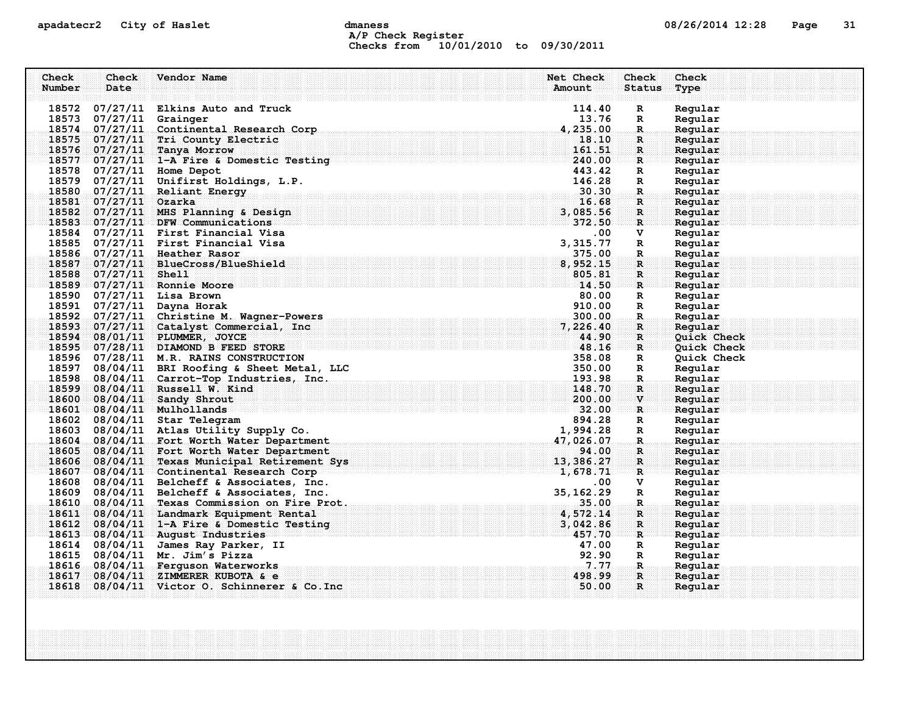### apadatecr2 City of Haslet dmaness dmaness and the US/26/2014 12:28 Page 31 A/P Check Register Checks from 10/01/2010 to 09/30/2011

| Check  | Check                   | Vendor Name                                                                              | Net Check                  | Check         | Check              |
|--------|-------------------------|------------------------------------------------------------------------------------------|----------------------------|---------------|--------------------|
| Number | Date                    |                                                                                          | Amount                     | <b>Status</b> | Type               |
|        |                         |                                                                                          |                            |               |                    |
| 18572  |                         | 07/27/11 Elkins Auto and Truck                                                           | 114.40                     | R             | Regular            |
|        | 18573 07/27/11 Grainger |                                                                                          | 13.76                      | R             | Regular            |
|        |                         | 18574 07/27/11 Continental Research Corp                                                 | 4,235.00                   | R             | Regular            |
|        |                         | 18575 07/27/11 Tri County Electric                                                       | 18.10                      | $\mathbf{R}$  | Regular            |
|        |                         | 18576 07/27/11 Tanya Morrow                                                              | 161.51                     | $\mathbf{R}$  | Regular            |
|        |                         | $18577 - 07/27/11 - 1 - A$ Fire & Domestic Testing $240.00$                              |                            | $\mathbf{R}$  | Regular            |
|        |                         | 18578 07/27/11 Home Depot                                                                | 443.42                     | R             | Regular            |
|        |                         | 18579 07/27/11 Unifirst Holdings, L.P.                                                   | 146.28                     | R             | Regular            |
|        |                         | 18580 07/27/11 Reliant Energy                                                            | 30.30                      | R.            | Regular            |
|        | 18581 07/27/11 Ozarka   |                                                                                          | 16.68                      | R             | Regular            |
|        |                         | 18582 07/27/11 MHS Planning & Design                                                     | 3,085.56                   | R             | Regular            |
|        |                         | 18583 07/27/11 DFW Communications                                                        | 372.50                     | $\mathbf{R}$  | Regular            |
|        |                         | 18584 07/27/11 First Financial Visa                                                      | $.00 \,$                   | v             | Regular            |
|        |                         | 18585 07/27/11 First Financial Visa                                                      | 3, 315.77                  | R             | Regular            |
|        |                         | 18586 07/27/11 Heather Rasor                                                             | 375.00                     | R             | Regular            |
|        |                         | 18587 07/27/11 BlueCross/BlueShield                                                      | 8,952.15                   | $\mathbf{R}$  | Regular            |
|        | 18588 07/27/11 Shell    | 18589 07/27/11 Ronnie Moore                                                              | 805.81<br>$\mathbf{14.50}$ | R             | Regular            |
|        |                         |                                                                                          | 80.00                      | R             | Regular            |
|        |                         | 18590 07/27/11 Lisa Brown<br>18591 07/27/11 Dayna Horak                                  | 910.00                     | R             | Regular<br>Regular |
|        |                         | 18592 07/27/11 Christine M. Wagner-Powers                                                | 300.00                     | R<br>R.       | Regular            |
|        |                         | 18593 07/27/11 Catalyst Commercial, Inc                                                  | 7,226.40                   | R             | Regular            |
|        |                         | 18594 08/01/11 PLUMMER, JOYCE                                                            | 44.90                      | $\mathbf{R}$  | Quick Check        |
|        |                         | 18595 07/28/11 DIAMOND B FEED STORE                                                      | 48.16                      | $\mathbf{R}$  | Quick Check        |
|        |                         | 18596 07/28/11 M.R. RAINS CONSTRUCTION                                                   | 358.08                     | R             | Quick Check        |
| 18597  |                         | 08/04/11 BRI Roofing & Sheet Metal, LLC                                                  | 350.00                     | R             | Regular            |
|        |                         | 18598 08/04/11 Carrot-Top Industries, Inc.                                               | 193.98                     | $\mathbf R$   | Regular            |
|        |                         | 18599 08/04/11 Russell W. Kind                                                           | 148.70                     | $\mathbf{R}$  | Regular            |
| 18600  |                         | 08/04/11 Sandy Shrout                                                                    | 200.00                     | V             | Regular            |
|        |                         | 18601 08/04/11 Mulhollands                                                               | 32.00                      | R             | Reqular            |
|        |                         | 18602 08/04/11 Star Telegram                                                             | 894.28                     | R             | Regular            |
| 18603  |                         | 08/04/11 Atlas Utility Supply Co.                                                        | 1,994.28                   | R             | Regular            |
| 18604  |                         | 08/04/11 Fort Worth Water Department                                                     | 47,026.07                  | R.            | Regular            |
| 18605  |                         | 08/04/11 Fort Worth Water Department                                                     | 94.00                      | R             | Regular            |
| 18606  |                         | 08/04/11 Texas Municipal Retirement Sys                                                  |                            | $\mathbf{R}$  | Regular            |
|        |                         | $\frac{13}{1678.71}$<br>$\frac{13}{1678.71}$<br>18607 08/04/11 Continental Research Corp |                            | $\mathbf{R}$  | Regular            |
| 18608  |                         | 08/04/11 Belcheff & Associates, Inc.                                                     | $.00 \,$                   | v             | Regular            |
| 18609  |                         | 08/04/11 Belcheff & Associates, Inc.                                                     | 35, 162.29                 | R             | Regular            |
| 18610  |                         | 08/04/11 Texas Commission on Fire Prot.                                                  | .35.00                     | .R.           | Regular            |
| 18611  |                         | 08/04/11 Landmark Equipment Rental                                                       | 4,572.14                   | $\mathbf{R}$  | Regular            |
|        |                         | 18612 08/04/11 1-A Fire & Domestic Testing                                               | 3,042.86                   | ${\bf R}$     | Regular            |
|        |                         | 18613 08/04/11 August Industries                                                         | 457.70                     | R             | Regular            |
|        |                         | 18614 08/04/11 James Ray Parker, II                                                      | 47.00                      | R             | Regular            |
|        |                         | 18615 08/04/11 Mr. Jim's Pizza                                                           | 92.90                      | R             | Regular            |
|        |                         | 18616 08/04/11 Ferquson Waterworks                                                       | 7.77                       | R.            | Regular            |
| 18617  |                         | $08/04/11$ ZIMMERER KUBOTA & e                                                           | 498.99                     | $\mathbf R$   | Reqular            |
|        |                         | $18618$ 08/04/11 Victor O. Schinnerer & Co. Inc                                          | 50.00                      | R             | Regular            |
|        |                         |                                                                                          |                            |               |                    |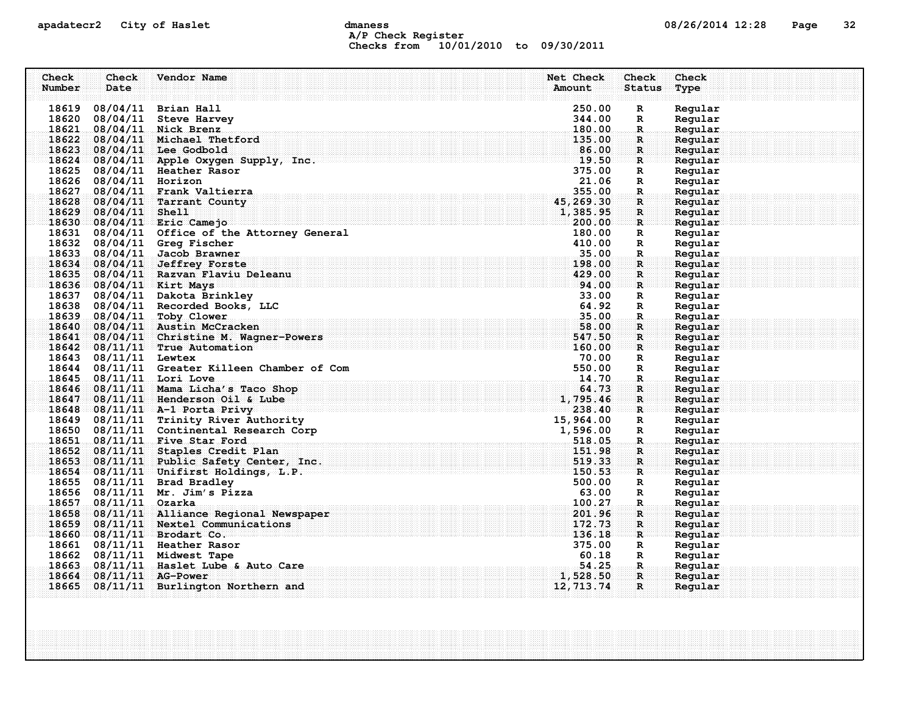### apadatecr2 City of Haslet dmaness dmaness and the US/26/2014 12:28 Page 32 A/P Check Register Checks from 10/01/2010 to 09/30/2011

| Check  | Check                  | Vendor Name                                                                                                                                             | Net Check          | <b>Check</b>                 | Check              |
|--------|------------------------|---------------------------------------------------------------------------------------------------------------------------------------------------------|--------------------|------------------------------|--------------------|
| Number | Date                   |                                                                                                                                                         | Amount             | <b>Status</b>                | Type               |
|        |                        |                                                                                                                                                         |                    |                              |                    |
| 18619  |                        | 08/04/11 Brian Hall                                                                                                                                     | 250.00             | $\mathbf R$                  | Regular            |
|        |                        | 18620 08/04/11 Steve Harvey                                                                                                                             | 344.00             | $\mathbb{R}$                 | Regular            |
|        |                        | 18621 08/04/11 Nick Brenz                                                                                                                               | 180.00             | $\mathbb{R}$                 | Regular            |
|        |                        | 18622 08/04/11 Michael Thetford                                                                                                                         | 135.00             | $\mathbf{R}$                 | Regular            |
|        |                        | 18623 08/04/11 Lee Godbold                                                                                                                              | 86.00              | R                            | Regular            |
|        |                        | 18624 08/04/11 Apple Oxygen Supply, Inc.                                                                                                                |                    | $\mathbf{R}$                 | Regular            |
|        |                        | 18625 08/04/11 Heather Rasor                                                                                                                            | 375.00             | R                            | Regular            |
|        | 18626 08/04/11 Horizon |                                                                                                                                                         | 21.06              | R                            | Regular            |
|        |                        | 18627 08/04/11 Frank Valtierra                                                                                                                          | 355.00             | R.                           | Regular            |
|        |                        | 18628 08/04/11 Tarrant County                                                                                                                           | 45, 269.30         | $\mathbf{R}$                 | Regular            |
|        | 18629 08/04/11 Shell   |                                                                                                                                                         | 1,385.95           | $\mathbf R$                  | Reqular            |
|        |                        | 18630 08/04/11 Eric Camejo                                                                                                                              | 200.00             | $\mathbf{R}$                 | Regular            |
|        |                        | 18631 08/04/11 Office of the Attorney General                                                                                                           | 180.00             | R                            | Regular            |
|        |                        | 18632 08/04/11 Greg Fischer                                                                                                                             | 410.00             | R                            | Regular            |
|        |                        | 18633 08/04/11 Jacob Brawner                                                                                                                            | 35.00              | R.                           | Regular            |
|        |                        | 18634 08/04/11 Jeffrey Forste                                                                                                                           | 198.00             | R                            | Regular            |
|        |                        | 18635 08/04/11 Razvan Flaviu Deleanu                                                                                                                    | 429.00             | R                            | Regular            |
|        |                        | 18636 08/04/11 Kirt Mays                                                                                                                                | 94.00              | $\mathbf{R}$                 | Regular            |
|        |                        | 18637 08/04/11 Dakota Brinkley                                                                                                                          | 33.00              | R                            | Regular            |
|        |                        | 18638 08/04/11 Recorded Books, LLC                                                                                                                      | 64.92              | $\mathbb{R}$                 | Regular            |
|        |                        | 18639 08/04/11 Toby Clower                                                                                                                              | 35.00              | $\mathbf R$                  | Regular            |
|        |                        | 18640 08/04/11 Austin McCracken                                                                                                                         | 58.00              | R                            | Regular            |
|        |                        | 18641 08/04/11 Christine M. Wagner-Powers                                                                                                               | 547.50             | $\mathbf R$                  | Regular            |
|        |                        | 18642 08/11/11 True Automation                                                                                                                          | 160.00             | ार                           | Regular            |
|        | 18643 08/11/11 Lewtex  | $-180.00$<br>70.00<br>550.00<br>550.00                                                                                                                  |                    | R                            | Regular            |
|        |                        | 18644 08/11/11 Greater Killeen Chamber of Com                                                                                                           |                    | $\mathbb{R}$                 | Regular            |
|        |                        | 18645 08/11/11 Lori Love                                                                                                                                |                    | $\ldots$ R $\ldots$          | Reqular            |
|        |                        | 18646 08/11/11 Mama Licha's Taco Shop<br>$18647$ 08/11/11 Henderson Oil & Lube<br>18647 08/11/11 Henderson Oil & Lube<br>18648 08/11/11 A-1 Porta Privy | 64.73              | R                            | Regular            |
|        |                        |                                                                                                                                                         | 1,795.46           | R                            | Regular            |
|        |                        |                                                                                                                                                         | 238.40             | $\mathbf{R}$                 | Regular            |
|        |                        | 18649 08/11/11 Trinity River Authority<br>18650 08/11/11 Continental Research Corp                                                                      | 15,964.00          | R                            | Regular            |
|        |                        |                                                                                                                                                         | 1,596.00<br>518.05 | $\mathbf R$                  | Regular            |
|        |                        | 18651 08/11/11 Five Star Ford<br>18652 08/11/11 Staples Credit Plan                                                                                     | 151.98             | $\mathbf{R}$<br>$\mathbf{R}$ | Regular            |
|        |                        |                                                                                                                                                         | 519.33             |                              | Regular            |
|        |                        | 18653 08/11/11 Public Safety Center, Inc.<br>18654 08/11/11 Unifirst Holdings, L.P.                                                                     | 150.53             | R                            | Regular            |
|        |                        | 18655 08/11/11 Brad Bradley                                                                                                                             | 500.00             | $\mathbf{R}$                 | Regular<br>Regular |
|        |                        | 18656 08/11/11 Mr. Jim's Pizza                                                                                                                          | 63.00              | R<br>R                       |                    |
| 18657  | $08/11/11$ Ozarka      |                                                                                                                                                         | 100.27             | R.                           | Regular<br>Regular |
|        |                        | 18658 08/11/11 Alliance Regional Newspaper                                                                                                              | 201.96             | R                            | Regular            |
|        |                        | 18659 08/11/11 Nextel Communications                                                                                                                    | 172.73             |                              |                    |
|        |                        | 18660 08/11/11 Brodart Co.                                                                                                                              | 136.18             | R<br>R                       | Regular<br>Regular |
|        |                        | 18661 08/11/11 Heather Rasor                                                                                                                            | 375.00             | R                            | Regular            |
|        |                        | 18662 08/11/11 Midwest Tape                                                                                                                             | 60.18              | $\mathbf{R}$                 | Regular            |
|        |                        | 18663 08/11/11 Haslet Lube & Auto Care                                                                                                                  | 54.25              | -R.,                         | Regular            |
| 18664  |                        | $08/11/11$ AG-Power                                                                                                                                     | 1,528.50           | $\mathbf{R}$                 | Reqular            |
|        |                        | 18665 08/11/11 Burlington Northern and                                                                                                                  | 12, 713. 74        | R                            | Regular            |
|        |                        |                                                                                                                                                         |                    |                              |                    |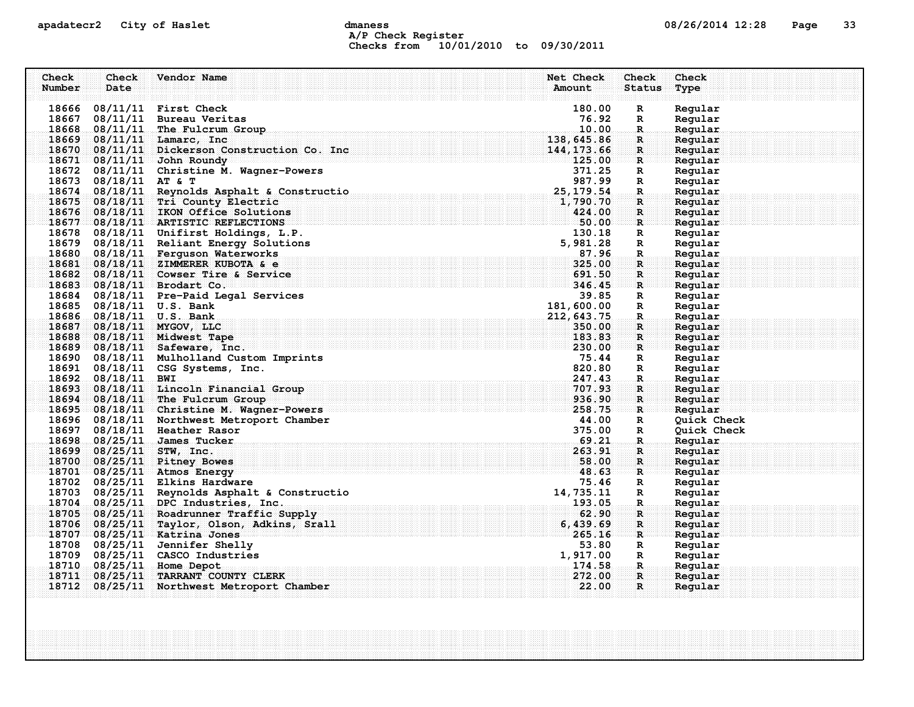### apadatecr2 City of Haslet dmaness dmaness and the 08/26/2014 12:28 Page 33 A/P Check Register Checks from 10/01/2010 to 09/30/2011

| Check  | <b>Check</b>             | Vendor Name                                                                             | Net Check<br>Check                     | Check              |
|--------|--------------------------|-----------------------------------------------------------------------------------------|----------------------------------------|--------------------|
| Number | Date                     |                                                                                         | Amount<br><b>Status</b>                | Type               |
|        |                          |                                                                                         |                                        |                    |
| 18666  |                          | $08/11/11$ First Check                                                                  | 180.00<br>R                            | Regular            |
|        |                          | 18667 08/11/11 Bureau Veritas                                                           | 76.92<br>R                             | Regular            |
|        |                          | 18668 08/11/11 The Fulcrum Group                                                        | 10.00<br>R.                            | Regular            |
|        |                          | 18669 08/11/11 Lamarc, Inc                                                              | 138,645.86<br>$\mathbf R$              | Regular            |
|        |                          | 18670 08/11/11 Dickerson Construction Co. Inc.                                          | 144, 173.66<br>R                       | Regular            |
|        |                          | $18671 - 08/11/11$ John Roundy                                                          | 125.00<br>$\mathbf{R}$                 | Regular            |
|        |                          | 18672 08/11/11 Christine M. Wagner-Powers                                               | 371.25<br>R                            | Regular            |
|        | 18673 08/18/11 AT & T    |                                                                                         | 987.99<br>R                            | Regular            |
|        |                          | 18674 08/18/11 Reynolds Asphalt & Constructio                                           | 25, 179.54<br>R.                       | Regular            |
|        |                          | 18675 08/18/11 Tri County Electric                                                      | 1,790.70<br>$\mathbf R$                | Regular            |
|        |                          | 18676 08/18/11 IKON Office Solutions                                                    | 424.00<br>R                            | Regular            |
|        |                          | 18677 08/18/11 ARTISTIC REFLECTIONS                                                     | 50.00<br>R                             | Regular            |
|        |                          | 18678 08/18/11 Unifirst Holdings, L.P.                                                  | 130.18<br>R                            | Regular            |
|        |                          | 18679 08/18/11 Reliant Energy Solutions                                                 | 5,981.28<br>R                          | Regular            |
|        |                          | 18680 08/18/11 Ferguson Waterworks                                                      | 87.96<br>$\mathbf R$                   | Regular            |
|        |                          | 18681 08/18/11 ZIMMERER KUBOTA & e                                                      | 325.00<br>$\mathbf R$                  | Regular            |
|        |                          | 18682 08/18/11 Cowser Tire & Service                                                    | 691.50<br>R                            | Regular            |
|        |                          | 18683 08/18/11 Brodart Co.                                                              | 346.45<br>R                            | Reqular            |
|        |                          | 18684 08/18/11 Pre-Paid Legal Services                                                  | 39.85<br>R                             | Regular            |
|        |                          | 18685 08/18/11 U.S. Bank                                                                | 181,600.00<br>$\mathbb{R}$             | Regular            |
|        |                          | 18686 08/18/11 U.S. Bank                                                                | 212,643.75<br>R.                       | Regular            |
| 18687  |                          | $08/18/11$ MYGOV, LLC                                                                   | 350.00<br>$\mathbf R$                  | Regular            |
|        |                          | 18688 08/18/11 Midwest Tape                                                             | 183.83<br>$\mathbf R$                  | Regular            |
|        |                          | 18689 08/18/11 Safeware, Inc.                                                           | 230.00<br>R                            | Regular            |
|        |                          | 18690 08/18/11 Mulholland Custom Imprints                                               | 75.44<br>R                             | Regular            |
|        |                          | 18691 08/18/11 CSG Systems, Inc.                                                        | 820.80<br>R                            | Regular            |
|        | 18692 08/18/11 BWI       |                                                                                         | 247.43<br>$\mathbf R$                  | Regular            |
|        |                          | 18693 08/18/11 Lincoln Financial Group                                                  | 707.93<br>R                            | Regular            |
|        |                          | 18694 08/18/11 The Fulcrum Group                                                        | 936.90<br>$\mathbf{R}$                 | Regular            |
|        |                          | 18695 08/18/11 Christine M. Wagner-Powers                                               | 258.75<br>R                            | Reqular            |
|        |                          | 18696 08/18/11 Northwest Metroport Chamber                                              | 44.00<br>R                             | <b>Quick Check</b> |
|        |                          | 18697 08/18/11 Heather Rasor                                                            | 375.00<br>R<br>69.21                   | Quick Check        |
|        |                          | 18698 08/25/11 James Tucker                                                             | R.<br>263.91                           | Regular            |
|        | 18699 08/25/11 STW, Inc. |                                                                                         | R                                      | Regular            |
|        |                          | 18700 08/25/11 Pitney Bowes<br>18701 08/25/11 Atmos Energy                              | 58.00<br>R<br>48.63                    | Regular<br>Reqular |
|        |                          | 18702 08/25/11 Elkins Hardware                                                          | R<br>75.46                             |                    |
|        |                          | 18703 08/25/11 Reynolds Asphalt & Constructio                                           | R<br>14,735.11<br>R                    | Regular            |
|        |                          | 18704 08/25/11 DPC Industries, Inc.                                                     | 193.05<br>R.                           | Regular<br>Regular |
|        |                          |                                                                                         | 62.90                                  |                    |
|        |                          | 18705 08/25/11 Roadrunner Traffic Supply<br>18706 08/25/11 Taylor, Olson, Adkins, Srall | $\mathbf R$<br>6,439.69<br>$\mathbf R$ | Regular<br>Regular |
|        |                          | 18707 08/25/11 Katrina Jones                                                            | 265.16<br>R                            | Regular            |
|        |                          | 18708 08/25/11 Jennifer Shelly                                                          | 53.80<br>R                             | Regular            |
|        |                          | 18709 08/25/11 CASCO Industries                                                         | 1,917.00<br>R                          | Regular            |
|        | 18710 08/25/11           | <b>Home Depot</b>                                                                       | 174.58<br>R.                           | Regular            |
| 18711  | 08/25/11                 | <b>TARRANT COUNTY CLERK</b>                                                             | 272.00<br>$\mathbf R$                  | Regular            |
|        |                          | 18712 08/25/11 Northwest Metroport Chamber                                              | 22.00<br>R                             | Regular            |
|        |                          |                                                                                         |                                        |                    |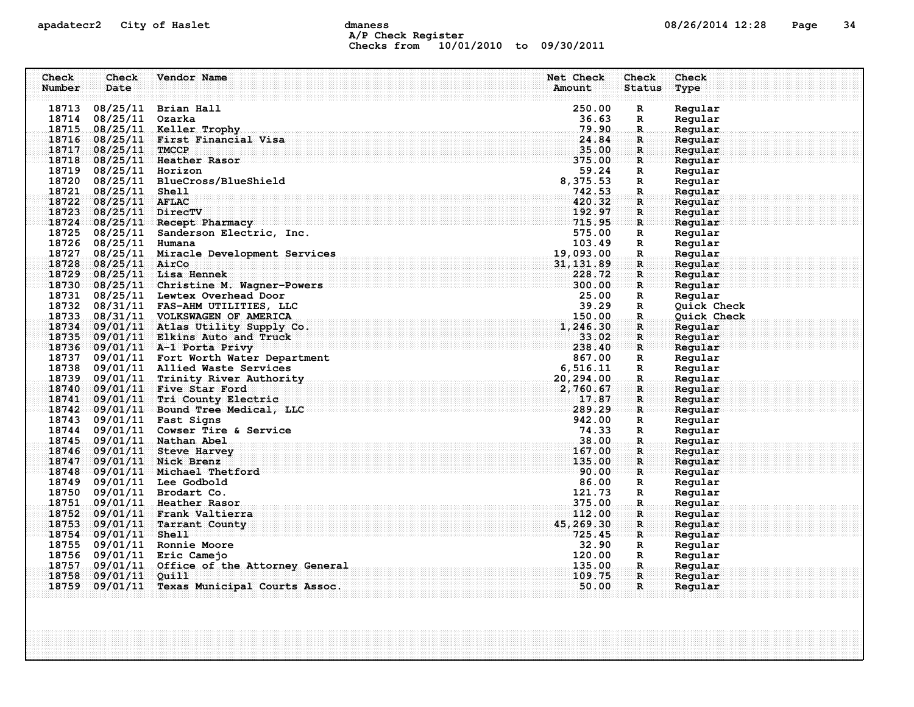### apadatecr2 City of Haslet compound dmaness compound the definition of the definition of the definition of the definition of the definition of the definition of the definition of the definition of the definition of the defi A/P Check Register Checks from 10/01/2010 to 09/30/2011

| Check  | Check                  | Vendor Name                                                       | Net Check                                                                  | Check              | Check              |
|--------|------------------------|-------------------------------------------------------------------|----------------------------------------------------------------------------|--------------------|--------------------|
| Number | Date                   |                                                                   | Amount                                                                     | <b>Status</b>      | Type               |
|        |                        | 18713 08/25/11 Brian Hall                                         | 250.00                                                                     | R                  | Regular            |
|        | 18714 08/25/11 Ozarka  |                                                                   | 36.63                                                                      | $\mathbf R$        | Regular            |
|        |                        | 18715 08/25/11 Keller Trophy                                      | 79.90                                                                      | $\mathbf R$        | Regular            |
|        |                        | 18716 08/25/11 First Financial Visa                               | 24.84                                                                      | $\mathbf R$ :      | Regular            |
|        | 18717 08/25/11 TMCCP   |                                                                   | 35.00                                                                      | $\mathbf{R}$       | Regular            |
|        |                        | 18718 08/25/11 Heather Rasor                                      | 375.00                                                                     | R                  | Regular            |
|        | 18719 08/25/11 Horizon |                                                                   | 59.24                                                                      | R                  | Regular            |
|        |                        | 18720 08/25/11 BlueCross/BlueShield                               | 8,375.53                                                                   | R                  | Regular            |
|        | 18721 08/25/11 Shell   |                                                                   | 742.53                                                                     | R.                 | Regular            |
|        | 18722 08/25/11 AFLAC   |                                                                   | 420.32                                                                     | R                  | Regular            |
|        | 18723 08/25/11 DirecTV |                                                                   | 192.97                                                                     | $\mathbf R$        | Regular            |
|        |                        | 18724 08/25/11 Recept Pharmacy                                    | 715.95                                                                     | $\mathbf{R}$       | Regular            |
|        |                        | 18725 08/25/11 Sanderson Electric, Inc.                           | 575.00                                                                     | R                  | Regular            |
|        | 18726 08/25/11 Humana  |                                                                   | 103.49                                                                     | R                  | Regular            |
|        |                        | 18727 08/25/11 Miracle Development Services                       | 19,093.00                                                                  | R.                 | Regular            |
|        | 18728 08/25/11 AirCo   |                                                                   | 31, 131.89                                                                 | $\mathbf{R}$       | Regular            |
|        |                        | 18729 08/25/11 Lisa Hennek                                        | 228.72                                                                     | $\mathbf{R}$       | Regular            |
|        |                        | 18730 08/25/11 Christine M. Wagner-Powers                         | 300.00                                                                     | $\mathbf{R}$       | Regular            |
|        |                        | 18731 08/25/11 Lewtex Overhead Door                               | 25.00                                                                      | $\mathbf{R}$       | Regular            |
|        |                        | 18732 08/31/11 FAS-AHM UTILITIES, LLC                             | 39.29                                                                      | R                  | Quick Check        |
|        |                        | 18733 08/31/11 VOLKSWAGEN OF AMERICA                              | 150.00                                                                     | $\mathbf R$        | Quick Check        |
|        |                        | 18734 09/01/11 Atlas Utility Supply Co.                           | 1,246.30                                                                   | R                  | Regular            |
|        |                        | 18735 09/01/11 Elkins Auto and Truck                              | 33.02                                                                      | $\mathbf R$ :      | Regular            |
|        |                        | 18736 09/01/11 A-1 Porta Privy                                    | 238.40                                                                     | $\mathbf{R}$       | Regular            |
|        |                        | 18737 09/01/11 Fort Worth Water Department                        | 867.00                                                                     | R                  | Regular            |
|        |                        | 18738 09/01/11 Allied Waste Services                              | 6, 516.11                                                                  | R                  | Regular            |
|        |                        | 18739 09/01/11 Trinity River Authority                            | 20,294.00                                                                  | $\mathbf{R}$       | Regular            |
|        |                        | 18740 09/01/11 Five Star Ford                                     | 2,760.67                                                                   | $\mathbf R$ :      | Regular            |
|        |                        | 18741 09/01/11 Tri County Electric                                | 17.87<br>289.29                                                            | $\mathbf{R}$       | Regular            |
|        |                        | 18742 09/01/11 Bound Tree Medical, LLC                            | 942.00                                                                     | R                  | Regular            |
|        |                        | 18743 09/01/11 Fast Signs<br>18744 09/01/11 Cowser Tire & Service | 74.33                                                                      | $\mathbb{R}$       | Regular<br>Regular |
|        |                        | 18745 09/01/11 Nathan Abel                                        | 38.00                                                                      | R                  | Regular            |
|        |                        | 18746 09/01/11 Steve Harvey                                       | 167.00                                                                     | $\mathbf R$ .<br>R | Regular            |
|        |                        | 18747 09/01/11 Nick Brenz                                         | 135.00                                                                     | $\mathbf{R}$       | Regular            |
|        |                        | 18748 09/01/11 Michael Thetford                                   | . The communications is a communication of $\mathbf{00}$ , $\mathbf{00}$ . | R                  | Reqular            |
|        |                        | 18749 09/01/11 Lee Godbold                                        | 86.00                                                                      | R                  | Regular            |
|        |                        | 18750 09/01/11 Brodart Co.                                        | 121.73                                                                     | $\mathbf R$        | Regular            |
|        |                        | 18751 09/01/11 Heather Rasor                                      | 375.00                                                                     | $\mathbf R$ .      | Regular            |
|        |                        | 18752 09/01/11 Frank Valtierra                                    | 112.00                                                                     | $\mathbf{R}$       | Regular            |
|        |                        | 18753 09/01/11 Tarrant County                                     | 45, 269.30                                                                 | R                  | Regular            |
|        | 18754 09/01/11 Shell   |                                                                   | 725.45                                                                     | $\mathbf{R}$       | Regular            |
|        |                        | 18755 09/01/11 Ronnie Moore                                       | 32.90                                                                      | R                  | Regular            |
|        |                        | 18756 09/01/11 Eric Camejo                                        | 120.00                                                                     | R                  | Regular            |
|        |                        | 18757 09/01/11 Office of the Attorney General                     | 135.00                                                                     | $\mathbf{R}_\odot$ | Regular            |
|        | 18758 09/01/11 Ouill   |                                                                   | 109.75                                                                     | R                  | Reqular            |
|        |                        | 18759 09/01/11 Texas Municipal Courts Assoc.                      | 50.00                                                                      | $\mathbf{R}$       | Regular            |
|        |                        |                                                                   |                                                                            |                    |                    |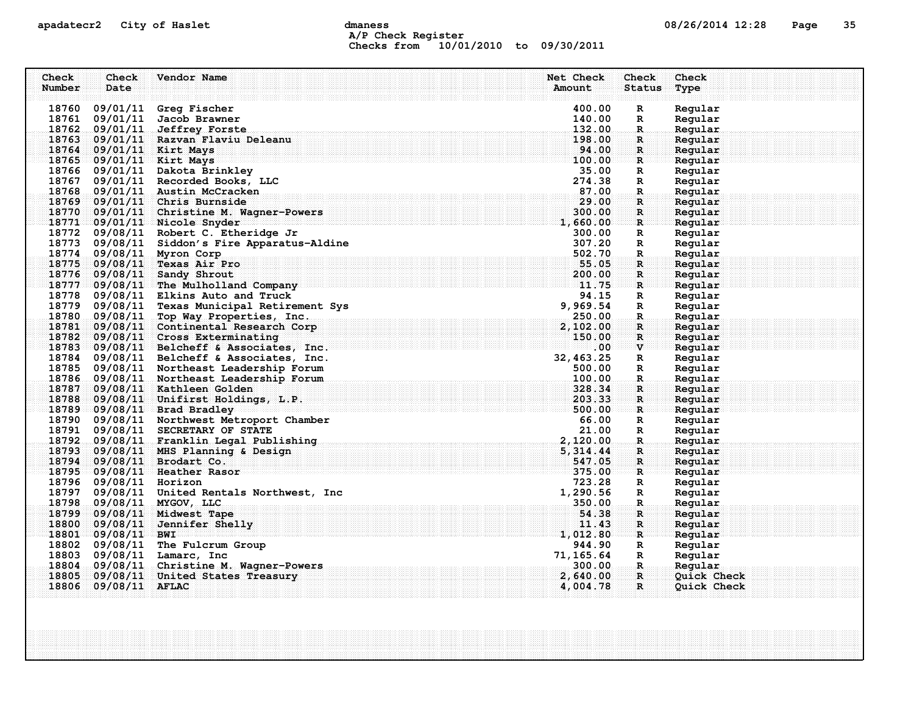### apadatecr2 City of Haslet and dmaness dmaness and the US/26/2014 12:28 Page 35 A/P Check Register Checks from 10/01/2010 to 09/30/2011

| Check  | Check                  | Vendor Name                                                                                                    | Net Check  | Check              | Check       |
|--------|------------------------|----------------------------------------------------------------------------------------------------------------|------------|--------------------|-------------|
| Number | Date                   |                                                                                                                | Amount     | <b>Status</b>      | Type        |
|        |                        |                                                                                                                |            |                    |             |
|        |                        | 18760 09/01/11 Greg Fischer                                                                                    | 400.00     | R                  | Regular     |
|        |                        | 18761 09/01/11 Jacob Brawner                                                                                   | 140.00     | R                  | Regular     |
|        |                        | 18762 09/01/11 Jeffrey Forste                                                                                  | 132.00     | $\mathbb{R}$       | Regular     |
|        |                        | 18763 09/01/11 Razvan Flaviu Deleanu                                                                           | 198.00     | $\mathbf{R}$       | Regular     |
|        |                        | 18764 09/01/11 Kirt Mays                                                                                       | 94.00      | R                  | Regular     |
|        |                        | 18765 09/01/11 Kirt Mays                                                                                       | 100.00     | R                  | Regular     |
|        |                        | 18766 09/01/11 Dakota Brinkley                                                                                 | 35.00      | R                  | Regular     |
|        |                        | 18767 09/01/11 Recorded Books, LLC                                                                             | 274.38     | R                  | Regular     |
|        |                        | 18768 09/01/11 Austin McCracken                                                                                | 87.00      | R.                 | Regular     |
|        |                        | 18769 09/01/11 Chris Burnside                                                                                  | 29.00      | R                  | Regular     |
|        |                        | 18770 09/01/11 Christine M. Wagner-Powers                                                                      | 300.00     | R                  | Regular     |
|        |                        | 18771 09/01/11 Nicole Snyder                                                                                   | 1,660.00   | $\mathbf{R}$       | Regular     |
|        |                        | 18772 09/08/11 Robert C. Etheridge Jr                                                                          | 300.00     | R                  | Regular     |
|        |                        | 18773 09/08/11 Siddon's Fire Apparatus-Aldine                                                                  | 307.20     | R                  | Regular     |
|        |                        | 18774 09/08/11 Myron Corp                                                                                      | 502.70     | $\mathbf R$        | Regular     |
|        |                        | 18775 09/08/11 Texas Air Pro                                                                                   | 55.05      | $\mathbf{R}$       | Regular     |
|        |                        | 18776 09/08/11 Sandy Shrout                                                                                    | 200.00     | $\mathbf{R}$       | Regular     |
|        |                        | 18777 09/08/11 The Mulholland Company contracts and the set of the set of the set of the set of the set of the |            | R                  | Regular     |
|        |                        | 18778 09/08/11 Elkins Auto and Truck                                                                           | 94.15      | R                  | Regular     |
|        |                        | 18779 09/08/11 Texas Municipal Retirement Sys                                                                  | 9,969.54   | R                  | Regular     |
|        |                        | 18780 09/08/11 Top Way Properties, Inc.                                                                        | 250.00     | $\mathbf R$        | Regular     |
|        |                        | 18781 09/08/11 Continental Research Corp                                                                       | 2,102.00   | R                  | Regular     |
|        |                        | 18782 09/08/11 Cross Exterminating                                                                             | 150.00     | $\mathbf{R}$       | Regular     |
|        |                        | 18783 09/08/11 Belcheff & Associates, Inc.                                                                     | .00        | $\mathbf{v}$       | Regular     |
|        |                        | 18784 09/08/11 Belcheff & Associates, Inc.                                                                     | 32, 463.25 | R                  | Regular     |
|        |                        | 18785 09/08/11 Northeast Leadership Forum                                                                      | 500.00     | R                  | Regular     |
|        |                        | 18786 09/08/11 Northeast Leadership Forum                                                                      | 100.00     | $\mathbf R$        | Regular     |
|        |                        | 18787 09/08/11 Kathleen Golden                                                                                 | 328.34     | R                  | Regular     |
|        |                        | 18788 09/08/11 Unifirst Holdings, L.P.                                                                         | 203.33     | $\mathbf{R}$       | Regular     |
|        |                        | $18789$ 09/08/11 Brad Bradley                                                                                  | 500.00     | R.                 | Reqular     |
|        |                        | 18790 09/08/11 Northwest Metroport Chamber                                                                     | 66.00      | R                  | Regular     |
|        |                        | 18791 09/08/11 SECRETARY OF STATE                                                                              | 21.00      | R                  | Regular     |
|        |                        | 18792 09/08/11 Franklin Legal Publishing                                                                       | 2,120.00   | R.                 | Regular     |
|        |                        | 18793 09/08/11 MHS Planning & Design                                                                           | 5, 314.44  | $\mathbf R$        | Regular     |
|        |                        | 18794 09/08/11 Brodart Co.                                                                                     | 547.05     | R                  | Regular     |
|        |                        | 18795 09/08/11 Heather Rasor                                                                                   | 375.00     | R                  | Reqular     |
|        | 18796 09/08/11 Horizon |                                                                                                                | 723.28     | R                  | Regular     |
|        |                        | 18797 09/08/11 United Rentals Northwest, Inc                                                                   | 1,290.56   | R                  | Regular     |
| 18798  |                        | 09/08/11 MYGOV, LLC                                                                                            | 350.00     | R.                 | Regular     |
|        |                        | 18799 09/08/11 Midwest Tape                                                                                    | 54.38      | $\mathbf R$        | Reqular     |
| 18800  | 09/08/11               | Jennifer Shelly                                                                                                | 11.43      | R                  | Regular     |
|        | $18801 - 09/08/11$ BWI |                                                                                                                | 1,012.80   | $\mathbf R$        | Regular     |
|        |                        | 18802 09/08/11 The Fulcrum Group                                                                               | 944.90     | R                  | Regular     |
|        |                        | 18803 09/08/11 Lamarc, Inc                                                                                     | 71,165.64  | R                  | Regular     |
|        |                        | 18804 09/08/11 Christine M. Wagner-Powers                                                                      | 300.00     | $\mathbf{R}_\odot$ | Regular     |
|        |                        | 18805 09/08/11 United States Treasury                                                                          | 2,640.00   | $\mathbf{R}$       | Quick Check |
|        | 18806 09/08/11 AFLAC   |                                                                                                                | 4,004.78   | R                  | Quick Check |
|        |                        |                                                                                                                |            |                    |             |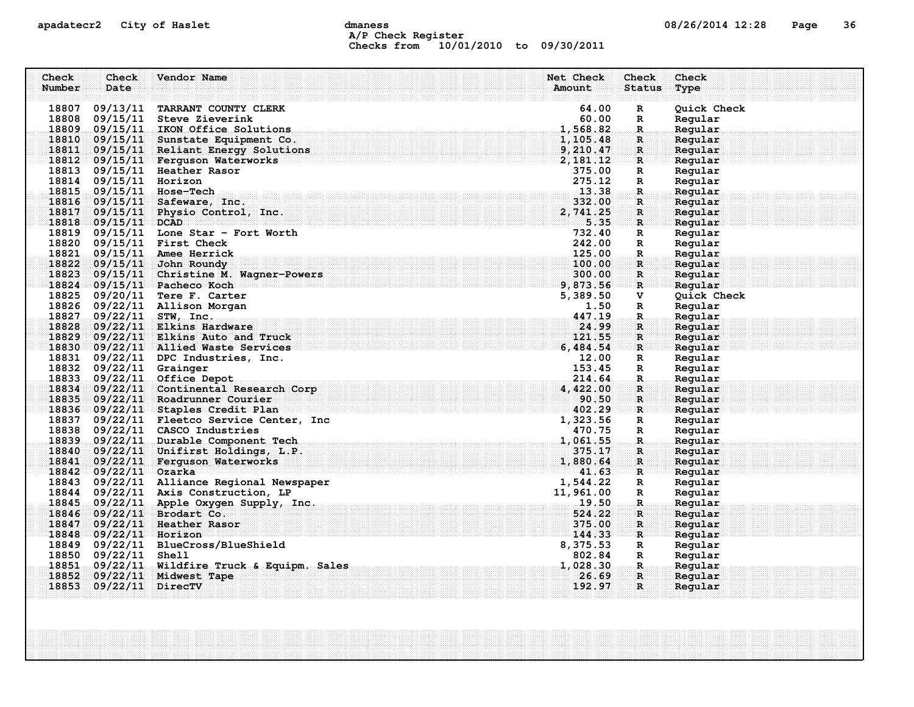### apadatecr2 City of Haslet and dmaness dmaness and the US/26/2014 12:28 Page 36 A/P Check Register Checks from 10/01/2010 to 09/30/2011

| Check  | Check                  | Vendor Name                                | Net Check<br><b>Check</b> | Check       |
|--------|------------------------|--------------------------------------------|---------------------------|-------------|
| Number | Date                   |                                            | <b>Status</b><br>Amount   | Type        |
|        |                        |                                            |                           |             |
| 18807  | 09/13/11               | TARRANT COUNTY CLERK                       | 64.00<br>R                | Quick Check |
|        |                        | 18808 09/15/11 Steve Zieverink             | 60.00<br>R                | Regular     |
|        |                        | 18809 09/15/11 IKON Office Solutions       | 1,568.82<br>$\mathbb{R}$  | Regular     |
|        |                        | 18810 09/15/11 Sunstate Equipment Co.      | 1,105.48<br>$\mathbf{R}$  | Regular     |
| 18811  | 09/15/11               | Reliant Energy Solutions                   | 9,210.47<br>$\mathbf{R}$  | Reqular     |
|        |                        | 18812 09/15/11 Ferquson Waterworks         | 2, 181.12<br>$\mathbf{R}$ | Regular     |
|        |                        | 18813 09/15/11 Heather Rasor               | 375.00<br>R               | Regular     |
|        | 18814 09/15/11 Horizon |                                            | 275.12<br>R               | Regular     |
|        |                        | 18815 09/15/11 Hose-Tech                   | 13.38<br>R.               | Regular     |
|        |                        | 18816 09/15/11 Safeware, Inc.              | 332.00<br>$\mathbf R$     | Reqular     |
| 18817  | 09/15/11               | Physio Control, Inc.                       | 2,741.25<br>R             | Regular     |
|        | 18818 09/15/11 DCAD    |                                            | 5.35<br>$\mathbf{R}$      | Regular     |
|        |                        | 18819 09/15/11 Lone Star - Fort Worth      | 732.40<br>R               | Regular     |
| 18820  |                        | $09/15/11$ First Check                     | 242.00<br>R               | Regular     |
| 18821  |                        | 09/15/11 Amee Herrick                      | 125.00<br>$\mathbf R$ .   | Regular     |
| 18822  |                        | $09/15/11$ John Roundy                     | 100.00<br>$\mathbf R$     | Reqular     |
| 18823  | 09/15/11               | Christine M. Wagner-Powers                 | 300.00<br>$\mathbf{R}$    | Regular     |
| 18824  |                        | 09/15/11 Pacheco Koch                      | 9,873.56<br>$\mathbf{R}$  | Regular     |
| 18825  |                        | 09/20/11 Tere F. Carter                    | 5,389.50<br>v             | Quick Check |
| 18826  |                        | 09/22/11 Allison Morgan                    | 1.50<br>R                 | Regular     |
| 18827  | 09/22/11               | STW, Inc.                                  | 447.19<br>$\mathbf R$ .   | Regular     |
| 18828  |                        | 09/22/11 Elkins Hardware                   | 24.99<br>R                | Regular     |
| 18829  |                        | 09/22/11 Elkins Auto and Truck             | 121.55<br>R.              | Regular     |
| 18830  |                        | 09/22/11 Allied Waste Services             | 6,484.54<br>R             | Regular     |
| 18831  |                        | 09/22/11 DPC Industries, Inc.              | 12.00<br>R                | Regular     |
| 18832  | $09/22/11$ Grainger    |                                            | 153.45<br>R               | Regular     |
| 18833  |                        | $09/22/11$ Office Depot                    | 214.64<br>R.              | Regular     |
| 18834  | 09/22/11               | Continental Research Corp                  | 4,422.00<br>R             | Regular     |
|        |                        | 18835 09/22/11 Roadrunner Courier          | 90.50<br>$\mathbf{R}$     | Regular     |
|        |                        | 18836 09/22/11 Staples Credit Plan         | 402.29<br>R               | Regular     |
|        |                        | 18837 09/22/11 Fleetco Service Center, Inc | 1,323.56<br>R             | Regular     |
|        |                        | 18838 09/22/11 CASCO Industries            | 470.75<br>$\mathbb{R}$    | Regular     |
|        |                        | 18839 09/22/11 Durable Component Tech      | 1,061.55<br>$\mathbf R$   | Regular     |
|        | 18840 09/22/11         | Unifirst Holdings, L.P.                    | 375.17<br>R               | Reqular     |
| 18841  |                        | 09/22/11 Ferguson Waterworks               | 1,880.64<br>$\mathbf{R}$  | Reqular     |
|        | 18842 09/22/11 Ozarka  |                                            | 41.63<br>$\mathbf R$      | Reqular     |
|        |                        | 18843 09/22/11 Alliance Regional Newspaper | 1,544.22<br>R             | Regular     |
| 18844  |                        | 09/22/11 Axis Construction, LP             | 11,961.00<br>R            | Regular     |
|        |                        | 18845 09/22/11 Apple Oxygen Supply, Inc.   | 19.50<br>$\mathbf R$      | Regular     |
| 18846  |                        | $09/22/11$ Brodart Co.                     | 524.22<br>$\mathbf{R}$    | Regular     |
| 18847  |                        | 09/22/11 Heather Rasor                     | 375.00<br>R               | Regular     |
| 18848  | $09/22/11$ Horizon     |                                            | 144.33<br>R               | Regular     |
|        |                        | 18849 09/22/11 BlueCross/BlueShield        | 8,375.53<br>R             | Regular     |
| 18850  | 09/22/11               | Shell                                      | 802.84<br>R               | Regular     |
| 18851  | 09/22/11               | Wildfire Truck & Equipm. Sales             | 1,028.30<br>$\mathbf R$   | Regular     |
| 18852  |                        | 09/22/11 Midwest Tape                      | 26.69<br>R                | Regular     |
| 18853  | $09/22/11$ DirecTV     |                                            | 192.97<br>$\mathbf{R}$    | Regular     |
|        |                        |                                            |                           |             |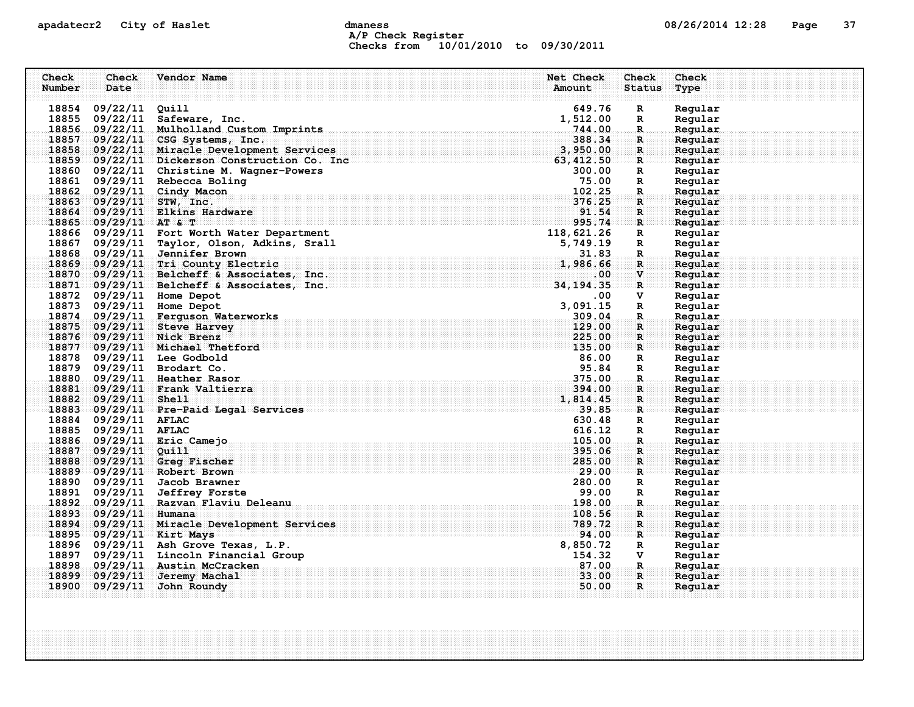### apadatecr2 City of Haslet and dmaness dmaness and the 08/26/2014 12:28 Page 37 A/P Check Register Checks from 10/01/2010 to 09/30/2011

| Check  | Check                 | Vendor Name                                                                                                                                                    | Net Check        | Check             | Check              |
|--------|-----------------------|----------------------------------------------------------------------------------------------------------------------------------------------------------------|------------------|-------------------|--------------------|
| Number | Date                  |                                                                                                                                                                | Amount           | <b>Status</b>     | Type               |
|        |                       |                                                                                                                                                                |                  |                   |                    |
|        | 18854 09/22/11 Quill  |                                                                                                                                                                | 649.76           | $\mathbf R$       | Regular            |
|        |                       | 18855 09/22/11 Safeware, Inc.                                                                                                                                  | 1,512.00         | $\mathbb{R}$      | Regular            |
| 18857  |                       | 18856 09/22/11 Mulholland Custom Imprints<br>09/22/11 CSG Systems, Inc.                                                                                        | 744.00<br>388.34 | $\mathbb{R}$      | Regular<br>Regular |
| 18858  |                       | 09/22/11 Miracle Development Services                                                                                                                          | 3,950.00         | R<br>$\mathbf{R}$ | Regular            |
|        |                       | 18859 09/22/11 Dickerson Construction Co. Inc                                                                                                                  | 63, 412.50       | $\mathbf{R}$      | Regular            |
|        |                       | 18860 09/22/11 Christine M. Wagner-Powers                                                                                                                      | 300.00           | R                 | Regular            |
|        |                       | 18861 09/29/11 Rebecca Boling                                                                                                                                  | 75.00            | R                 | Regular            |
|        |                       | 18862 09/29/11 Cindy Macon                                                                                                                                     | 102.25           | $\mathbf R$ .     | Regular            |
| 18863  |                       | $09/29/11$ STW, Inc.                                                                                                                                           | 376.25           | $\mathbf{R}$      | Regular            |
| 18864  |                       | 09/29/11 Elkins Hardware                                                                                                                                       | 91.54            | $\mathbf R$       | Regular            |
|        | 18865 09/29/11 AT & T |                                                                                                                                                                | 995.74           | $\mathbf{R}$      | Regular            |
|        |                       | 18866 09/29/11 Fort Worth Water Department                                                                                                                     | 118,621.26       | $\mathbf R$       | Regular            |
|        |                       | 18867 09/29/11 Taylor, Olson, Adkins, Srall                                                                                                                    | 5,749.19         | R                 | Regular            |
|        |                       | 18868 09/29/11 Jennifer Brown                                                                                                                                  | 31.83            | $\mathbf R$       | Regular            |
|        |                       | 18869 09/29/11 Tri County Electric                                                                                                                             | 1,986.66         | $\mathbf{R}$      | Regular            |
|        |                       | 18870 09/29/11 Belcheff & Associates, Inc.                                                                                                                     | .00              | V                 | Regular            |
|        |                       | $18871$ 09/29/11 Belcheff & Associates, Inc.                                                                                                                   | 34, 194.35       | $\mathbf{R}$      | Regular            |
|        |                       | 18872 09/29/11 Home Depot                                                                                                                                      | .00              | v                 | Regular            |
|        |                       | 18873 09/29/11 Home Depot                                                                                                                                      | 3,091.15         | $\mathbf R$       | Regular            |
|        |                       | 18874 09/29/11 Ferguson Waterworks                                                                                                                             | 309.04           | $\mathbf R$       | Regular            |
|        |                       | 18875 09/29/11 Steve Harvey                                                                                                                                    | 129.00           | $\mathbf R$       | Regular            |
|        |                       | 18876 09/29/11 Nick Brenz                                                                                                                                      | 225.00           | $\mathbf{R}$      | Regular            |
|        |                       | 18877 09/29/11 Michael Thetford                                                                                                                                | 135.00           | $\mathbf{R}$      | Regular            |
|        |                       | 18878 09/29/11 Lee Godbold                                                                                                                                     | 86.00            | R                 | Regular            |
|        |                       | 18879 09/29/11 Brodart Co.                                                                                                                                     | 95.84            | R                 | Regular            |
|        |                       | 18880 09/29/11 Heather Rasor                                                                                                                                   | 375.00           | $\mathbf R$ .     | Regular            |
|        |                       | 18881 09/29/11 Frank Valtierra                                                                                                                                 | 394.00           | $\mathbf R$       | Regular            |
|        | 18882 09/29/11 Shell  |                                                                                                                                                                | 1,814.45         | $\mathbf{R}$      | Regular            |
|        |                       | <u> Albert 1999, 85. september 1999, 1999, 1999, 1999, 1999, 1999, 1999, 1999, 1999, 1999, 1999, 1999, 1999, 199</u><br>18883 09/29/11 Pre-Paid Legal Services |                  | $\mathbf{R}$      | Regular            |
|        | 18884 09/29/11 AFLAC  |                                                                                                                                                                | 630.48           | R                 | Regular            |
|        | 18885 09/29/11 AFLAC  |                                                                                                                                                                | 616.12           | R                 | Regular            |
|        |                       | 18886 09/29/11 Eric Camejo                                                                                                                                     | 105.00           | $\mathbf R$       | Regular            |
| 18887  | $09/29/11$ Quill      |                                                                                                                                                                | 395.06           | R                 | Reqular            |
|        |                       | 18888 09/29/11 Greg Fischer                                                                                                                                    | 285.00           | $\mathbf{R}$      | Regular            |
|        |                       | 18889 09/29/11 Robert Brown                                                                                                                                    | 29.00            | $\mathbf{R}$      | Reqular            |
|        |                       | 18890 09/29/11 Jacob Brawner                                                                                                                                   | 280.00           | R                 | Regular            |
|        | 18891 09/29/11        | <b>Jeffrey Forste</b>                                                                                                                                          | 99.00            | $\mathbb{R}$      | Regular            |
|        |                       | 18892 09/29/11 Razvan Flaviu Deleanu                                                                                                                           | 198.00           | $\mathbf{R}$      | Regular            |
| 18893  | 09/29/11 Humana       |                                                                                                                                                                | 108.56           | R                 | Regular            |
| 18894  |                       | 09/29/11 Miracle Development Services                                                                                                                          | 789.72           | $\mathbf R$       | Regular            |
|        |                       | 18895 09/29/11 Kirt Mays                                                                                                                                       | 94.00            | $\mathbf{R}$      | Regular            |
|        |                       | 18896 09/29/11 Ash Grove Texas, L.P.                                                                                                                           | 8,850.72         | R                 | Regular            |
|        |                       | 18897 09/29/11 Lincoln Financial Group                                                                                                                         | 154.32           | v                 | Regular            |
|        |                       | 18898 09/29/11 Austin McCracken                                                                                                                                | 87.00            | R.                | Regular            |
|        | 18899 09/29/11        | Jeremy Machal                                                                                                                                                  | 33.00            | $\mathbf{R}$      | Regular            |
|        | 18900 09/29/11        | John Roundy                                                                                                                                                    | 50.00            | $\mathbf{R}$      | Regular            |
|        |                       |                                                                                                                                                                |                  |                   |                    |